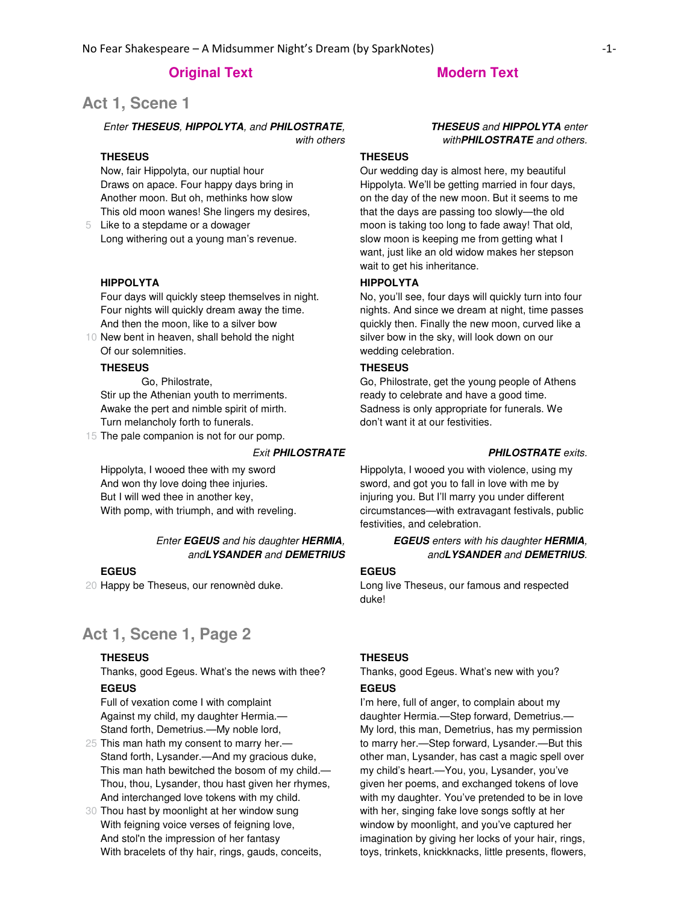# **Act 1, Scene 1**

#### Enter **THESEUS**, **HIPPOLYTA**, and **PHILOSTRATE**, with others

# **THESEUS**

Now, fair Hippolyta, our nuptial hour Draws on apace. Four happy days bring in Another moon. But oh, methinks how slow This old moon wanes! She lingers my desires,

5 Like to a stepdame or a dowager Long withering out a young man's revenue.

#### **HIPPOLYTA**

Four days will quickly steep themselves in night. Four nights will quickly dream away the time. And then the moon, like to a silver bow

10 New bent in heaven, shall behold the night Of our solemnities.

#### **THESEUS**

 Go, Philostrate, Stir up the Athenian youth to merriments. Awake the pert and nimble spirit of mirth. Turn melancholy forth to funerals.

15 The pale companion is not for our pomp.

Hippolyta, I wooed thee with my sword And won thy love doing thee injuries. But I will wed thee in another key, With pomp, with triumph, and with reveling.

#### Enter **EGEUS** and his daughter **HERMIA**, and**LYSANDER** and **DEMETRIUS**

#### **EGEUS**

20 Happy be Theseus, our renownèd duke.

# **Act 1, Scene 1, Page 2**

### **THESEUS**

Thanks, good Egeus. What's the news with thee?

# **EGEUS**

Full of vexation come I with complaint Against my child, my daughter Hermia.— Stand forth, Demetrius.—My noble lord,

- 25 This man hath my consent to marry her.— Stand forth, Lysander.—And my gracious duke, This man hath bewitched the bosom of my child.— Thou, thou, Lysander, thou hast given her rhymes, And interchanged love tokens with my child.
- 30 Thou hast by moonlight at her window sung With feigning voice verses of feigning love, And stol'n the impression of her fantasy With bracelets of thy hair, rings, gauds, conceits,

## **THESEUS** and **HIPPOLYTA** enter with**PHILOSTRATE** and others.

# **THESEUS**

Our wedding day is almost here, my beautiful Hippolyta. We'll be getting married in four days, on the day of the new moon. But it seems to me that the days are passing too slowly—the old moon is taking too long to fade away! That old, slow moon is keeping me from getting what I want, just like an old widow makes her stepson wait to get his inheritance.

## **HIPPOLYTA**

No, you'll see, four days will quickly turn into four nights. And since we dream at night, time passes quickly then. Finally the new moon, curved like a silver bow in the sky, will look down on our wedding celebration.

#### **THESEUS**

Go, Philostrate, get the young people of Athens ready to celebrate and have a good time. Sadness is only appropriate for funerals. We don't want it at our festivities.

## Exit **PHILOSTRATE PHILOSTRATE** exits.

Hippolyta, I wooed you with violence, using my sword, and got you to fall in love with me by injuring you. But I'll marry you under different circumstances—with extravagant festivals, public festivities, and celebration.

> **EGEUS** enters with his daughter **HERMIA**, and**LYSANDER** and **DEMETRIUS**.

### **EGEUS**

Long live Theseus, our famous and respected duke!

## **THESEUS**

Thanks, good Egeus. What's new with you?

### **EGEUS**

I'm here, full of anger, to complain about my daughter Hermia.—Step forward, Demetrius.— My lord, this man, Demetrius, has my permission to marry her.—Step forward, Lysander.—But this other man, Lysander, has cast a magic spell over my child's heart.—You, you, Lysander, you've given her poems, and exchanged tokens of love with my daughter. You've pretended to be in love with her, singing fake love songs softly at her window by moonlight, and you've captured her imagination by giving her locks of your hair, rings, toys, trinkets, knickknacks, little presents, flowers,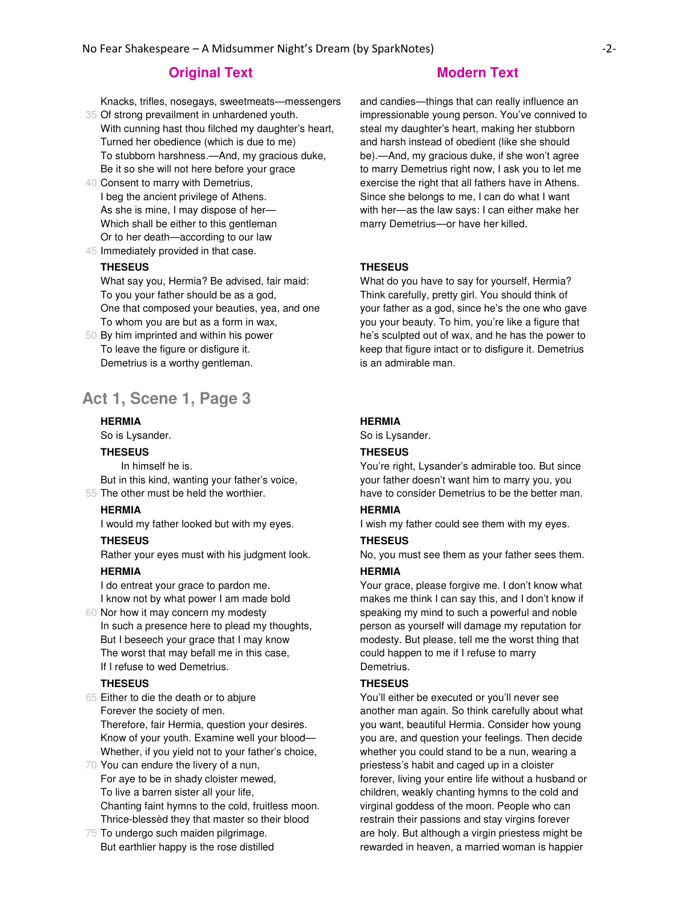35 Of strong prevailment in unhardened youth. Knacks, trifles, nosegays, sweetmeats—messengers

- With cunning hast thou filched my daughter's heart, Turned her obedience (which is due to me) To stubborn harshness.—And, my gracious duke, Be it so she will not here before your grace
- 40 Consent to marry with Demetrius, I beg the ancient privilege of Athens. As she is mine, I may dispose of her— Which shall be either to this gentleman Or to her death—according to our law
- 45 Immediately provided in that case.

#### **THESEUS**

What say you, Hermia? Be advised, fair maid: To you your father should be as a god, One that composed your beauties, yea, and one To whom you are but as a form in wax,

50 By him imprinted and within his power To leave the figure or disfigure it. Demetrius is a worthy gentleman.

# **Act 1, Scene 1, Page 3**

#### **HERMIA**

So is Lysander.

#### **THESEUS**

55 The other must be held the worthier. In himself he is. But in this kind, wanting your father's voice,

#### **HERMIA**

I would my father looked but with my eyes.

#### **THESEUS**

Rather your eyes must with his judgment look.

#### **HERMIA**

I do entreat your grace to pardon me. I know not by what power I am made bold

60 Nor how it may concern my modesty In such a presence here to plead my thoughts, But I beseech your grace that I may know The worst that may befall me in this case, If I refuse to wed Demetrius.

## **THESEUS**

- 65 Either to die the death or to abjure Forever the society of men. Therefore, fair Hermia, question your desires. Know of your youth. Examine well your blood— Whether, if you yield not to your father's choice,
- 70 You can endure the livery of a nun, For aye to be in shady cloister mewed, To live a barren sister all your life, Chanting faint hymns to the cold, fruitless moon. Thrice-blessèd they that master so their blood
- 75 To undergo such maiden pilgrimage. But earthlier happy is the rose distilled

and candies—things that can really influence an impressionable young person. You've connived to steal my daughter's heart, making her stubborn and harsh instead of obedient (like she should be).—And, my gracious duke, if she won't agree to marry Demetrius right now, I ask you to let me exercise the right that all fathers have in Athens. Since she belongs to me, I can do what I want with her—as the law says: I can either make her marry Demetrius—or have her killed.

#### **THESEUS**

What do you have to say for yourself, Hermia? Think carefully, pretty girl. You should think of your father as a god, since he's the one who gave you your beauty. To him, you're like a figure that he's sculpted out of wax, and he has the power to keep that figure intact or to disfigure it. Demetrius is an admirable man.

### **HERMIA**

So is Lysander.

#### **THESEUS**

You're right, Lysander's admirable too. But since your father doesn't want him to marry you, you have to consider Demetrius to be the better man.

# **HERMIA**

I wish my father could see them with my eyes.

#### **THESEUS**

No, you must see them as your father sees them.

#### **HERMIA**

Your grace, please forgive me. I don't know what makes me think I can say this, and I don't know if speaking my mind to such a powerful and noble person as yourself will damage my reputation for modesty. But please, tell me the worst thing that could happen to me if I refuse to marry Demetrius.

#### **THESEUS**

You'll either be executed or you'll never see another man again. So think carefully about what you want, beautiful Hermia. Consider how young you are, and question your feelings. Then decide whether you could stand to be a nun, wearing a priestess's habit and caged up in a cloister forever, living your entire life without a husband or children, weakly chanting hymns to the cold and virginal goddess of the moon. People who can restrain their passions and stay virgins forever are holy. But although a virgin priestess might be rewarded in heaven, a married woman is happier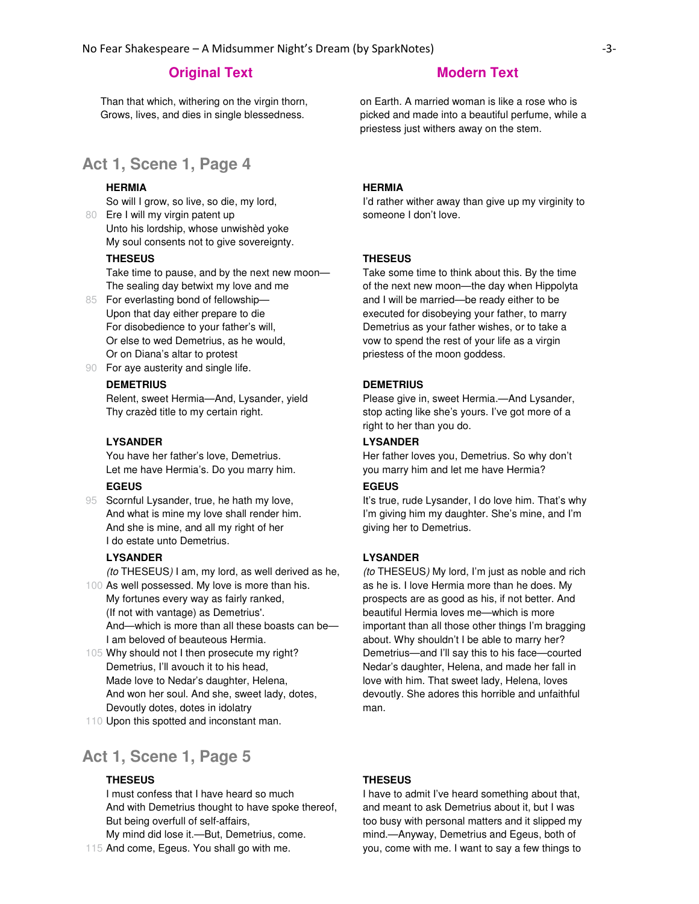Than that which, withering on the virgin thorn, Grows, lives, and dies in single blessedness.

on Earth. A married woman is like a rose who is picked and made into a beautiful perfume, while a priestess just withers away on the stem.

# **Act 1, Scene 1, Page 4**

### **HERMIA**

So will I grow, so live, so die, my lord,

80 Ere I will my virgin patent up Unto his lordship, whose unwishèd yoke My soul consents not to give sovereignty.

#### **THESEUS**

Take time to pause, and by the next new moon— The sealing day betwixt my love and me

- 85 For everlasting bond of fellowship— Upon that day either prepare to die For disobedience to your father's will, Or else to wed Demetrius, as he would, Or on Diana's altar to protest
- 90 For aye austerity and single life.

# **DEMETRIUS**

Relent, sweet Hermia—And, Lysander, yield Thy crazèd title to my certain right.

#### **LYSANDER**

You have her father's love, Demetrius. Let me have Hermia's. Do you marry him.

# **EGEUS**

95 Scornful Lysander, true, he hath my love, And what is mine my love shall render him. And she is mine, and all my right of her I do estate unto Demetrius.

#### **LYSANDER**

(to THESEUS) I am, my lord, as well derived as he,

- 100 As well possessed. My love is more than his. My fortunes every way as fairly ranked, (If not with vantage) as Demetrius'. And—which is more than all these boasts can be— I am beloved of beauteous Hermia.
- 105 Why should not I then prosecute my right? Demetrius, I'll avouch it to his head, Made love to Nedar's daughter, Helena, And won her soul. And she, sweet lady, dotes, Devoutly dotes, dotes in idolatry
- 110 Upon this spotted and inconstant man.

# **Act 1, Scene 1, Page 5**

#### **THESEUS**

I must confess that I have heard so much And with Demetrius thought to have spoke thereof, But being overfull of self-affairs,

My mind did lose it.—But, Demetrius, come.

### 115 And come, Egeus. You shall go with me.

## **HERMIA**

I'd rather wither away than give up my virginity to someone I don't love.

#### **THESEUS**

Take some time to think about this. By the time of the next new moon—the day when Hippolyta and I will be married—be ready either to be executed for disobeying your father, to marry Demetrius as your father wishes, or to take a vow to spend the rest of your life as a virgin priestess of the moon goddess.

# **DEMETRIUS**

Please give in, sweet Hermia.—And Lysander, stop acting like she's yours. I've got more of a right to her than you do.

#### **LYSANDER**

Her father loves you, Demetrius. So why don't you marry him and let me have Hermia?

#### **EGEUS**

It's true, rude Lysander, I do love him. That's why I'm giving him my daughter. She's mine, and I'm giving her to Demetrius.

#### **LYSANDER**

(to THESEUS) My lord, I'm just as noble and rich as he is. I love Hermia more than he does. My prospects are as good as his, if not better. And beautiful Hermia loves me—which is more important than all those other things I'm bragging about. Why shouldn't I be able to marry her? Demetrius—and I'll say this to his face—courted Nedar's daughter, Helena, and made her fall in love with him. That sweet lady, Helena, loves devoutly. She adores this horrible and unfaithful man.

#### **THESEUS**

I have to admit I've heard something about that, and meant to ask Demetrius about it, but I was too busy with personal matters and it slipped my mind.—Anyway, Demetrius and Egeus, both of you, come with me. I want to say a few things to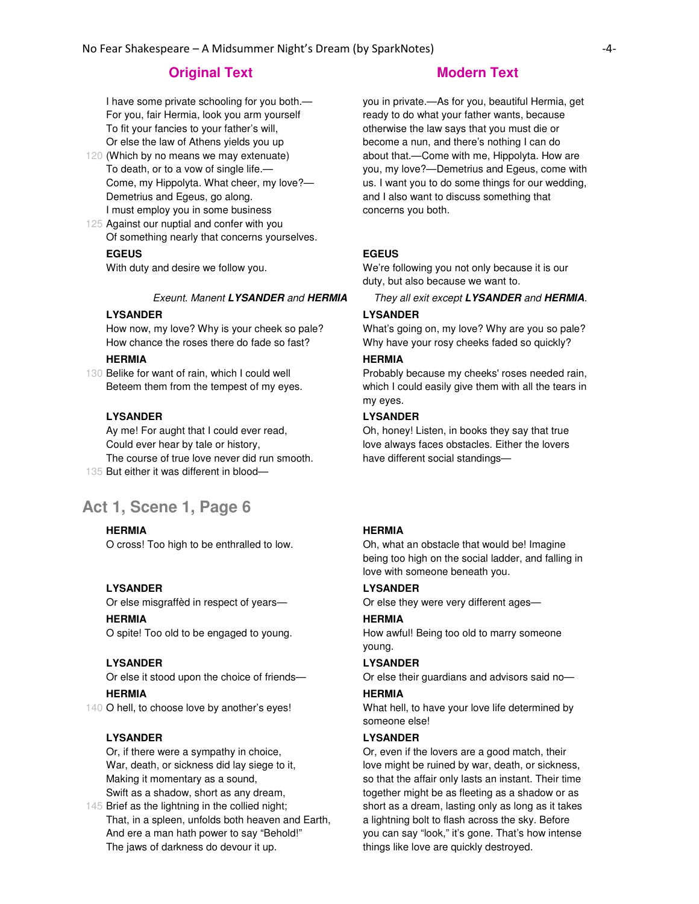I have some private schooling for you both.— For you, fair Hermia, look you arm yourself To fit your fancies to your father's will, Or else the law of Athens yields you up

- 120 (Which by no means we may extenuate) To death, or to a vow of single life.— Come, my Hippolyta. What cheer, my love?— Demetrius and Egeus, go along. I must employ you in some business
- 125 Against our nuptial and confer with you Of something nearly that concerns yourselves.

#### **EGEUS**

With duty and desire we follow you.

## **LYSANDER**

How now, my love? Why is your cheek so pale? How chance the roses there do fade so fast?

# **HERMIA**

130 Belike for want of rain, which I could well Beteem them from the tempest of my eyes.

## **LYSANDER**

135 But either it was different in blood— Ay me! For aught that I could ever read, Could ever hear by tale or history, The course of true love never did run smooth.

# **Act 1, Scene 1, Page 6**

#### **HERMIA**

O cross! Too high to be enthralled to low.

#### **LYSANDER**

Or else misgraffèd in respect of years—

### **HERMIA**

O spite! Too old to be engaged to young.

#### **LYSANDER**

Or else it stood upon the choice of friends—

# **HERMIA**

140 O hell, to choose love by another's eyes!

#### **LYSANDER**

Or, if there were a sympathy in choice, War, death, or sickness did lay siege to it, Making it momentary as a sound, Swift as a shadow, short as any dream,

145 Brief as the lightning in the collied night; That, in a spleen, unfolds both heaven and Earth, And ere a man hath power to say "Behold!" The jaws of darkness do devour it up.

you in private.—As for you, beautiful Hermia, get ready to do what your father wants, because otherwise the law says that you must die or become a nun, and there's nothing I can do about that.—Come with me, Hippolyta. How are you, my love?—Demetrius and Egeus, come with us. I want you to do some things for our wedding, and I also want to discuss something that concerns you both.

### **EGEUS**

We're following you not only because it is our duty, but also because we want to.

# Exeunt. Manent **LYSANDER** and **HERMIA** They all exit except **LYSANDER** and **HERMIA**.

# **LYSANDER**

What's going on, my love? Why are you so pale? Why have your rosy cheeks faded so quickly?

#### **HERMIA**

Probably because my cheeks' roses needed rain, which I could easily give them with all the tears in my eyes.

### **LYSANDER**

Oh, honey! Listen, in books they say that true love always faces obstacles. Either the lovers have different social standings—

### **HERMIA**

Oh, what an obstacle that would be! Imagine being too high on the social ladder, and falling in love with someone beneath you.

#### **LYSANDER**

Or else they were very different ages—

#### **HERMIA**

How awful! Being too old to marry someone young.

#### **LYSANDER**

Or else their guardians and advisors said no— **HERMIA**

What hell, to have your love life determined by someone else!

#### **LYSANDER**

Or, even if the lovers are a good match, their love might be ruined by war, death, or sickness, so that the affair only lasts an instant. Their time together might be as fleeting as a shadow or as short as a dream, lasting only as long as it takes a lightning bolt to flash across the sky. Before you can say "look," it's gone. That's how intense things like love are quickly destroyed.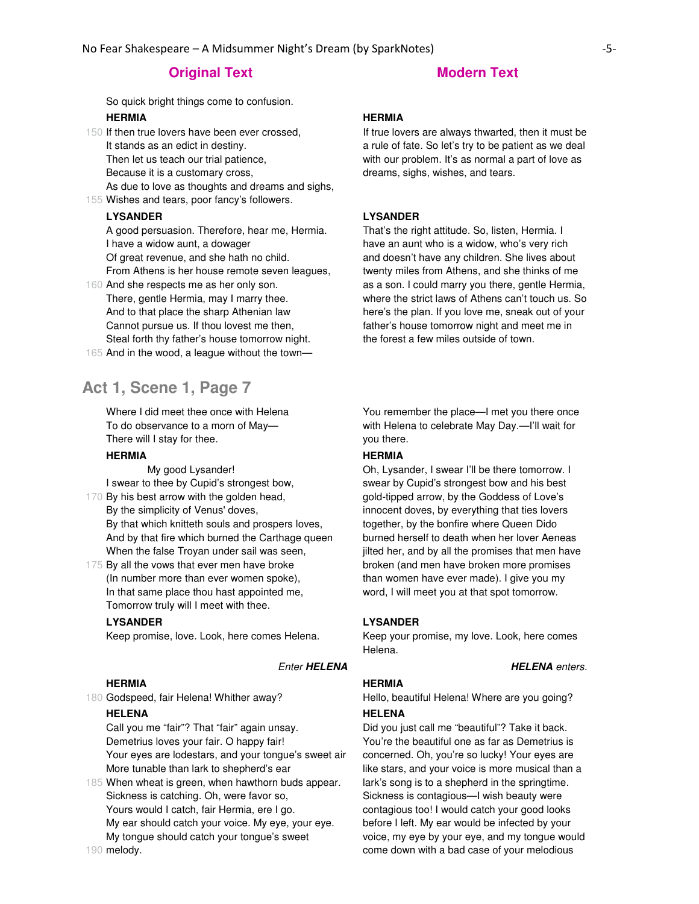# **Original Text Modern Text**

So quick bright things come to confusion.

# **HERMIA**

- 150 If then true lovers have been ever crossed, It stands as an edict in destiny. Then let us teach our trial patience, Because it is a customary cross, As due to love as thoughts and dreams and sighs,
- 155 Wishes and tears, poor fancy's followers.

# **LYSANDER**

A good persuasion. Therefore, hear me, Hermia. I have a widow aunt, a dowager Of great revenue, and she hath no child. From Athens is her house remote seven leagues,

- 160 And she respects me as her only son. There, gentle Hermia, may I marry thee. And to that place the sharp Athenian law Cannot pursue us. If thou lovest me then, Steal forth thy father's house tomorrow night.
- 165 And in the wood, a league without the town—

# **Act 1, Scene 1, Page 7**

Where I did meet thee once with Helena To do observance to a morn of May— There will I stay for thee.

### **HERMIA**

170 By his best arrow with the golden head, My good Lysander! I swear to thee by Cupid's strongest bow,

- By the simplicity of Venus' doves, By that which knitteth souls and prospers loves, And by that fire which burned the Carthage queen When the false Troyan under sail was seen,
- 175 By all the vows that ever men have broke (In number more than ever women spoke), In that same place thou hast appointed me, Tomorrow truly will I meet with thee.

## **LYSANDER**

Keep promise, love. Look, here comes Helena.

#### **HERMIA**

180 Godspeed, fair Helena! Whither away?

#### **HELENA**

Call you me "fair"? That "fair" again unsay. Demetrius loves your fair. O happy fair! Your eyes are lodestars, and your tongue's sweet air More tunable than lark to shepherd's ear

185 When wheat is green, when hawthorn buds appear. 190 melody. Sickness is catching. Oh, were favor so, Yours would I catch, fair Hermia, ere I go. My ear should catch your voice. My eye, your eye. My tongue should catch your tongue's sweet

#### **HERMIA**

If true lovers are always thwarted, then it must be a rule of fate. So let's try to be patient as we deal with our problem. It's as normal a part of love as dreams, sighs, wishes, and tears.

#### **LYSANDER**

That's the right attitude. So, listen, Hermia. I have an aunt who is a widow, who's very rich and doesn't have any children. She lives about twenty miles from Athens, and she thinks of me as a son. I could marry you there, gentle Hermia, where the strict laws of Athens can't touch us. So here's the plan. If you love me, sneak out of your father's house tomorrow night and meet me in the forest a few miles outside of town.

You remember the place—I met you there once with Helena to celebrate May Day.—I'll wait for you there.

### **HERMIA**

Oh, Lysander, I swear I'll be there tomorrow. I swear by Cupid's strongest bow and his best gold-tipped arrow, by the Goddess of Love's innocent doves, by everything that ties lovers together, by the bonfire where Queen Dido burned herself to death when her lover Aeneas jilted her, and by all the promises that men have broken (and men have broken more promises than women have ever made). I give you my word, I will meet you at that spot tomorrow.

#### **LYSANDER**

Keep your promise, my love. Look, here comes Helena.

**Enter HELENA HELENA** enters.

### **HERMIA**

Hello, beautiful Helena! Where are you going?

#### **HELENA**

Did you just call me "beautiful"? Take it back. You're the beautiful one as far as Demetrius is concerned. Oh, you're so lucky! Your eyes are like stars, and your voice is more musical than a lark's song is to a shepherd in the springtime. Sickness is contagious—I wish beauty were contagious too! I would catch your good looks before I left. My ear would be infected by your voice, my eye by your eye, and my tongue would come down with a bad case of your melodious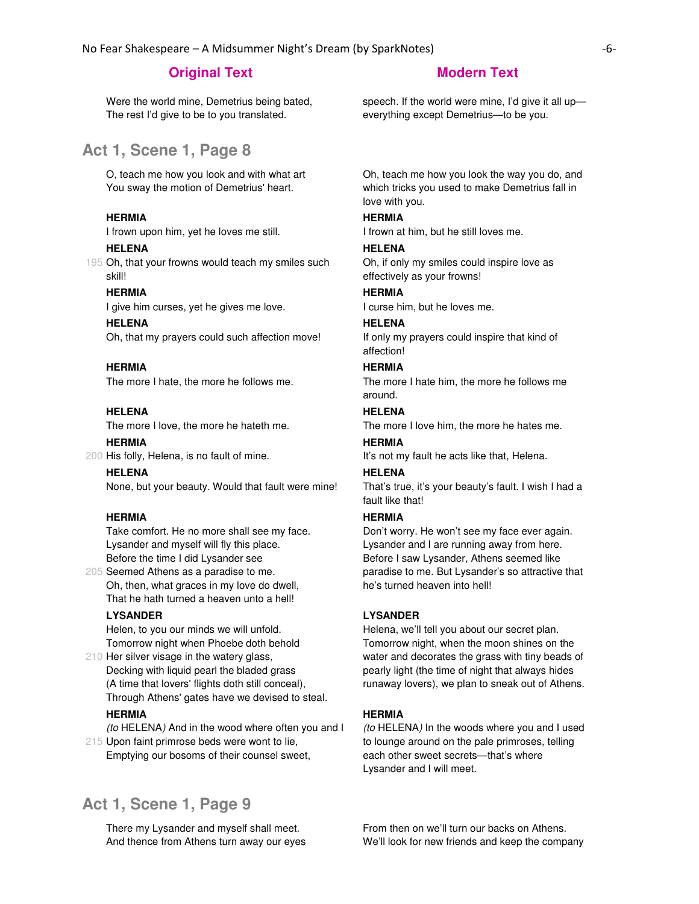Were the world mine, Demetrius being bated, The rest I'd give to be to you translated.

# **Act 1, Scene 1, Page 8**

O, teach me how you look and with what art You sway the motion of Demetrius' heart.

#### **HERMIA**

I frown upon him, yet he loves me still.

#### **HELENA**

195 Oh, that your frowns would teach my smiles such skill!

#### **HERMIA**

I give him curses, yet he gives me love.

#### **HELENA**

Oh, that my prayers could such affection move!

#### **HERMIA**

The more I hate, the more he follows me.

#### **HELENA**

The more I love, the more he hateth me.

#### **HERMIA**

200 His folly, Helena, is no fault of mine.

**HELENA** None, but your beauty. Would that fault were mine!

#### **HERMIA**

Take comfort. He no more shall see my face. Lysander and myself will fly this place. Before the time I did Lysander see

205 Seemed Athens as a paradise to me. Oh, then, what graces in my love do dwell, That he hath turned a heaven unto a hell!

### **LYSANDER**

Helen, to you our minds we will unfold. Tomorrow night when Phoebe doth behold

210 Her silver visage in the watery glass, Decking with liquid pearl the bladed grass (A time that lovers' flights doth still conceal), Through Athens' gates have we devised to steal.

#### **HERMIA**

(to HELENA) And in the wood where often you and I

215 Upon faint primrose beds were wont to lie, Emptying our bosoms of their counsel sweet,

# **Act 1, Scene 1, Page 9**

There my Lysander and myself shall meet. And thence from Athens turn away our eyes

speech. If the world were mine, I'd give it all up everything except Demetrius—to be you.

Oh, teach me how you look the way you do, and which tricks you used to make Demetrius fall in love with you.

#### **HERMIA**

I frown at him, but he still loves me.

#### **HELENA**

Oh, if only my smiles could inspire love as effectively as your frowns!

# **HERMIA**

I curse him, but he loves me.

#### **HELENA**

If only my prayers could inspire that kind of affection!

#### **HERMIA**

The more I hate him, the more he follows me around.

## **HELENA**

The more I love him, the more he hates me.

# **HERMIA**

It's not my fault he acts like that, Helena.

### **HELENA**

That's true, it's your beauty's fault. I wish I had a fault like that!

## **HERMIA**

Don't worry. He won't see my face ever again. Lysander and I are running away from here. Before I saw Lysander, Athens seemed like paradise to me. But Lysander's so attractive that he's turned heaven into hell!

## **LYSANDER**

Helena, we'll tell you about our secret plan. Tomorrow night, when the moon shines on the water and decorates the grass with tiny beads of pearly light (the time of night that always hides runaway lovers), we plan to sneak out of Athens.

#### **HERMIA**

(to HELENA) In the woods where you and I used to lounge around on the pale primroses, telling each other sweet secrets—that's where Lysander and I will meet.

From then on we'll turn our backs on Athens. We'll look for new friends and keep the company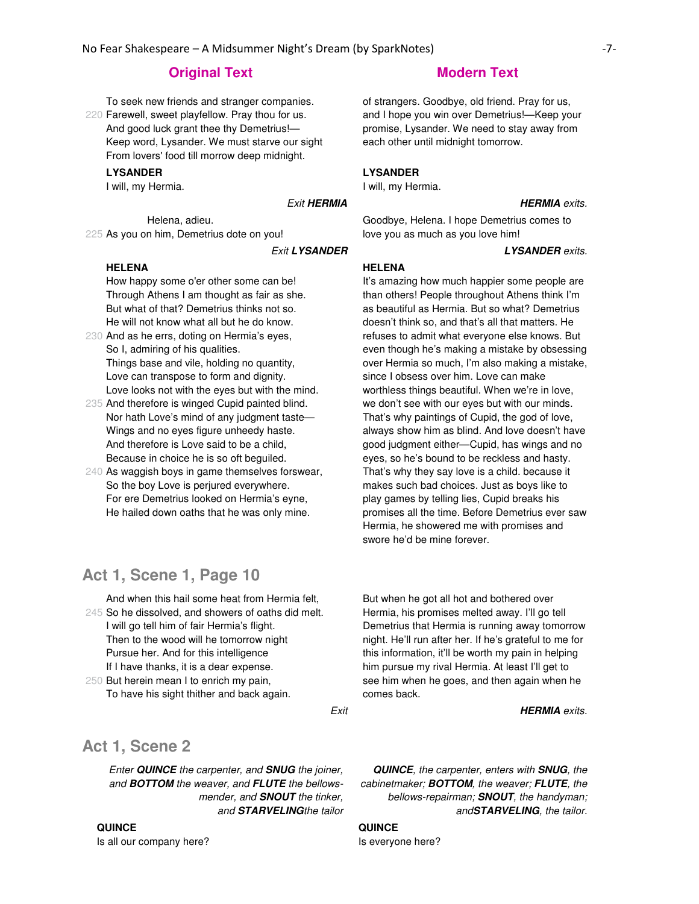To seek new friends and stranger companies.

220 Farewell, sweet playfellow. Pray thou for us. And good luck grant thee thy Demetrius!— Keep word, Lysander. We must starve our sight From lovers' food till morrow deep midnight.

#### **LYSANDER**

I will, my Hermia.

225 As you on him, Demetrius dote on you! Helena, adieu.

#### **HELENA**

How happy some o'er other some can be! Through Athens I am thought as fair as she. But what of that? Demetrius thinks not so. He will not know what all but he do know.

- 230 And as he errs, doting on Hermia's eyes, So I, admiring of his qualities. Things base and vile, holding no quantity, Love can transpose to form and dignity. Love looks not with the eyes but with the mind.
- 235 And therefore is winged Cupid painted blind. Nor hath Love's mind of any judgment taste— Wings and no eyes figure unheedy haste. And therefore is Love said to be a child, Because in choice he is so oft beguiled.
- 240 As waggish boys in game themselves forswear, So the boy Love is perjured everywhere. For ere Demetrius looked on Hermia's eyne, He hailed down oaths that he was only mine.

# **Act 1, Scene 1, Page 10**

245 So he dissolved, and showers of oaths did melt. And when this hail some heat from Hermia felt, I will go tell him of fair Hermia's flight. Then to the wood will he tomorrow night Pursue her. And for this intelligence If I have thanks, it is a dear expense.

250 But herein mean I to enrich my pain, To have his sight thither and back again.

of strangers. Goodbye, old friend. Pray for us, and I hope you win over Demetrius!—Keep your promise, Lysander. We need to stay away from each other until midnight tomorrow.

#### **LYSANDER**

I will, my Hermia.

#### **Exit HERMIA HERMIA** exits.

Goodbye, Helena. I hope Demetrius comes to love you as much as you love him!

Exit **LYSANDER LYSANDER** exits.

#### **HELENA**

It's amazing how much happier some people are than others! People throughout Athens think I'm as beautiful as Hermia. But so what? Demetrius doesn't think so, and that's all that matters. He refuses to admit what everyone else knows. But even though he's making a mistake by obsessing over Hermia so much, I'm also making a mistake, since I obsess over him. Love can make worthless things beautiful. When we're in love, we don't see with our eyes but with our minds. That's why paintings of Cupid, the god of love, always show him as blind. And love doesn't have good judgment either—Cupid, has wings and no eyes, so he's bound to be reckless and hasty. That's why they say love is a child. because it makes such bad choices. Just as boys like to play games by telling lies, Cupid breaks his promises all the time. Before Demetrius ever saw Hermia, he showered me with promises and swore he'd be mine forever.

But when he got all hot and bothered over Hermia, his promises melted away. I'll go tell Demetrius that Hermia is running away tomorrow night. He'll run after her. If he's grateful to me for this information, it'll be worth my pain in helping him pursue my rival Hermia. At least I'll get to see him when he goes, and then again when he comes back.

Exit **HERMIA** exits.

# **Act 1, Scene 2**

Enter **QUINCE** the carpenter, and **SNUG** the joiner, and **BOTTOM** the weaver, and **FLUTE** the bellowsmender, and **SNOUT** the tinker, and **STARVELING**the tailor

**QUINCE**, the carpenter, enters with **SNUG**, the cabinetmaker; **BOTTOM**, the weaver; **FLUTE**, the bellows-repairman; **SNOUT**, the handyman; and**STARVELING**, the tailor.

**QUINCE** Is everyone here?

# **QUINCE**

Is all our company here?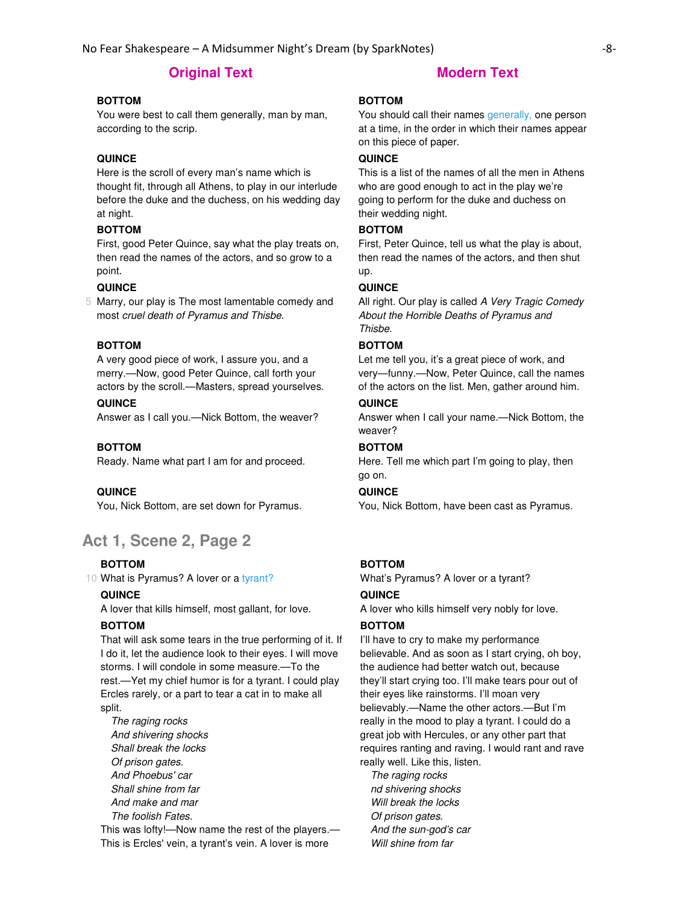# **BOTTOM**

You were best to call them generally, man by man, according to the scrip.

# **QUINCE**

Here is the scroll of every man's name which is thought fit, through all Athens, to play in our interlude before the duke and the duchess, on his wedding day at night.

## **BOTTOM**

First, good Peter Quince, say what the play treats on, then read the names of the actors, and so grow to a point.

#### **QUINCE**

5 Marry, our play is The most lamentable comedy and most cruel death of Pyramus and Thisbe.

# **BOTTOM**

A very good piece of work, I assure you, and a merry.—Now, good Peter Quince, call forth your actors by the scroll.—Masters, spread yourselves.

### **QUINCE**

Answer as I call you.—Nick Bottom, the weaver?

### **BOTTOM**

Ready. Name what part I am for and proceed.

### **QUINCE**

You, Nick Bottom, are set down for Pyramus.

# **Act 1, Scene 2, Page 2**

#### **BOTTOM**

10 What is Pyramus? A lover or a tyrant?

#### **QUINCE**

A lover that kills himself, most gallant, for love.

#### **BOTTOM**

That will ask some tears in the true performing of it. If I do it, let the audience look to their eyes. I will move storms. I will condole in some measure.—To the rest.—Yet my chief humor is for a tyrant. I could play Ercles rarely, or a part to tear a cat in to make all split.

The raging rocks And shivering shocks Shall break the locks Of prison gates. And Phoebus' car Shall shine from far And make and mar The foolish Fates.

This was lofty!—Now name the rest of the players.— This is Ercles' vein, a tyrant's vein. A lover is more

### **BOTTOM**

You should call their names generally, one person at a time, in the order in which their names appear on this piece of paper.

# **QUINCE**

This is a list of the names of all the men in Athens who are good enough to act in the play we're going to perform for the duke and duchess on their wedding night.

### **BOTTOM**

First, Peter Quince, tell us what the play is about, then read the names of the actors, and then shut up.

#### **QUINCE**

All right. Our play is called A Very Tragic Comedy About the Horrible Deaths of Pyramus and Thisbe.

# **BOTTOM**

Let me tell you, it's a great piece of work, and very—funny.—Now, Peter Quince, call the names of the actors on the list. Men, gather around him.

## **QUINCE**

Answer when I call your name.—Nick Bottom, the weaver?

## **BOTTOM**

Here. Tell me which part I'm going to play, then go on.

#### **QUINCE**

You, Nick Bottom, have been cast as Pyramus.

# **BOTTOM**

What's Pyramus? A lover or a tyrant?

#### **QUINCE**

A lover who kills himself very nobly for love.

### **BOTTOM**

I'll have to cry to make my performance believable. And as soon as I start crying, oh boy, the audience had better watch out, because they'll start crying too. I'll make tears pour out of their eyes like rainstorms. I'll moan very believably.—Name the other actors.—But I'm really in the mood to play a tyrant. I could do a great job with Hercules, or any other part that requires ranting and raving. I would rant and rave really well. Like this, listen.

The raging rocks nd shivering shocks Will break the locks Of prison gates. And the sun-god's car Will shine from far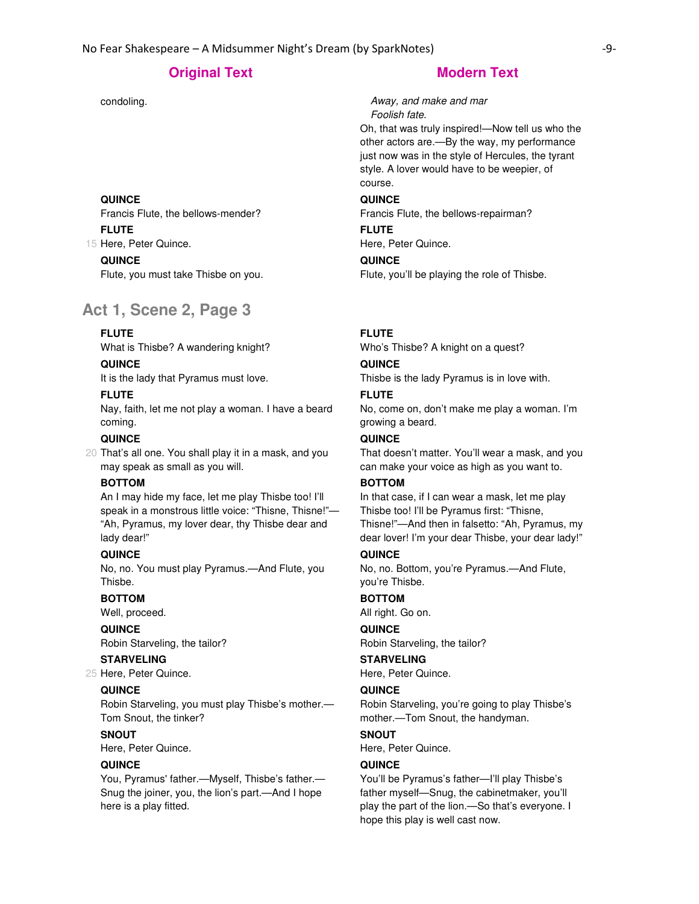#### **QUINCE**

Francis Flute, the bellows-mender? 15 Here, Peter Quince. **FLUTE**

**QUINCE**

Flute, you must take Thisbe on you.

# **Act 1, Scene 2, Page 3**

# **FLUTE**

What is Thisbe? A wandering knight?

### **QUINCE**

It is the lady that Pyramus must love.

#### **FLUTE**

Nay, faith, let me not play a woman. I have a beard coming.

# **QUINCE**

20 That's all one. You shall play it in a mask, and you may speak as small as you will.

## **BOTTOM**

An I may hide my face, let me play Thisbe too! I'll speak in a monstrous little voice: "Thisne, Thisne!"— "Ah, Pyramus, my lover dear, thy Thisbe dear and lady dear!"

#### **QUINCE**

No, no. You must play Pyramus.—And Flute, you Thisbe.

## **BOTTOM**

Well, proceed.

# **QUINCE**

Robin Starveling, the tailor?

# **STARVELING**

25 Here, Peter Quince.

# **QUINCE**

Robin Starveling, you must play Thisbe's mother.— Tom Snout, the tinker?

# **SNOUT**

Here, Peter Quince.

# **QUINCE**

You, Pyramus' father.—Myself, Thisbe's father.— Snug the joiner, you, the lion's part.—And I hope here is a play fitted.

condoling. Condoling. Condoling. Foolish fate.

> Oh, that was truly inspired!—Now tell us who the other actors are.—By the way, my performance just now was in the style of Hercules, the tyrant style. A lover would have to be weepier, of course.

#### **QUINCE**

Francis Flute, the bellows-repairman?

#### **FLUTE**

Here, Peter Quince.

#### **QUINCE**

Flute, you'll be playing the role of Thisbe.

# **FLUTE**

Who's Thisbe? A knight on a quest?

### **QUINCE**

Thisbe is the lady Pyramus is in love with.

### **FLUTE**

No, come on, don't make me play a woman. I'm growing a beard.

# **QUINCE**

That doesn't matter. You'll wear a mask, and you can make your voice as high as you want to.

# **BOTTOM**

In that case, if I can wear a mask, let me play Thisbe too! I'll be Pyramus first: "Thisne, Thisne!"—And then in falsetto: "Ah, Pyramus, my dear lover! I'm your dear Thisbe, your dear lady!"

#### **QUINCE**

No, no. Bottom, you're Pyramus.—And Flute, you're Thisbe.

#### **BOTTOM**

All right. Go on.

#### **QUINCE**

Robin Starveling, the tailor?

# **STARVELING**

Here, Peter Quince.

#### **QUINCE**

Robin Starveling, you're going to play Thisbe's mother.—Tom Snout, the handyman.

# **SNOUT**

Here, Peter Quince.

# **QUINCE**

You'll be Pyramus's father—I'll play Thisbe's father myself—Snug, the cabinetmaker, you'll play the part of the lion.—So that's everyone. I hope this play is well cast now.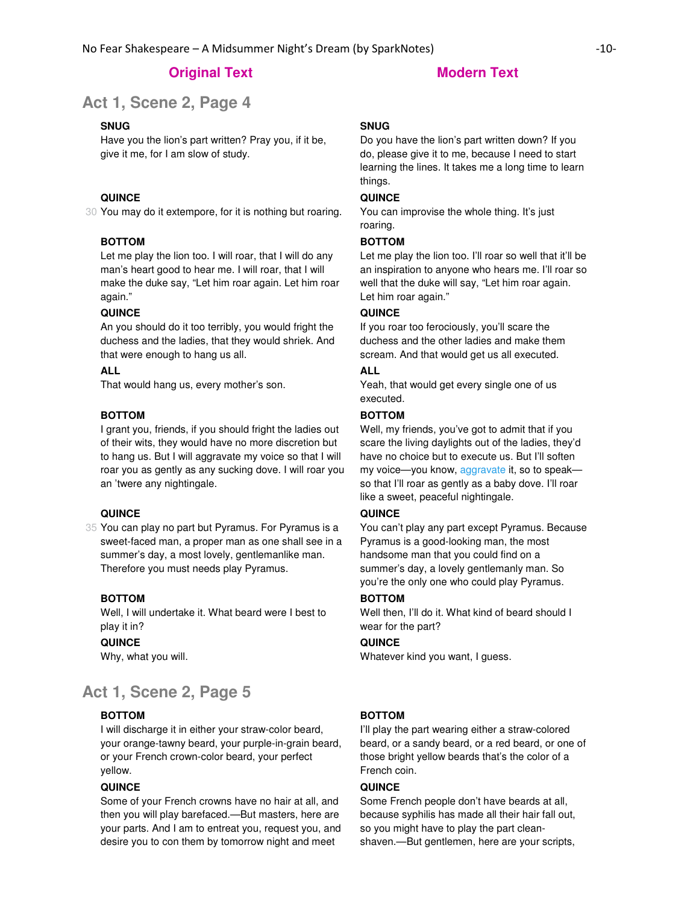**Act 1, Scene 2, Page 4** 

#### **SNUG**

Have you the lion's part written? Pray you, if it be, give it me, for I am slow of study.

# **QUINCE**

30 You may do it extempore, for it is nothing but roaring.

#### **BOTTOM**

Let me play the lion too. I will roar, that I will do any man's heart good to hear me. I will roar, that I will make the duke say, "Let him roar again. Let him roar again."

#### **QUINCE**

An you should do it too terribly, you would fright the duchess and the ladies, that they would shriek. And that were enough to hang us all.

### **ALL**

That would hang us, every mother's son.

#### **BOTTOM**

I grant you, friends, if you should fright the ladies out of their wits, they would have no more discretion but to hang us. But I will aggravate my voice so that I will roar you as gently as any sucking dove. I will roar you an 'twere any nightingale.

### **QUINCE**

35 You can play no part but Pyramus. For Pyramus is a sweet-faced man, a proper man as one shall see in a summer's day, a most lovely, gentlemanlike man. Therefore you must needs play Pyramus.

#### **BOTTOM**

Well, I will undertake it. What beard were I best to play it in?

#### **QUINCE**

Why, what you will.

# **Act 1, Scene 2, Page 5**

### **BOTTOM**

I will discharge it in either your straw-color beard, your orange-tawny beard, your purple-in-grain beard, or your French crown-color beard, your perfect yellow.

# **QUINCE**

Some of your French crowns have no hair at all, and then you will play barefaced.—But masters, here are your parts. And I am to entreat you, request you, and desire you to con them by tomorrow night and meet

### **SNUG**

Do you have the lion's part written down? If you do, please give it to me, because I need to start learning the lines. It takes me a long time to learn things.

### **QUINCE**

You can improvise the whole thing. It's just roaring.

#### **BOTTOM**

Let me play the lion too. I'll roar so well that it'll be an inspiration to anyone who hears me. I'll roar so well that the duke will say, "Let him roar again. Let him roar again."

### **QUINCE**

If you roar too ferociously, you'll scare the duchess and the other ladies and make them scream. And that would get us all executed.

# **ALL**

Yeah, that would get every single one of us executed.

# **BOTTOM**

Well, my friends, you've got to admit that if you scare the living daylights out of the ladies, they'd have no choice but to execute us. But I'll soften my voice—you know, aggravate it, so to speak so that I'll roar as gently as a baby dove. I'll roar like a sweet, peaceful nightingale.

### **QUINCE**

You can't play any part except Pyramus. Because Pyramus is a good-looking man, the most handsome man that you could find on a summer's day, a lovely gentlemanly man. So you're the only one who could play Pyramus.

#### **BOTTOM**

Well then, I'll do it. What kind of beard should I wear for the part?

#### **QUINCE**

Whatever kind you want, I guess.

# **BOTTOM**

I'll play the part wearing either a straw-colored beard, or a sandy beard, or a red beard, or one of those bright yellow beards that's the color of a French coin.

#### **QUINCE**

Some French people don't have beards at all, because syphilis has made all their hair fall out, so you might have to play the part cleanshaven.—But gentlemen, here are your scripts,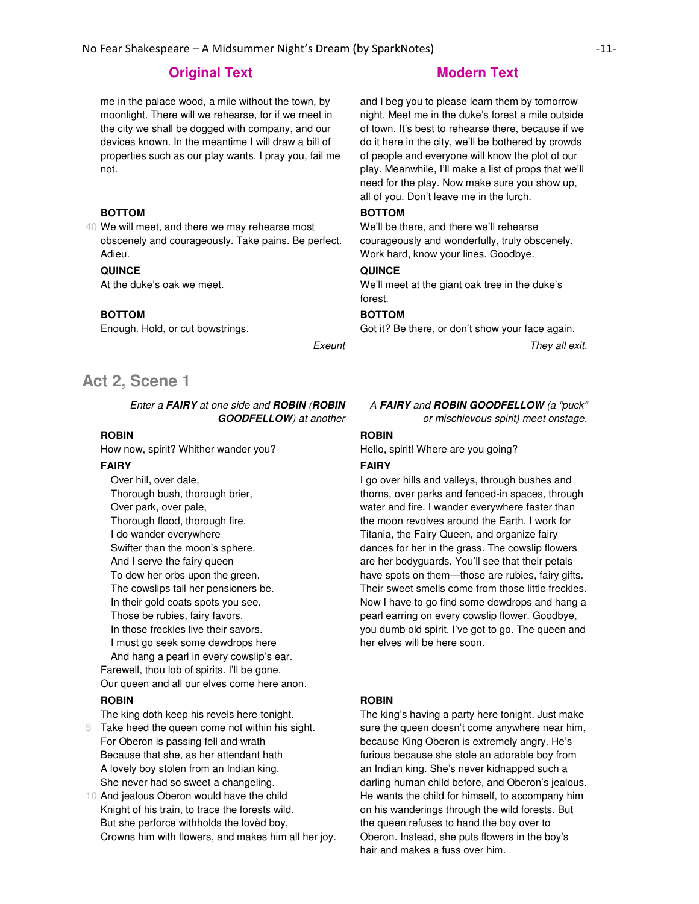me in the palace wood, a mile without the town, by moonlight. There will we rehearse, for if we meet in the city we shall be dogged with company, and our devices known. In the meantime I will draw a bill of properties such as our play wants. I pray you, fail me not.

## **BOTTOM**

40 We will meet, and there we may rehearse most obscenely and courageously. Take pains. Be perfect. Adieu.

#### **QUINCE**

At the duke's oak we meet.

#### **BOTTOM**

Enough. Hold, or cut bowstrings.

# **Act 2, Scene 1**

Enter a **FAIRY** at one side and **ROBIN** (**ROBIN GOODFELLOW**) at another

# **ROBIN**

How now, spirit? Whither wander you?

#### **FAIRY**

 Over hill, over dale, Thorough bush, thorough brier, Over park, over pale, Thorough flood, thorough fire. I do wander everywhere Swifter than the moon's sphere. And I serve the fairy queen To dew her orbs upon the green. The cowslips tall her pensioners be. In their gold coats spots you see. Those be rubies, fairy favors. In those freckles live their savors. I must go seek some dewdrops here And hang a pearl in every cowslip's ear. Farewell, thou lob of spirits. I'll be gone.

Our queen and all our elves come here anon.

# **ROBIN**

The king doth keep his revels here tonight.

5 Take heed the queen come not within his sight. For Oberon is passing fell and wrath Because that she, as her attendant hath A lovely boy stolen from an Indian king. She never had so sweet a changeling.

10 And jealous Oberon would have the child Knight of his train, to trace the forests wild. But she perforce withholds the lovèd boy, Crowns him with flowers, and makes him all her joy.

and I beg you to please learn them by tomorrow night. Meet me in the duke's forest a mile outside of town. It's best to rehearse there, because if we do it here in the city, we'll be bothered by crowds of people and everyone will know the plot of our play. Meanwhile, I'll make a list of props that we'll need for the play. Now make sure you show up, all of you. Don't leave me in the lurch.

## **BOTTOM**

We'll be there, and there we'll rehearse courageously and wonderfully, truly obscenely. Work hard, know your lines. Goodbye.

#### **QUINCE**

We'll meet at the giant oak tree in the duke's forest.

#### **BOTTOM**

Got it? Be there, or don't show your face again.

Exeunt They all exit.

#### A **FAIRY** and **ROBIN GOODFELLOW** (a "puck"

or mischievous spirit) meet onstage.

#### **ROBIN**

Hello, spirit! Where are you going?

#### **FAIRY**

I go over hills and valleys, through bushes and thorns, over parks and fenced-in spaces, through water and fire. I wander everywhere faster than the moon revolves around the Earth. I work for Titania, the Fairy Queen, and organize fairy dances for her in the grass. The cowslip flowers are her bodyguards. You'll see that their petals have spots on them—those are rubies, fairy gifts. Their sweet smells come from those little freckles. Now I have to go find some dewdrops and hang a pearl earring on every cowslip flower. Goodbye, you dumb old spirit. I've got to go. The queen and her elves will be here soon.

#### **ROBIN**

The king's having a party here tonight. Just make sure the queen doesn't come anywhere near him, because King Oberon is extremely angry. He's furious because she stole an adorable boy from an Indian king. She's never kidnapped such a darling human child before, and Oberon's jealous. He wants the child for himself, to accompany him on his wanderings through the wild forests. But the queen refuses to hand the boy over to Oberon. Instead, she puts flowers in the boy's hair and makes a fuss over him.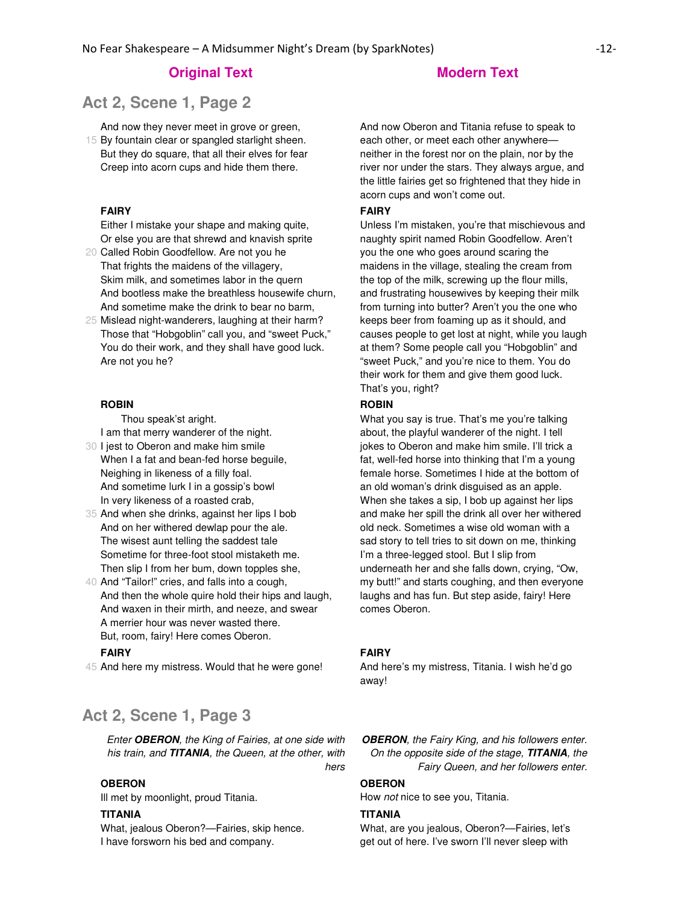# **Act 2, Scene 1, Page 2**

And now they never meet in grove or green,

15 By fountain clear or spangled starlight sheen. But they do square, that all their elves for fear Creep into acorn cups and hide them there.

### **FAIRY**

Either I mistake your shape and making quite, Or else you are that shrewd and knavish sprite

20 Called Robin Goodfellow. Are not you he That frights the maidens of the villagery, Skim milk, and sometimes labor in the quern And bootless make the breathless housewife churn, And sometime make the drink to bear no barm,

25 Mislead night-wanderers, laughing at their harm? Those that "Hobgoblin" call you, and "sweet Puck," You do their work, and they shall have good luck. Are not you he?

#### **ROBIN**

 Thou speak'st aright. I am that merry wanderer of the night.

- 30 I jest to Oberon and make him smile When I a fat and bean-fed horse beguile, Neighing in likeness of a filly foal. And sometime lurk I in a gossip's bowl In very likeness of a roasted crab,
- 35 And when she drinks, against her lips I bob And on her withered dewlap pour the ale. The wisest aunt telling the saddest tale Sometime for three-foot stool mistaketh me. Then slip I from her bum, down topples she,
- 40 And "Tailor!" cries, and falls into a cough, And then the whole quire hold their hips and laugh, And waxen in their mirth, and neeze, and swear A merrier hour was never wasted there. But, room, fairy! Here comes Oberon.

#### **FAIRY**

45 And here my mistress. Would that he were gone!

# **Act 2, Scene 1, Page 3**

Enter **OBERON**, the King of Fairies, at one side with his train, and **TITANIA**, the Queen, at the other, with hers

## **OBERON**

Ill met by moonlight, proud Titania.

#### **TITANIA**

What, jealous Oberon?—Fairies, skip hence. I have forsworn his bed and company.

And now Oberon and Titania refuse to speak to each other, or meet each other anywhere neither in the forest nor on the plain, nor by the river nor under the stars. They always argue, and the little fairies get so frightened that they hide in acorn cups and won't come out.

#### **FAIRY**

Unless I'm mistaken, you're that mischievous and naughty spirit named Robin Goodfellow. Aren't you the one who goes around scaring the maidens in the village, stealing the cream from the top of the milk, screwing up the flour mills, and frustrating housewives by keeping their milk from turning into butter? Aren't you the one who keeps beer from foaming up as it should, and causes people to get lost at night, while you laugh at them? Some people call you "Hobgoblin" and "sweet Puck," and you're nice to them. You do their work for them and give them good luck. That's you, right?

#### **ROBIN**

What you say is true. That's me you're talking about, the playful wanderer of the night. I tell jokes to Oberon and make him smile. I'll trick a fat, well-fed horse into thinking that I'm a young female horse. Sometimes I hide at the bottom of an old woman's drink disguised as an apple. When she takes a sip, I bob up against her lips and make her spill the drink all over her withered old neck. Sometimes a wise old woman with a sad story to tell tries to sit down on me, thinking I'm a three-legged stool. But I slip from underneath her and she falls down, crying, "Ow, my butt!" and starts coughing, and then everyone laughs and has fun. But step aside, fairy! Here comes Oberon.

#### **FAIRY**

And here's my mistress, Titania. I wish he'd go away!

**OBERON**, the Fairy King, and his followers enter. On the opposite side of the stage, **TITANIA**, the Fairy Queen, and her followers enter.

### **OBERON**

How not nice to see you, Titania.

#### **TITANIA**

What, are you jealous, Oberon?—Fairies, let's get out of here. I've sworn I'll never sleep with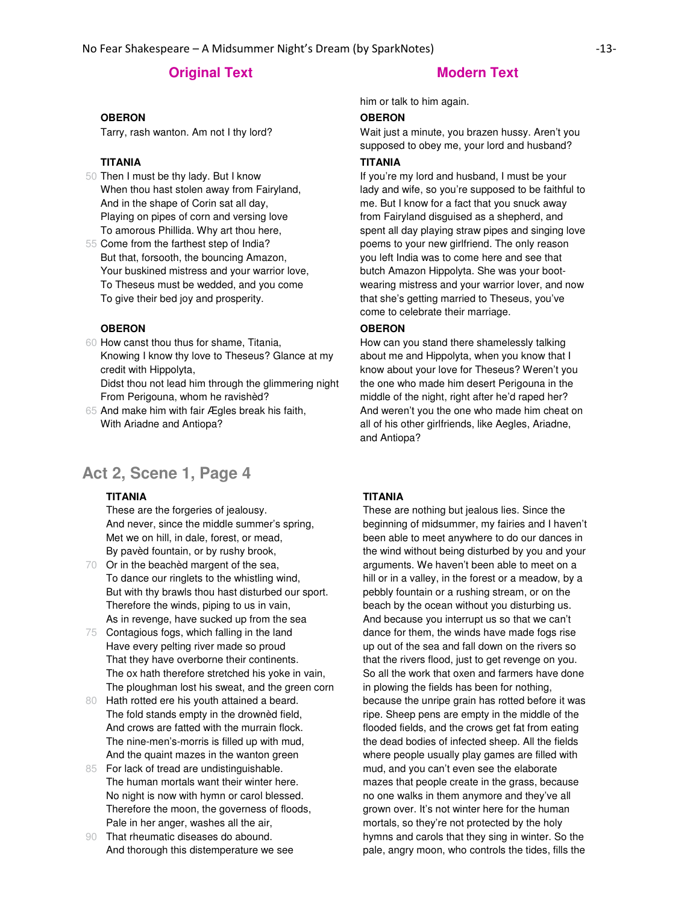# **Original Text Modern Text**

#### **OBERON**

Tarry, rash wanton. Am not I thy lord?

## **TITANIA**

- 50 Then I must be thy lady. But I know When thou hast stolen away from Fairyland, And in the shape of Corin sat all day, Playing on pipes of corn and versing love To amorous Phillida. Why art thou here,
- 55 Come from the farthest step of India? But that, forsooth, the bouncing Amazon, Your buskined mistress and your warrior love, To Theseus must be wedded, and you come To give their bed joy and prosperity.

#### **OBERON**

60 How canst thou thus for shame, Titania, Knowing I know thy love to Theseus? Glance at my credit with Hippolyta,

Didst thou not lead him through the glimmering night From Perigouna, whom he ravishèd?

65 And make him with fair Ægles break his faith, With Ariadne and Antiopa?

# **Act 2, Scene 1, Page 4**

#### **TITANIA**

These are the forgeries of jealousy. And never, since the middle summer's spring, Met we on hill, in dale, forest, or mead, By pavèd fountain, or by rushy brook,

- 70 Or in the beachèd margent of the sea, To dance our ringlets to the whistling wind, But with thy brawls thou hast disturbed our sport. Therefore the winds, piping to us in vain, As in revenge, have sucked up from the sea
- 75 Contagious fogs, which falling in the land Have every pelting river made so proud That they have overborne their continents. The ox hath therefore stretched his yoke in vain, The ploughman lost his sweat, and the green corn
- 80 Hath rotted ere his youth attained a beard. The fold stands empty in the drownèd field, And crows are fatted with the murrain flock. The nine-men's-morris is filled up with mud, And the quaint mazes in the wanton green
- 85 For lack of tread are undistinguishable. The human mortals want their winter here. No night is now with hymn or carol blessed. Therefore the moon, the governess of floods, Pale in her anger, washes all the air,
- 90 That rheumatic diseases do abound. And thorough this distemperature we see

him or talk to him again.

### **OBERON**

Wait just a minute, you brazen hussy. Aren't you supposed to obey me, your lord and husband?

### **TITANIA**

If you're my lord and husband, I must be your lady and wife, so you're supposed to be faithful to me. But I know for a fact that you snuck away from Fairyland disguised as a shepherd, and spent all day playing straw pipes and singing love poems to your new girlfriend. The only reason you left India was to come here and see that butch Amazon Hippolyta. She was your bootwearing mistress and your warrior lover, and now that she's getting married to Theseus, you've come to celebrate their marriage.

#### **OBERON**

How can you stand there shamelessly talking about me and Hippolyta, when you know that I know about your love for Theseus? Weren't you the one who made him desert Perigouna in the middle of the night, right after he'd raped her? And weren't you the one who made him cheat on all of his other girlfriends, like Aegles, Ariadne, and Antiopa?

## **TITANIA**

These are nothing but jealous lies. Since the beginning of midsummer, my fairies and I haven't been able to meet anywhere to do our dances in the wind without being disturbed by you and your arguments. We haven't been able to meet on a hill or in a valley, in the forest or a meadow, by a pebbly fountain or a rushing stream, or on the beach by the ocean without you disturbing us. And because you interrupt us so that we can't dance for them, the winds have made fogs rise up out of the sea and fall down on the rivers so that the rivers flood, just to get revenge on you. So all the work that oxen and farmers have done in plowing the fields has been for nothing, because the unripe grain has rotted before it was ripe. Sheep pens are empty in the middle of the flooded fields, and the crows get fat from eating the dead bodies of infected sheep. All the fields where people usually play games are filled with mud, and you can't even see the elaborate mazes that people create in the grass, because no one walks in them anymore and they've all grown over. It's not winter here for the human mortals, so they're not protected by the holy hymns and carols that they sing in winter. So the pale, angry moon, who controls the tides, fills the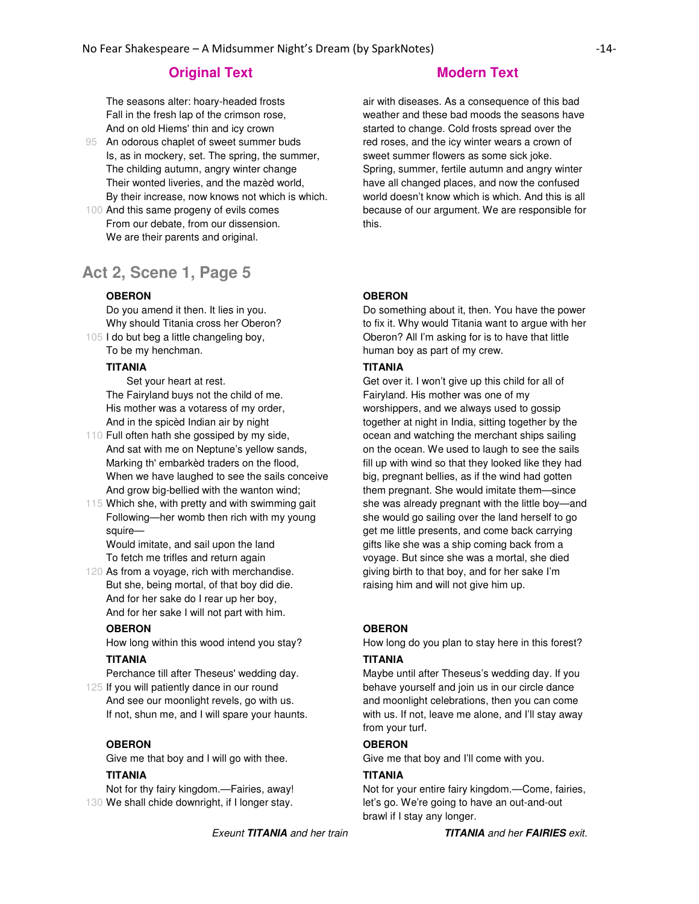The seasons alter: hoary-headed frosts Fall in the fresh lap of the crimson rose, And on old Hiems' thin and icy crown

- 95 An odorous chaplet of sweet summer buds Is, as in mockery, set. The spring, the summer, The childing autumn, angry winter change Their wonted liveries, and the mazèd world, By their increase, now knows not which is which.
- 100 And this same progeny of evils comes From our debate, from our dissension. We are their parents and original.

# **Act 2, Scene 1, Page 5**

# **OBERON**

105 I do but beg a little changeling boy, Do you amend it then. It lies in you. Why should Titania cross her Oberon? To be my henchman.

# **TITANIA**

 Set your heart at rest. The Fairyland buys not the child of me. His mother was a votaress of my order, And in the spicèd Indian air by night

- 110 Full often hath she gossiped by my side, And sat with me on Neptune's yellow sands, Marking th' embarkèd traders on the flood, When we have laughed to see the sails conceive And grow big-bellied with the wanton wind;
- 115 Which she, with pretty and with swimming gait Following—her womb then rich with my young squire—

Would imitate, and sail upon the land To fetch me trifles and return again

120 As from a voyage, rich with merchandise. But she, being mortal, of that boy did die. And for her sake do I rear up her boy, And for her sake I will not part with him.

# **OBERON**

How long within this wood intend you stay?

#### **TITANIA**

Perchance till after Theseus' wedding day.

125 If you will patiently dance in our round And see our moonlight revels, go with us. If not, shun me, and I will spare your haunts.

#### **OBERON**

Give me that boy and I will go with thee.

## **TITANIA**

130 We shall chide downright, if I longer stay. Not for thy fairy kingdom.—Fairies, away!

air with diseases. As a consequence of this bad weather and these bad moods the seasons have started to change. Cold frosts spread over the red roses, and the icy winter wears a crown of sweet summer flowers as some sick joke. Spring, summer, fertile autumn and angry winter have all changed places, and now the confused world doesn't know which is which. And this is all because of our argument. We are responsible for this.

#### **OBERON**

Do something about it, then. You have the power to fix it. Why would Titania want to argue with her Oberon? All I'm asking for is to have that little human boy as part of my crew.

#### **TITANIA**

Get over it. I won't give up this child for all of Fairyland. His mother was one of my worshippers, and we always used to gossip together at night in India, sitting together by the ocean and watching the merchant ships sailing on the ocean. We used to laugh to see the sails fill up with wind so that they looked like they had big, pregnant bellies, as if the wind had gotten them pregnant. She would imitate them—since she was already pregnant with the little boy—and she would go sailing over the land herself to go get me little presents, and come back carrying gifts like she was a ship coming back from a voyage. But since she was a mortal, she died giving birth to that boy, and for her sake I'm raising him and will not give him up.

#### **OBERON**

How long do you plan to stay here in this forest?

#### **TITANIA**

Maybe until after Theseus's wedding day. If you behave yourself and join us in our circle dance and moonlight celebrations, then you can come with us. If not, leave me alone, and I'll stay away from your turf.

### **OBERON**

Give me that boy and I'll come with you.

#### **TITANIA**

Not for your entire fairy kingdom.—Come, fairies, let's go. We're going to have an out-and-out brawl if I stay any longer.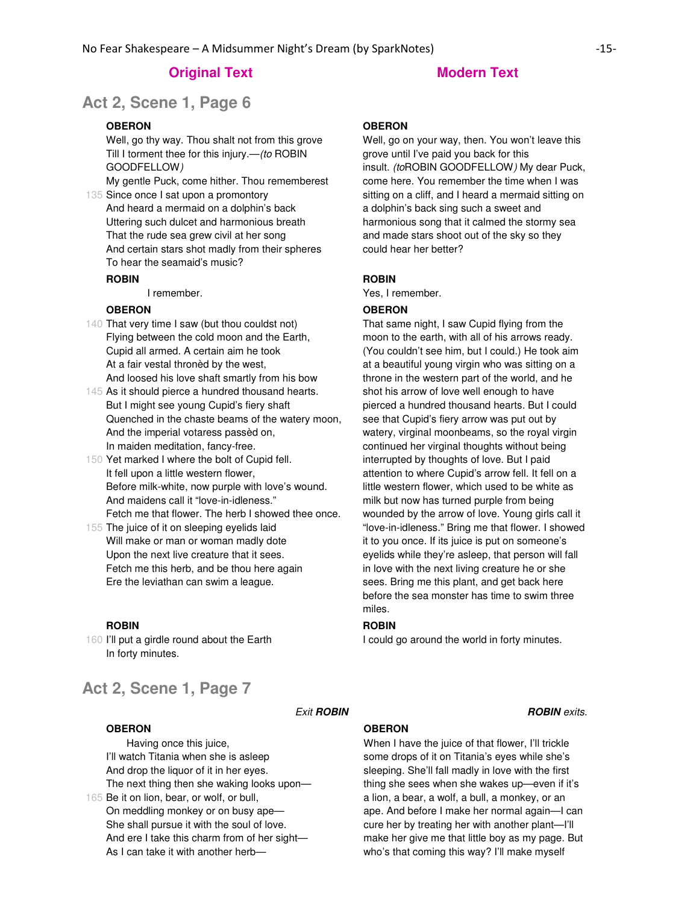# **Original Text Modern Text**

# **Act 2, Scene 1, Page 6**

# **OBERON**

Well, go thy way. Thou shalt not from this grove Till I torment thee for this injury.—(to ROBIN GOODFELLOW)

My gentle Puck, come hither. Thou rememberest

135 Since once I sat upon a promontory And heard a mermaid on a dolphin's back Uttering such dulcet and harmonious breath That the rude sea grew civil at her song And certain stars shot madly from their spheres To hear the seamaid's music?

#### **ROBIN**

I remember.

# **OBERON**

- 140 That very time I saw (but thou couldst not) Flying between the cold moon and the Earth, Cupid all armed. A certain aim he took At a fair vestal thronèd by the west, And loosed his love shaft smartly from his bow
- 145 As it should pierce a hundred thousand hearts. But I might see young Cupid's fiery shaft Quenched in the chaste beams of the watery moon, And the imperial votaress passèd on, In maiden meditation, fancy-free.
- 150 Yet marked I where the bolt of Cupid fell. It fell upon a little western flower, Before milk-white, now purple with love's wound. And maidens call it "love-in-idleness." Fetch me that flower. The herb I showed thee once.
- 155 The juice of it on sleeping eyelids laid Will make or man or woman madly dote Upon the next live creature that it sees. Fetch me this herb, and be thou here again Ere the leviathan can swim a league.

#### **ROBIN**

160 I'll put a girdle round about the Earth In forty minutes.

# **Act 2, Scene 1, Page 7**

#### **OBERON**

165 Be it on lion, bear, or wolf, or bull, Having once this juice, I'll watch Titania when she is asleep And drop the liquor of it in her eyes. The next thing then she waking looks upon— On meddling monkey or on busy ape— She shall pursue it with the soul of love.

And ere I take this charm from of her sight— As I can take it with another herb—

#### **OBERON**

Well, go on your way, then. You won't leave this grove until I've paid you back for this insult. (toROBIN GOODFELLOW) My dear Puck, come here. You remember the time when I was sitting on a cliff, and I heard a mermaid sitting on a dolphin's back sing such a sweet and harmonious song that it calmed the stormy sea and made stars shoot out of the sky so they could hear her better?

#### **ROBIN**

Yes, I remember.

## **OBERON**

That same night, I saw Cupid flying from the moon to the earth, with all of his arrows ready. (You couldn't see him, but I could.) He took aim at a beautiful young virgin who was sitting on a throne in the western part of the world, and he shot his arrow of love well enough to have pierced a hundred thousand hearts. But I could see that Cupid's fiery arrow was put out by watery, virginal moonbeams, so the royal virgin continued her virginal thoughts without being interrupted by thoughts of love. But I paid attention to where Cupid's arrow fell. It fell on a little western flower, which used to be white as milk but now has turned purple from being wounded by the arrow of love. Young girls call it "love-in-idleness." Bring me that flower. I showed it to you once. If its juice is put on someone's eyelids while they're asleep, that person will fall in love with the next living creature he or she sees. Bring me this plant, and get back here before the sea monster has time to swim three miles.

#### **ROBIN**

I could go around the world in forty minutes.

**Exit ROBIN ROBIN ROBIN ROBIN** 

### **OBERON**

When I have the juice of that flower, I'll trickle some drops of it on Titania's eyes while she's sleeping. She'll fall madly in love with the first thing she sees when she wakes up—even if it's a lion, a bear, a wolf, a bull, a monkey, or an ape. And before I make her normal again—I can cure her by treating her with another plant—I'll make her give me that little boy as my page. But who's that coming this way? I'll make myself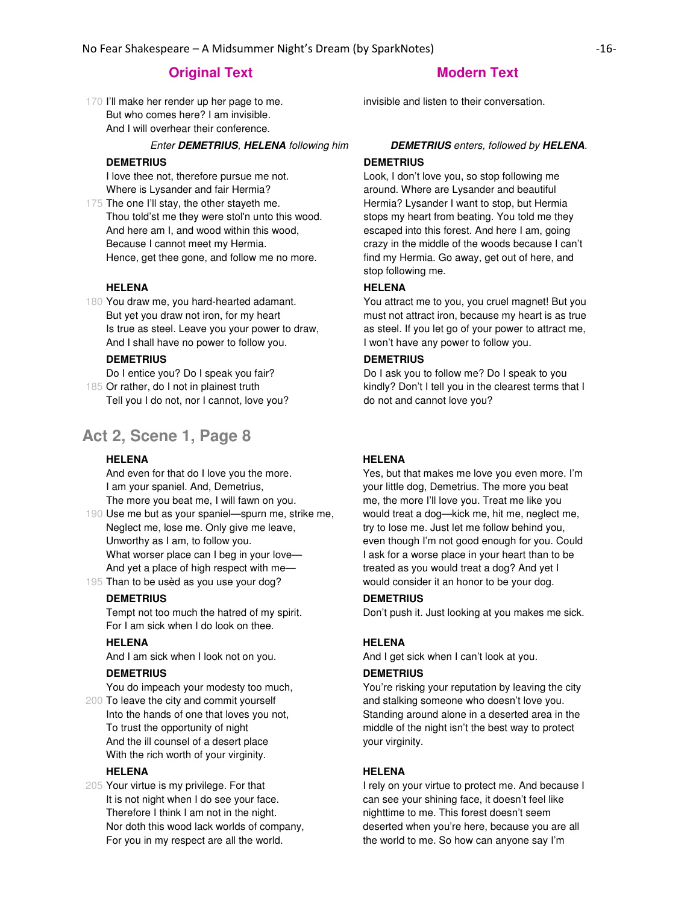# **Original Text Modern Text**

170 I'll make her render up her page to me. But who comes here? I am invisible. And I will overhear their conference.

#### Enter **DEMETRIUS**, **HELENA** following him **DEMETRIUS** enters, followed by **HELENA**.

#### **DEMETRIUS**

I love thee not, therefore pursue me not. Where is Lysander and fair Hermia?

175 The one I'll stay, the other stayeth me. Thou told'st me they were stol'n unto this wood. And here am I, and wood within this wood, Because I cannot meet my Hermia. Hence, get thee gone, and follow me no more.

#### **HELENA**

180 You draw me, you hard-hearted adamant. But yet you draw not iron, for my heart Is true as steel. Leave you your power to draw, And I shall have no power to follow you.

## **DEMETRIUS**

185 Or rather, do I not in plainest truth Do I entice you? Do I speak you fair? Tell you I do not, nor I cannot, love you?

# **Act 2, Scene 1, Page 8**

## **HELENA**

And even for that do I love you the more. I am your spaniel. And, Demetrius, The more you beat me, I will fawn on you.

190 Use me but as your spaniel—spurn me, strike me, Neglect me, lose me. Only give me leave, Unworthy as I am, to follow you. What worser place can I beg in your love— And yet a place of high respect with me—

195 Than to be usèd as you use your dog?

## **DEMETRIUS**

Tempt not too much the hatred of my spirit. For I am sick when I do look on thee.

# **HELENA**

And I am sick when I look not on you.

#### **DEMETRIUS**

You do impeach your modesty too much,

200 To leave the city and commit yourself Into the hands of one that loves you not, To trust the opportunity of night And the ill counsel of a desert place With the rich worth of your virginity.

### **HELENA**

205 Your virtue is my privilege. For that It is not night when I do see your face. Therefore I think I am not in the night. Nor doth this wood lack worlds of company, For you in my respect are all the world.

invisible and listen to their conversation.

### **DEMETRIUS**

Look, I don't love you, so stop following me around. Where are Lysander and beautiful Hermia? Lysander I want to stop, but Hermia stops my heart from beating. You told me they escaped into this forest. And here I am, going crazy in the middle of the woods because I can't find my Hermia. Go away, get out of here, and stop following me.

# **HELENA**

You attract me to you, you cruel magnet! But you must not attract iron, because my heart is as true as steel. If you let go of your power to attract me, I won't have any power to follow you.

#### **DEMETRIUS**

Do I ask you to follow me? Do I speak to you kindly? Don't I tell you in the clearest terms that I do not and cannot love you?

# **HELENA**

Yes, but that makes me love you even more. I'm your little dog, Demetrius. The more you beat me, the more I'll love you. Treat me like you would treat a dog—kick me, hit me, neglect me, try to lose me. Just let me follow behind you, even though I'm not good enough for you. Could I ask for a worse place in your heart than to be treated as you would treat a dog? And yet I would consider it an honor to be your dog.

### **DEMETRIUS**

Don't push it. Just looking at you makes me sick.

#### **HELENA**

And I get sick when I can't look at you.

#### **DEMETRIUS**

You're risking your reputation by leaving the city and stalking someone who doesn't love you. Standing around alone in a deserted area in the middle of the night isn't the best way to protect your virginity.

#### **HELENA**

I rely on your virtue to protect me. And because I can see your shining face, it doesn't feel like nighttime to me. This forest doesn't seem deserted when you're here, because you are all the world to me. So how can anyone say I'm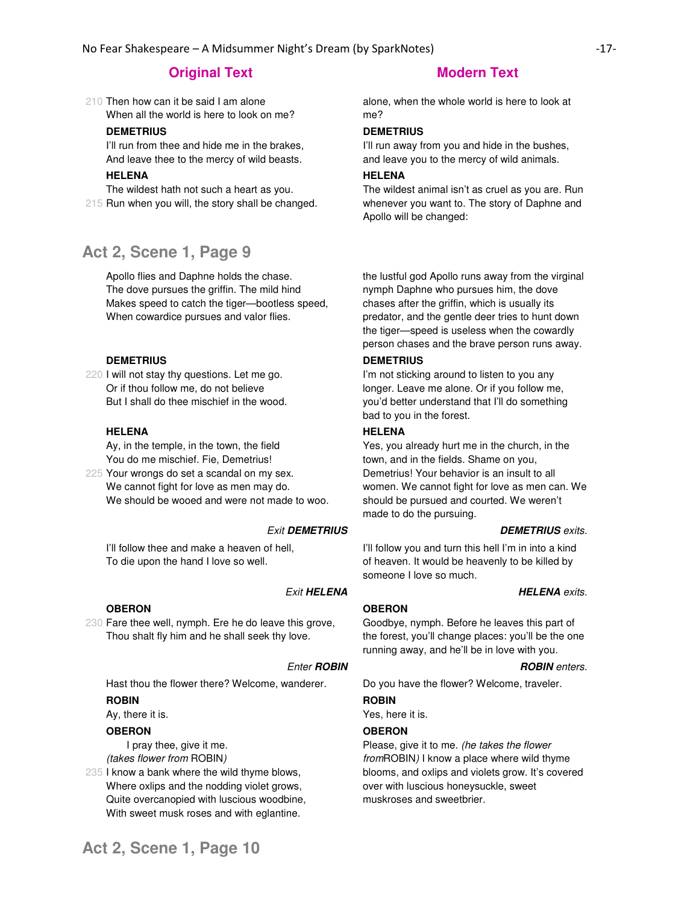210 Then how can it be said I am alone When all the world is here to look on me?

# **DEMETRIUS**

I'll run from thee and hide me in the brakes, And leave thee to the mercy of wild beasts.

# **HELENA**

215 Run when you will, the story shall be changed. The wildest hath not such a heart as you.

# **Act 2, Scene 1, Page 9**

Apollo flies and Daphne holds the chase. The dove pursues the griffin. The mild hind Makes speed to catch the tiger—bootless speed, When cowardice pursues and valor flies.

#### **DEMETRIUS**

220 I will not stay thy questions. Let me go. Or if thou follow me, do not believe But I shall do thee mischief in the wood.

#### **HELENA**

Ay, in the temple, in the town, the field You do me mischief. Fie, Demetrius!

225 Your wrongs do set a scandal on my sex. We cannot fight for love as men may do. We should be wooed and were not made to woo.

I'll follow thee and make a heaven of hell, To die upon the hand I love so well.

# **OBERON**

230 Fare thee well, nymph. Ere he do leave this grove, Thou shalt fly him and he shall seek thy love.

#### **Enter ROBIN ROBIN ROBIN** enters.

Hast thou the flower there? Welcome, wanderer. Do you have the flower? Welcome, traveler.

#### **ROBIN**

Ay, there it is.

#### **OBERON**

 I pray thee, give it me. (takes flower from ROBIN)

235 I know a bank where the wild thyme blows, Where oxlips and the nodding violet grows, Quite overcanopied with luscious woodbine, With sweet musk roses and with eglantine.

alone, when the whole world is here to look at me?

### **DEMETRIUS**

I'll run away from you and hide in the bushes, and leave you to the mercy of wild animals.

# **HELENA**

The wildest animal isn't as cruel as you are. Run whenever you want to. The story of Daphne and Apollo will be changed:

the lustful god Apollo runs away from the virginal nymph Daphne who pursues him, the dove chases after the griffin, which is usually its predator, and the gentle deer tries to hunt down the tiger—speed is useless when the cowardly person chases and the brave person runs away.

### **DEMETRIUS**

I'm not sticking around to listen to you any longer. Leave me alone. Or if you follow me, you'd better understand that I'll do something bad to you in the forest.

#### **HELENA**

Yes, you already hurt me in the church, in the town, and in the fields. Shame on you, Demetrius! Your behavior is an insult to all women. We cannot fight for love as men can. We should be pursued and courted. We weren't made to do the pursuing.

#### Exit **DEMETRIUS DEMETRIUS** exits.

I'll follow you and turn this hell I'm in into a kind of heaven. It would be heavenly to be killed by someone I love so much.

#### **Exit HELENA HELENA** exits.

#### **OBERON**

Goodbye, nymph. Before he leaves this part of the forest, you'll change places: you'll be the one running away, and he'll be in love with you.

#### **ROBIN**

Yes, here it is.

#### **OBERON**

Please, give it to me. (he takes the flower fromROBIN) I know a place where wild thyme blooms, and oxlips and violets grow. It's covered over with luscious honeysuckle, sweet muskroses and sweetbrier.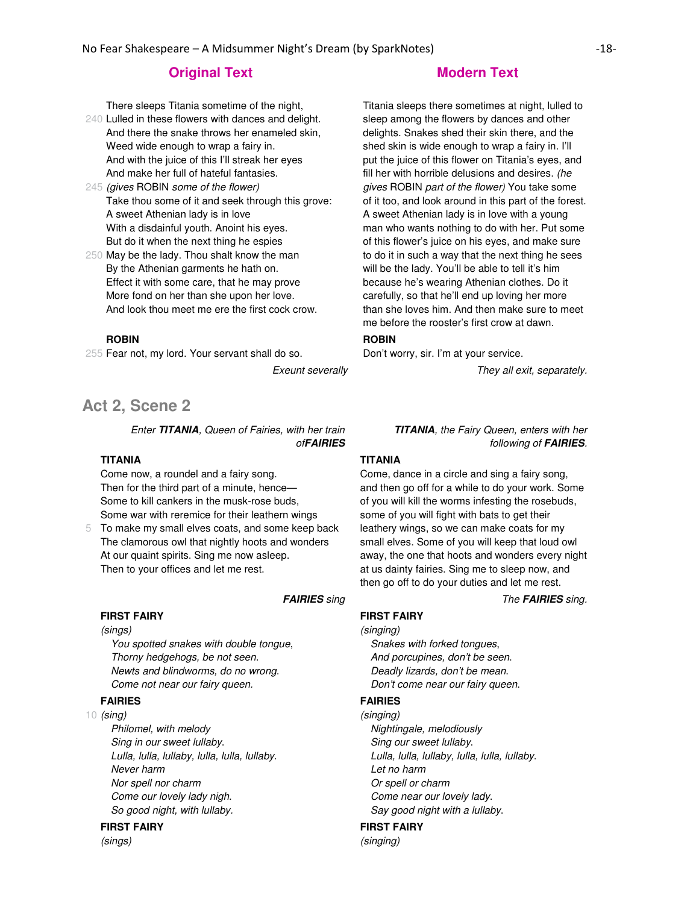There sleeps Titania sometime of the night,

- 240 Lulled in these flowers with dances and delight. And there the snake throws her enameled skin, Weed wide enough to wrap a fairy in. And with the juice of this I'll streak her eyes And make her full of hateful fantasies.
- 245 (gives ROBIN some of the flower) Take thou some of it and seek through this grove: A sweet Athenian lady is in love With a disdainful youth. Anoint his eyes. But do it when the next thing he espies
- 250 May be the lady. Thou shalt know the man By the Athenian garments he hath on. Effect it with some care, that he may prove More fond on her than she upon her love. And look thou meet me ere the first cock crow.

## **ROBIN**

255 Fear not, my lord. Your servant shall do so.

# **Act 2, Scene 2**

Enter **TITANIA**, Queen of Fairies, with her train of**FAIRIES**

#### **TITANIA**

Come now, a roundel and a fairy song. Then for the third part of a minute, hence— Some to kill cankers in the musk-rose buds, Some war with reremice for their leathern wings

5 To make my small elves coats, and some keep back The clamorous owl that nightly hoots and wonders At our quaint spirits. Sing me now asleep. Then to your offices and let me rest.

#### **FIRST FAIRY** (sings)

You spotted snakes with double tongue, Thorny hedgehogs, be not seen. Newts and blindworms, do no wrong. Come not near our fairy queen.

#### **FAIRIES**

10 (sing)

Philomel, with melody Sing in our sweet lullaby. Lulla, lulla, lullaby, lulla, lulla, lullaby. Never harm Nor spell nor charm Come our lovely lady nigh. So good night, with lullaby.

#### **FIRST FAIRY**

(sings)

Titania sleeps there sometimes at night, lulled to sleep among the flowers by dances and other delights. Snakes shed their skin there, and the shed skin is wide enough to wrap a fairy in. I'll put the juice of this flower on Titania's eyes, and fill her with horrible delusions and desires. (he gives ROBIN part of the flower) You take some of it too, and look around in this part of the forest. A sweet Athenian lady is in love with a young man who wants nothing to do with her. Put some of this flower's juice on his eyes, and make sure to do it in such a way that the next thing he sees will be the lady. You'll be able to tell it's him because he's wearing Athenian clothes. Do it carefully, so that he'll end up loving her more than she loves him. And then make sure to meet me before the rooster's first crow at dawn.

# **ROBIN**

Don't worry, sir. I'm at your service.

Exeunt severally example of the section of the They all exit, separately.

**TITANIA**, the Fairy Queen, enters with her following of **FAIRIES**.

### **TITANIA**

Come, dance in a circle and sing a fairy song, and then go off for a while to do your work. Some of you will kill the worms infesting the rosebuds, some of you will fight with bats to get their leathery wings, so we can make coats for my small elves. Some of you will keep that loud owl away, the one that hoots and wonders every night at us dainty fairies. Sing me to sleep now, and then go off to do your duties and let me rest.

**FAIRIES** sing The **FAIRIES** sing.

#### **FIRST FAIRY**

#### (singing)

Snakes with forked tongues, And porcupines, don't be seen. Deadly lizards, don't be mean. Don't come near our fairy queen.

### **FAIRIES**

(singing) Nightingale, melodiously Sing our sweet lullaby. Lulla, lulla, lullaby, lulla, lulla, lullaby. Let no harm Or spell or charm Come near our lovely lady. Say good night with a lullaby.

#### **FIRST FAIRY**

(singing)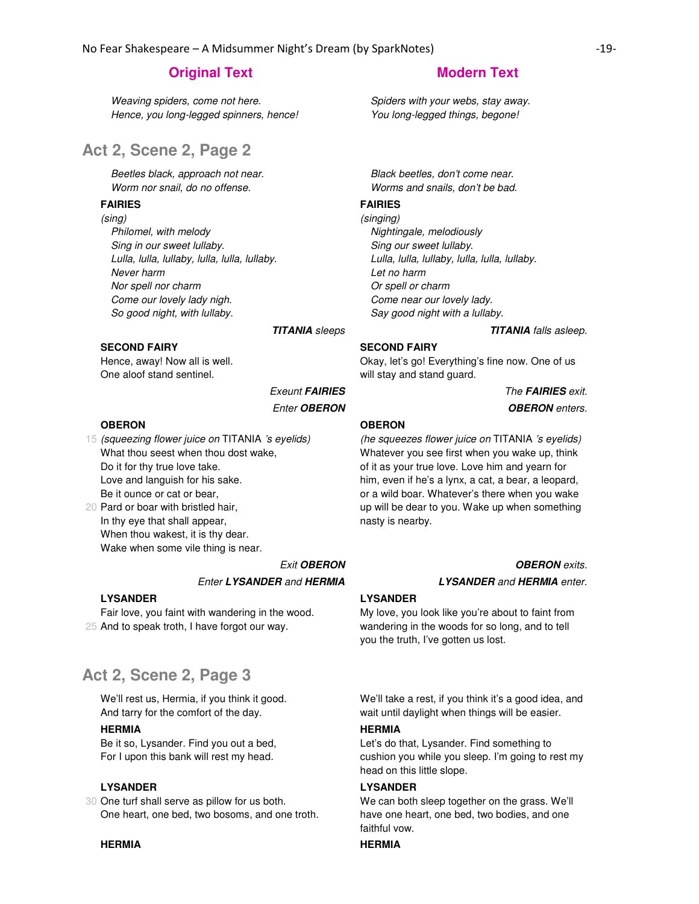Weaving spiders, come not here. Hence, you long-legged spinners, hence!

# **Act 2, Scene 2, Page 2**

Beetles black, approach not near. Worm nor snail, do no offense.

# **FAIRIES**

(sing)

Philomel, with melody Sing in our sweet lullaby. Lulla, lulla, lullaby, lulla, lulla, lullaby. Never harm Nor spell nor charm Come our lovely lady nigh. So good night, with lullaby.

# **SECOND FAIRY**

Hence, away! Now all is well. One aloof stand sentinel.

#### **OBERON**

15 (squeezing flower juice on TITANIA 's eyelids) 20 Pard or boar with bristled hair, What thou seest when thou dost wake, Do it for thy true love take. Love and languish for his sake. Be it ounce or cat or bear,

In thy eye that shall appear, When thou wakest, it is thy dear. Wake when some vile thing is near.

## Exit **OBERON OBERON** exits.

#### Enter **LYSANDER** and **HERMIA LYSANDER** and **HERMIA** enter.

**LYSANDER**

25 And to speak troth, I have forgot our way. Fair love, you faint with wandering in the wood.

# **Act 2, Scene 2, Page 3**

We'll rest us, Hermia, if you think it good. And tarry for the comfort of the day.

#### **HERMIA**

Be it so, Lysander. Find you out a bed, For I upon this bank will rest my head.

#### **LYSANDER**

30 One turf shall serve as pillow for us both. One heart, one bed, two bosoms, and one troth.

#### **HERMIA HERMIA**

# **Original Text Modern Text Modern Text**

Spiders with your webs, stay away. You long-legged things, begone!

Black beetles, don't come near. Worms and snails, don't be bad.

# **FAIRIES**

(singing) Nightingale, melodiously Sing our sweet lullaby. Lulla, lulla, lullaby, lulla, lulla, lullaby. Let no harm Or spell or charm Come near our lovely lady. Say good night with a lullaby.

**TITANIA** sleeps **TITANIA** falls asleep.

#### **SECOND FAIRY**

Okay, let's go! Everything's fine now. One of us will stay and stand guard.

**Exeunt FAIRIES** The FAIRIES exit. Enter **OBERON OBERON** enters.

#### **OBERON**

(he squeezes flower juice on TITANIA 's eyelids) Whatever you see first when you wake up, think of it as your true love. Love him and yearn for him, even if he's a lynx, a cat, a bear, a leopard, or a wild boar. Whatever's there when you wake up will be dear to you. Wake up when something nasty is nearby.

#### **LYSANDER**

My love, you look like you're about to faint from wandering in the woods for so long, and to tell you the truth, I've gotten us lost.

We'll take a rest, if you think it's a good idea, and wait until daylight when things will be easier.

#### **HERMIA**

Let's do that, Lysander. Find something to cushion you while you sleep. I'm going to rest my head on this little slope.

#### **LYSANDER**

We can both sleep together on the grass. We'll have one heart, one bed, two bodies, and one faithful vow.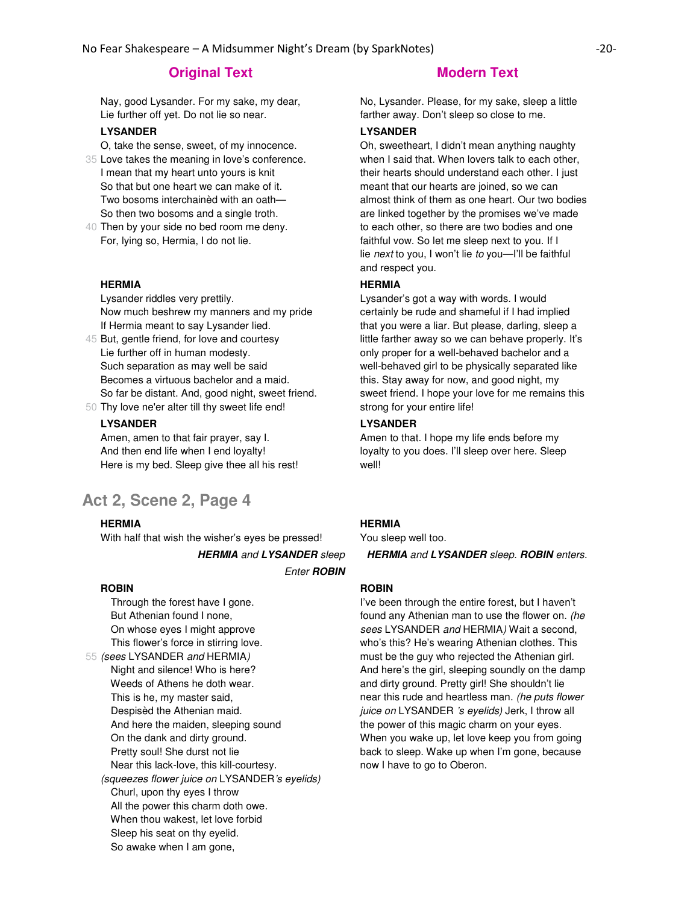Nay, good Lysander. For my sake, my dear, Lie further off yet. Do not lie so near.

#### **LYSANDER**

- O, take the sense, sweet, of my innocence.
- 35 Love takes the meaning in love's conference. I mean that my heart unto yours is knit So that but one heart we can make of it. Two bosoms interchainèd with an oath— So then two bosoms and a single troth.
- 40 Then by your side no bed room me deny. For, lying so, Hermia, I do not lie.

#### **HERMIA**

Lysander riddles very prettily. Now much beshrew my manners and my pride If Hermia meant to say Lysander lied.

- 45 But, gentle friend, for love and courtesy Lie further off in human modesty. Such separation as may well be said Becomes a virtuous bachelor and a maid. So far be distant. And, good night, sweet friend.
- 50 Thy love ne'er alter till thy sweet life end!

#### **LYSANDER**

Amen, amen to that fair prayer, say I. And then end life when I end loyalty! Here is my bed. Sleep give thee all his rest!

# **Act 2, Scene 2, Page 4**

#### **HERMIA**

With half that wish the wisher's eyes be pressed!

Enter **ROBIN**

#### **ROBIN**

55 (sees LYSANDER and HERMIA) Through the forest have I gone. But Athenian found I none, On whose eyes I might approve This flower's force in stirring love. Night and silence! Who is here? Weeds of Athens he doth wear. This is he, my master said, Despisèd the Athenian maid. And here the maiden, sleeping sound On the dank and dirty ground. Pretty soul! She durst not lie Near this lack-love, this kill-courtesy. (squeezes flower juice on LYSANDER's eyelids) Churl, upon thy eyes I throw All the power this charm doth owe. When thou wakest, let love forbid Sleep his seat on thy eyelid. So awake when I am gone,

No, Lysander. Please, for my sake, sleep a little farther away. Don't sleep so close to me.

### **LYSANDER**

Oh, sweetheart, I didn't mean anything naughty when I said that. When lovers talk to each other, their hearts should understand each other. I just meant that our hearts are joined, so we can almost think of them as one heart. Our two bodies are linked together by the promises we've made to each other, so there are two bodies and one faithful vow. So let me sleep next to you. If I lie next to you, I won't lie to you—I'll be faithful and respect you.

#### **HERMIA**

Lysander's got a way with words. I would certainly be rude and shameful if I had implied that you were a liar. But please, darling, sleep a little farther away so we can behave properly. It's only proper for a well-behaved bachelor and a well-behaved girl to be physically separated like this. Stay away for now, and good night, my sweet friend. I hope your love for me remains this strong for your entire life!

### **LYSANDER**

Amen to that. I hope my life ends before my loyalty to you does. I'll sleep over here. Sleep well!

#### **HERMIA**

You sleep well too.

**HERMIA** and **LYSANDER** sleep **HERMIA** and **LYSANDER** sleep. **ROBIN** enters.

#### **ROBIN**

I've been through the entire forest, but I haven't found any Athenian man to use the flower on. (he sees LYSANDER and HERMIA) Wait a second, who's this? He's wearing Athenian clothes. This must be the guy who rejected the Athenian girl. And here's the girl, sleeping soundly on the damp and dirty ground. Pretty girl! She shouldn't lie near this rude and heartless man. (he puts flower juice on LYSANDER 's eyelids) Jerk, I throw all the power of this magic charm on your eyes. When you wake up, let love keep you from going back to sleep. Wake up when I'm gone, because now I have to go to Oberon.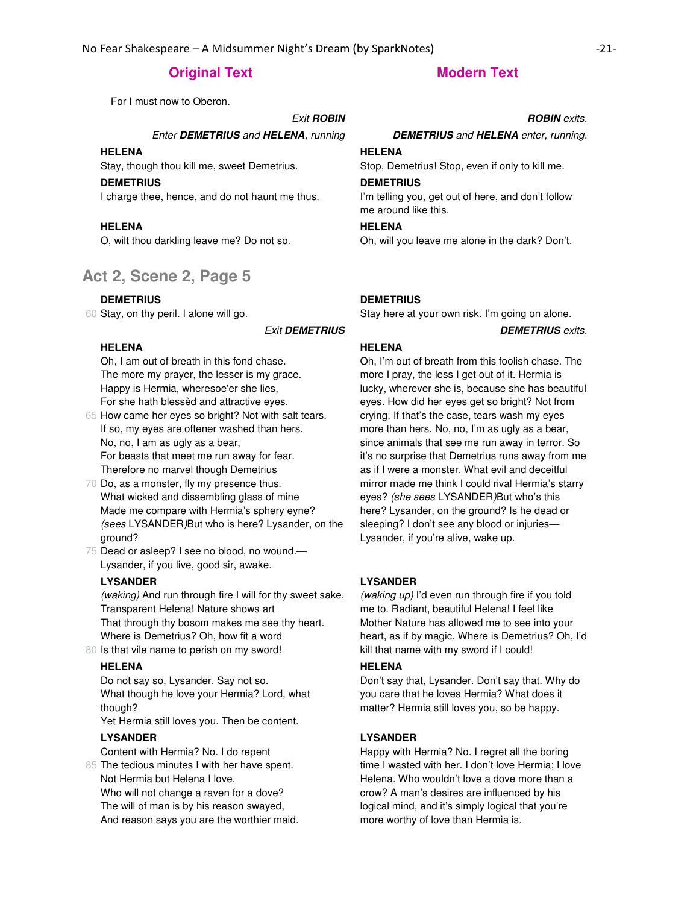For I must now to Oberon.

#### **Exit ROBIN Exit ROBIN ROBIN ROBIN ROBIN**

Enter **DEMETRIUS** and **HELENA**, running **DEMETRIUS** and **HELENA** enter, running.

# **HELENA**

Stay, though thou kill me, sweet Demetrius.

# **DEMETRIUS**

I charge thee, hence, and do not haunt me thus.

# **HELENA**

O, wilt thou darkling leave me? Do not so.

# **Act 2, Scene 2, Page 5**

#### **DEMETRIUS**

60 Stay, on thy peril. I alone will go.

Exit **DEMETRIUS DEMETRIUS** exits.

## **HELENA**

Oh, I am out of breath in this fond chase. The more my prayer, the lesser is my grace. Happy is Hermia, wheresoe'er she lies, For she hath blessèd and attractive eyes.

65 How came her eyes so bright? Not with salt tears. If so, my eyes are oftener washed than hers. No, no, I am as ugly as a bear, For beasts that meet me run away for fear. Therefore no marvel though Demetrius

- 70 Do, as a monster, fly my presence thus. What wicked and dissembling glass of mine Made me compare with Hermia's sphery eyne? (sees LYSANDER)But who is here? Lysander, on the ground?
- 75 Dead or asleep? I see no blood, no wound.— Lysander, if you live, good sir, awake.

#### **LYSANDER**

(waking) And run through fire I will for thy sweet sake. Transparent Helena! Nature shows art That through thy bosom makes me see thy heart. Where is Demetrius? Oh, how fit a word

80 Is that vile name to perish on my sword!

# **HELENA**

Do not say so, Lysander. Say not so. What though he love your Hermia? Lord, what though?

Yet Hermia still loves you. Then be content.

## **LYSANDER**

Content with Hermia? No. I do repent

85 The tedious minutes I with her have spent. Not Hermia but Helena I love. Who will not change a raven for a dove? The will of man is by his reason swayed, And reason says you are the worthier maid.

## **HELENA**

Stop, Demetrius! Stop, even if only to kill me.

#### **DEMETRIUS**

I'm telling you, get out of here, and don't follow me around like this.

# **HELENA**

Oh, will you leave me alone in the dark? Don't.

#### **DEMETRIUS**

Stay here at your own risk. I'm going on alone.

#### **HELENA**

Oh, I'm out of breath from this foolish chase. The more I pray, the less I get out of it. Hermia is lucky, wherever she is, because she has beautiful eyes. How did her eyes get so bright? Not from crying. If that's the case, tears wash my eyes more than hers. No, no, I'm as ugly as a bear, since animals that see me run away in terror. So it's no surprise that Demetrius runs away from me as if I were a monster. What evil and deceitful mirror made me think I could rival Hermia's starry eyes? (she sees LYSANDER)But who's this here? Lysander, on the ground? Is he dead or sleeping? I don't see any blood or injuries— Lysander, if you're alive, wake up.

#### **LYSANDER**

(waking up) I'd even run through fire if you told me to. Radiant, beautiful Helena! I feel like Mother Nature has allowed me to see into your heart, as if by magic. Where is Demetrius? Oh, I'd kill that name with my sword if I could!

#### **HELENA**

Don't say that, Lysander. Don't say that. Why do you care that he loves Hermia? What does it matter? Hermia still loves you, so be happy.

#### **LYSANDER**

Happy with Hermia? No. I regret all the boring time I wasted with her. I don't love Hermia; I love Helena. Who wouldn't love a dove more than a crow? A man's desires are influenced by his logical mind, and it's simply logical that you're more worthy of love than Hermia is.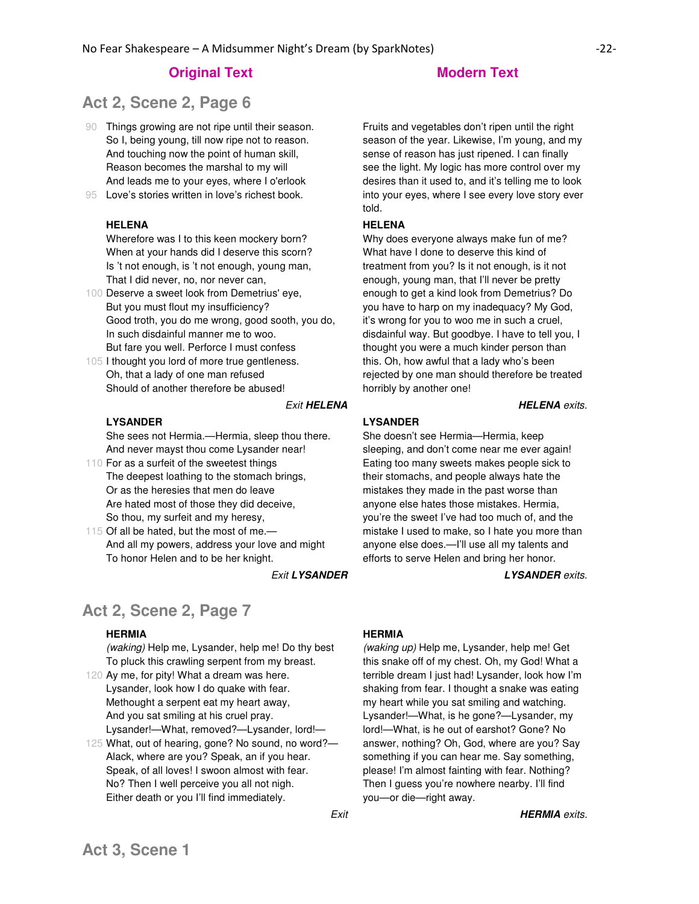# **Act 2, Scene 2, Page 6**

- 90 Things growing are not ripe until their season. So I, being young, till now ripe not to reason. And touching now the point of human skill, Reason becomes the marshal to my will And leads me to your eyes, where I o'erlook
- 95 Love's stories written in love's richest book.

## **HELENA**

Wherefore was I to this keen mockery born? When at your hands did I deserve this scorn? Is 't not enough, is 't not enough, young man, That I did never, no, nor never can,

- 100 Deserve a sweet look from Demetrius' eye, But you must flout my insufficiency? Good troth, you do me wrong, good sooth, you do, In such disdainful manner me to woo. But fare you well. Perforce I must confess
- 105 I thought you lord of more true gentleness. Oh, that a lady of one man refused Should of another therefore be abused!

#### Exit **HELENA HELENA** exits.

#### **LYSANDER**

She sees not Hermia.—Hermia, sleep thou there. And never mayst thou come Lysander near!

- 110 For as a surfeit of the sweetest things The deepest loathing to the stomach brings, Or as the heresies that men do leave Are hated most of those they did deceive, So thou, my surfeit and my heresy,
- 115 Of all be hated, but the most of me.— And all my powers, address your love and might To honor Helen and to be her knight.

# **Act 2, Scene 2, Page 7**

# **HERMIA**

(waking) Help me, Lysander, help me! Do thy best To pluck this crawling serpent from my breast.

- 120 Ay me, for pity! What a dream was here. Lysander, look how I do quake with fear. Methought a serpent eat my heart away, And you sat smiling at his cruel pray. Lysander!—What, removed?—Lysander, lord!—
- 125 What, out of hearing, gone? No sound, no word?— Alack, where are you? Speak, an if you hear. Speak, of all loves! I swoon almost with fear. No? Then I well perceive you all not nigh. Either death or you I'll find immediately.

Fruits and vegetables don't ripen until the right season of the year. Likewise, I'm young, and my sense of reason has just ripened. I can finally see the light. My logic has more control over my desires than it used to, and it's telling me to look into your eyes, where I see every love story ever told.

#### **HELENA**

Why does everyone always make fun of me? What have I done to deserve this kind of treatment from you? Is it not enough, is it not enough, young man, that I'll never be pretty enough to get a kind look from Demetrius? Do you have to harp on my inadequacy? My God, it's wrong for you to woo me in such a cruel, disdainful way. But goodbye. I have to tell you, I thought you were a much kinder person than this. Oh, how awful that a lady who's been rejected by one man should therefore be treated horribly by another one!

#### **LYSANDER**

She doesn't see Hermia—Hermia, keep sleeping, and don't come near me ever again! Eating too many sweets makes people sick to their stomachs, and people always hate the mistakes they made in the past worse than anyone else hates those mistakes. Hermia, you're the sweet I've had too much of, and the mistake I used to make, so I hate you more than anyone else does.—I'll use all my talents and efforts to serve Helen and bring her honor.

Exit **LYSANDER LYSANDER** exits.

#### **HERMIA**

(waking up) Help me, Lysander, help me! Get this snake off of my chest. Oh, my God! What a terrible dream I just had! Lysander, look how I'm shaking from fear. I thought a snake was eating my heart while you sat smiling and watching. Lysander!—What, is he gone?—Lysander, my lord!—What, is he out of earshot? Gone? No answer, nothing? Oh, God, where are you? Say something if you can hear me. Say something, please! I'm almost fainting with fear. Nothing? Then I guess you're nowhere nearby. I'll find you—or die—right away.

Exit **HERMIA** exits.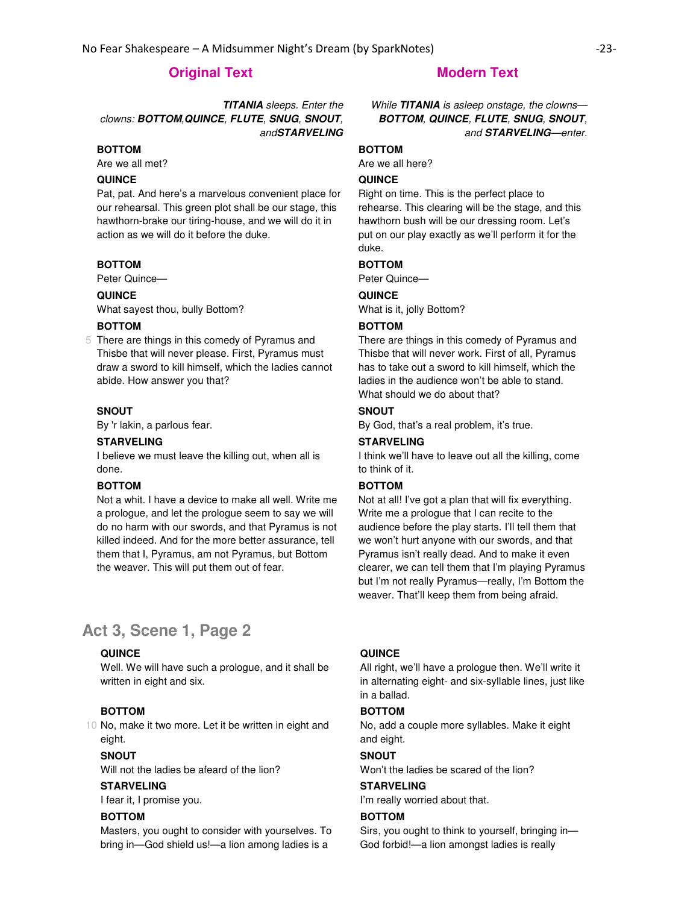# **TITANIA** sleeps. Enter the clowns: **BOTTOM**,**QUINCE**, **FLUTE**, **SNUG**, **SNOUT**, and**STARVELING**

### **BOTTOM**

Are we all met?

### **QUINCE**

Pat, pat. And here's a marvelous convenient place for our rehearsal. This green plot shall be our stage, this hawthorn-brake our tiring-house, and we will do it in action as we will do it before the duke.

#### **BOTTOM**

Peter Quince—

# **QUINCE**

What sayest thou, bully Bottom?

## **BOTTOM**

5 There are things in this comedy of Pyramus and Thisbe that will never please. First, Pyramus must draw a sword to kill himself, which the ladies cannot abide. How answer you that?

#### **SNOUT**

By 'r lakin, a parlous fear.

#### **STARVELING**

I believe we must leave the killing out, when all is done.

### **BOTTOM**

Not a whit. I have a device to make all well. Write me a prologue, and let the prologue seem to say we will do no harm with our swords, and that Pyramus is not killed indeed. And for the more better assurance, tell them that I, Pyramus, am not Pyramus, but Bottom the weaver. This will put them out of fear.

# **Act 3, Scene 1, Page 2**

### **QUINCE**

Well. We will have such a prologue, and it shall be written in eight and six.

### **BOTTOM**

10 No, make it two more. Let it be written in eight and eight.

#### **SNOUT**

Will not the ladies be afeard of the lion?

#### **STARVELING**

I fear it, I promise you.

#### **BOTTOM**

Masters, you ought to consider with yourselves. To bring in—God shield us!—a lion among ladies is a

While **TITANIA** is asleep onstage, the clowns— **BOTTOM**, **QUINCE**, **FLUTE**, **SNUG**, **SNOUT**, and **STARVELING**—enter.

#### **BOTTOM**

Are we all here?

#### **QUINCE**

Right on time. This is the perfect place to rehearse. This clearing will be the stage, and this hawthorn bush will be our dressing room. Let's put on our play exactly as we'll perform it for the duke.

#### **BOTTOM**

Peter Quince—

# **QUINCE**

What is it, jolly Bottom?

#### **BOTTOM**

There are things in this comedy of Pyramus and Thisbe that will never work. First of all, Pyramus has to take out a sword to kill himself, which the ladies in the audience won't be able to stand. What should we do about that?

#### **SNOUT**

By God, that's a real problem, it's true.

#### **STARVELING**

I think we'll have to leave out all the killing, come to think of it.

### **BOTTOM**

Not at all! I've got a plan that will fix everything. Write me a prologue that I can recite to the audience before the play starts. I'll tell them that we won't hurt anyone with our swords, and that Pyramus isn't really dead. And to make it even clearer, we can tell them that I'm playing Pyramus but I'm not really Pyramus—really, I'm Bottom the weaver. That'll keep them from being afraid.

### **QUINCE**

All right, we'll have a prologue then. We'll write it in alternating eight- and six-syllable lines, just like in a ballad.

#### **BOTTOM**

No, add a couple more syllables. Make it eight and eight.

# **SNOUT**

Won't the ladies be scared of the lion?

#### **STARVELING**

I'm really worried about that.

#### **BOTTOM**

Sirs, you ought to think to yourself, bringing in— God forbid!—a lion amongst ladies is really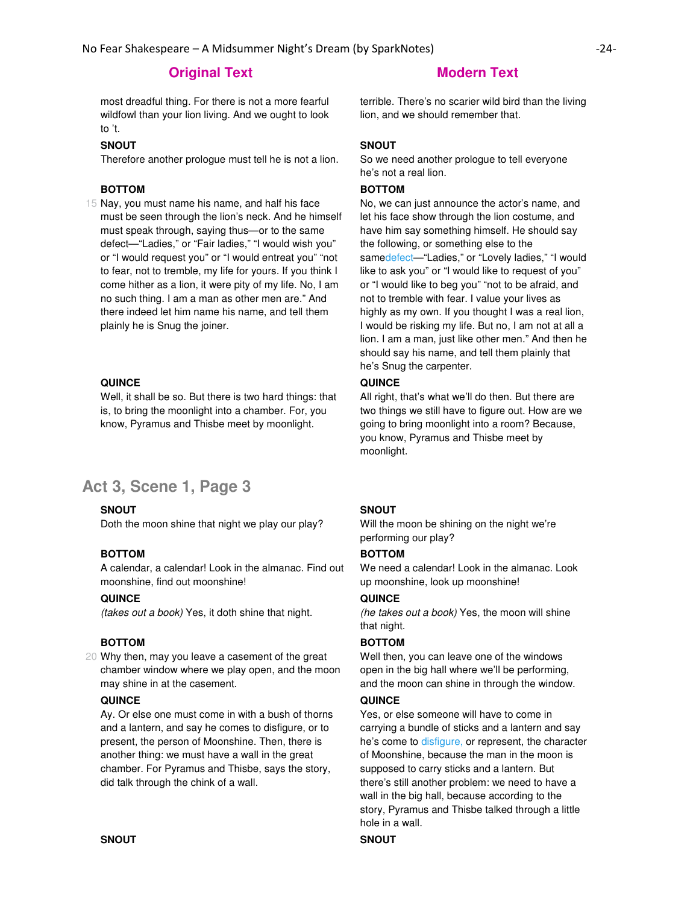most dreadful thing. For there is not a more fearful wildfowl than your lion living. And we ought to look to 't.

#### **SNOUT**

Therefore another prologue must tell he is not a lion.

# **BOTTOM**

15 Nay, you must name his name, and half his face must be seen through the lion's neck. And he himself must speak through, saying thus—or to the same defect—"Ladies," or "Fair ladies," "I would wish you" or "I would request you" or "I would entreat you" "not to fear, not to tremble, my life for yours. If you think I come hither as a lion, it were pity of my life. No, I am no such thing. I am a man as other men are." And there indeed let him name his name, and tell them plainly he is Snug the joiner.

## **QUINCE**

Well, it shall be so. But there is two hard things: that is, to bring the moonlight into a chamber. For, you know, Pyramus and Thisbe meet by moonlight.

# **Act 3, Scene 1, Page 3**

## **SNOUT**

Doth the moon shine that night we play our play?

### **BOTTOM**

A calendar, a calendar! Look in the almanac. Find out moonshine, find out moonshine!

## **QUINCE**

(takes out a book) Yes, it doth shine that night.

### **BOTTOM**

20 Why then, may you leave a casement of the great chamber window where we play open, and the moon may shine in at the casement.

### **QUINCE**

Ay. Or else one must come in with a bush of thorns and a lantern, and say he comes to disfigure, or to present, the person of Moonshine. Then, there is another thing: we must have a wall in the great chamber. For Pyramus and Thisbe, says the story, did talk through the chink of a wall.

terrible. There's no scarier wild bird than the living lion, and we should remember that.

### **SNOUT**

So we need another prologue to tell everyone he's not a real lion.

### **BOTTOM**

No, we can just announce the actor's name, and let his face show through the lion costume, and have him say something himself. He should say the following, or something else to the samedefect-"Ladies," or "Lovely ladies," "I would like to ask you" or "I would like to request of you" or "I would like to beg you" "not to be afraid, and not to tremble with fear. I value your lives as highly as my own. If you thought I was a real lion, I would be risking my life. But no, I am not at all a lion. I am a man, just like other men." And then he should say his name, and tell them plainly that he's Snug the carpenter.

# **QUINCE**

All right, that's what we'll do then. But there are two things we still have to figure out. How are we going to bring moonlight into a room? Because, you know, Pyramus and Thisbe meet by moonlight.

#### **SNOUT**

Will the moon be shining on the night we're performing our play?

### **BOTTOM**

We need a calendar! Look in the almanac. Look up moonshine, look up moonshine!

### **QUINCE**

(he takes out a book) Yes, the moon will shine that night.

#### **BOTTOM**

Well then, you can leave one of the windows open in the big hall where we'll be performing, and the moon can shine in through the window.

#### **QUINCE**

Yes, or else someone will have to come in carrying a bundle of sticks and a lantern and say he's come to disfigure, or represent, the character of Moonshine, because the man in the moon is supposed to carry sticks and a lantern. But there's still another problem: we need to have a wall in the big hall, because according to the story, Pyramus and Thisbe talked through a little hole in a wall.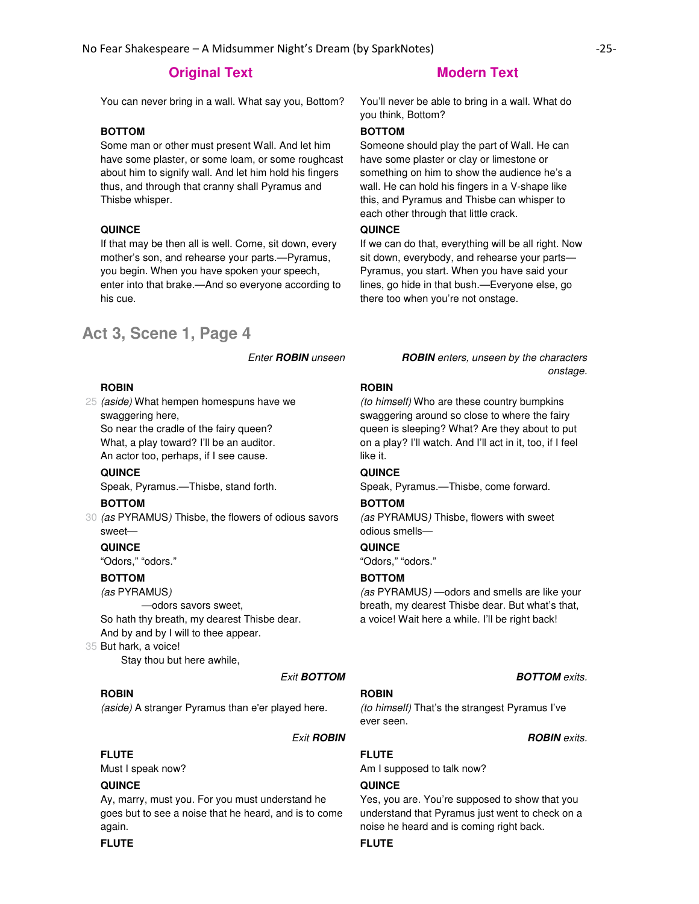You can never bring in a wall. What say you, Bottom? You'll never be able to bring in a wall. What do

# **BOTTOM**

Some man or other must present Wall. And let him have some plaster, or some loam, or some roughcast about him to signify wall. And let him hold his fingers thus, and through that cranny shall Pyramus and Thisbe whisper.

# **QUINCE**

If that may be then all is well. Come, sit down, every mother's son, and rehearse your parts.—Pyramus, you begin. When you have spoken your speech, enter into that brake.—And so everyone according to his cue.

# **Act 3, Scene 1, Page 4**

#### **ROBIN**

25 (aside) What hempen homespuns have we swaggering here,

So near the cradle of the fairy queen? What, a play toward? I'll be an auditor. An actor too, perhaps, if I see cause.

**QUINCE**

Speak, Pyramus.—Thisbe, stand forth.

#### **BOTTOM**

30 (as PYRAMUS) Thisbe, the flowers of odious savors sweet—

#### **QUINCE**

"Odors," "odors."

# **BOTTOM**

(as PYRAMUS)

—odors savors sweet,

So hath thy breath, my dearest Thisbe dear. And by and by I will to thee appear.

35 But hark, a voice!

Stay thou but here awhile,

#### **Exit BOTTOM BOTTOM** exits.

#### **ROBIN**

(aside) A stranger Pyramus than e'er played here.

### **FLUTE**

Must I speak now?

## **QUINCE**

Ay, marry, must you. For you must understand he goes but to see a noise that he heard, and is to come again.

you think, Bottom?

# **BOTTOM**

Someone should play the part of Wall. He can have some plaster or clay or limestone or something on him to show the audience he's a wall. He can hold his fingers in a V-shape like this, and Pyramus and Thisbe can whisper to each other through that little crack.

#### **QUINCE**

If we can do that, everything will be all right. Now sit down, everybody, and rehearse your parts— Pyramus, you start. When you have said your lines, go hide in that bush.—Everyone else, go there too when you're not onstage.

Enter **ROBIN** unseen **ROBIN** enters, unseen by the characters onstage.

#### **ROBIN**

(to himself) Who are these country bumpkins swaggering around so close to where the fairy queen is sleeping? What? Are they about to put on a play? I'll watch. And I'll act in it, too, if I feel like it.

#### **QUINCE**

Speak, Pyramus.—Thisbe, come forward.

#### **BOTTOM**

(as PYRAMUS) Thisbe, flowers with sweet odious smells—

### **QUINCE**

"Odors," "odors."

## **BOTTOM**

(as PYRAMUS) —odors and smells are like your breath, my dearest Thisbe dear. But what's that, a voice! Wait here a while. I'll be right back!

# **ROBIN**

(to himself) That's the strangest Pyramus I've ever seen.

**Exit ROBIN Exit ROBIN ROBIN ROBIN ROBIN** 

Am I supposed to talk now?

#### **QUINCE**

**FLUTE**

Yes, you are. You're supposed to show that you understand that Pyramus just went to check on a noise he heard and is coming right back.

### **FLUTE FLUTE**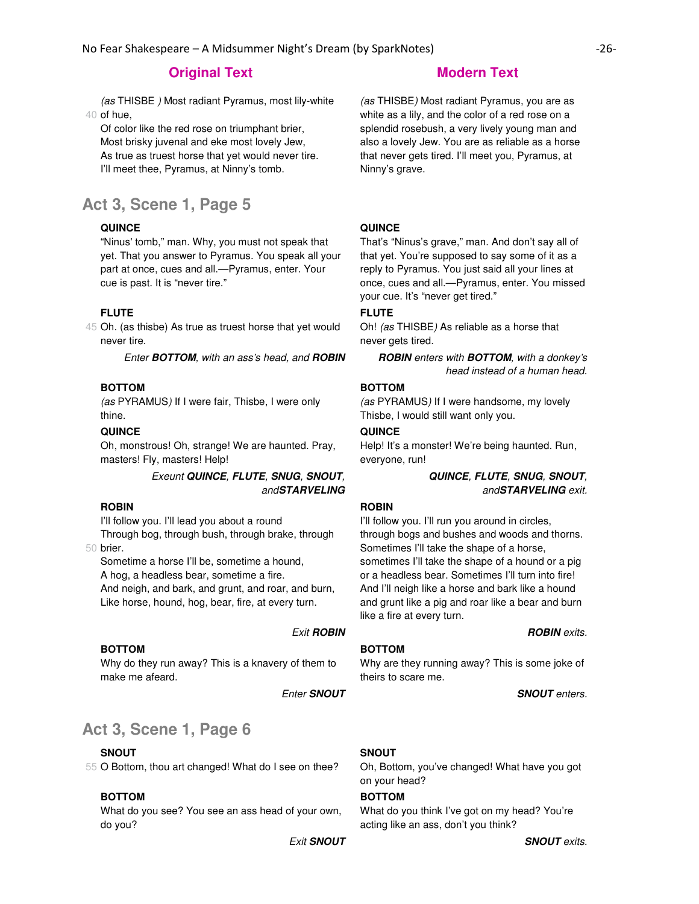40 of hue, (as THISBE ) Most radiant Pyramus, most lily-white

Of color like the red rose on triumphant brier, Most brisky juvenal and eke most lovely Jew, As true as truest horse that yet would never tire. I'll meet thee, Pyramus, at Ninny's tomb.

# **Act 3, Scene 1, Page 5**

#### **QUINCE**

"Ninus' tomb," man. Why, you must not speak that yet. That you answer to Pyramus. You speak all your part at once, cues and all.—Pyramus, enter. Your cue is past. It is "never tire."

#### **FLUTE**

45 Oh. (as thisbe) As true as truest horse that yet would never tire.

Enter **BOTTOM**, with an ass's head, and **ROBIN ROBIN** enters with **BOTTOM**, with a donkey's

#### **BOTTOM**

(as PYRAMUS) If I were fair, Thisbe, I were only thine.

## **QUINCE**

Oh, monstrous! Oh, strange! We are haunted. Pray, masters! Fly, masters! Help!

# Exeunt **QUINCE**, **FLUTE**, **SNUG**, **SNOUT**, and**STARVELING**

## **ROBIN**

I'll follow you. I'll lead you about a round

50 brier. Through bog, through bush, through brake, through

Sometime a horse I'll be, sometime a hound, A hog, a headless bear, sometime a fire. And neigh, and bark, and grunt, and roar, and burn, Like horse, hound, hog, bear, fire, at every turn.

#### **Exit ROBIN Exit ROBIN ROBIN** exits.

#### **BOTTOM**

Why do they run away? This is a knavery of them to make me afeard.

# **Act 3, Scene 1, Page 6**

## **SNOUT**

55 O Bottom, thou art changed! What do I see on thee?

# **BOTTOM**

What do you see? You see an ass head of your own, do you?

(as THISBE) Most radiant Pyramus, you are as white as a lily, and the color of a red rose on a splendid rosebush, a very lively young man and also a lovely Jew. You are as reliable as a horse that never gets tired. I'll meet you, Pyramus, at Ninny's grave.

#### **QUINCE**

That's "Ninus's grave," man. And don't say all of that yet. You're supposed to say some of it as a reply to Pyramus. You just said all your lines at once, cues and all.—Pyramus, enter. You missed your cue. It's "never get tired."

### **FLUTE**

Oh! (as THISBE) As reliable as a horse that never gets tired.

head instead of a human head.

#### **BOTTOM**

(as PYRAMUS) If I were handsome, my lovely Thisbe, I would still want only you.

### **QUINCE**

Help! It's a monster! We're being haunted. Run, everyone, run!

> **QUINCE**, **FLUTE**, **SNUG**, **SNOUT**, and**STARVELING** exit.

# **ROBIN**

I'll follow you. I'll run you around in circles, through bogs and bushes and woods and thorns. Sometimes I'll take the shape of a horse, sometimes I'll take the shape of a hound or a pig or a headless bear. Sometimes I'll turn into fire! And I'll neigh like a horse and bark like a hound and grunt like a pig and roar like a bear and burn like a fire at every turn.

#### **BOTTOM**

Why are they running away? This is some joke of theirs to scare me.

Enter **SNOUT SNOUT** enters.

## **SNOUT**

Oh, Bottom, you've changed! What have you got on your head?

## **BOTTOM**

What do you think I've got on my head? You're acting like an ass, don't you think?

Exit **SNOUT SNOUT** exits.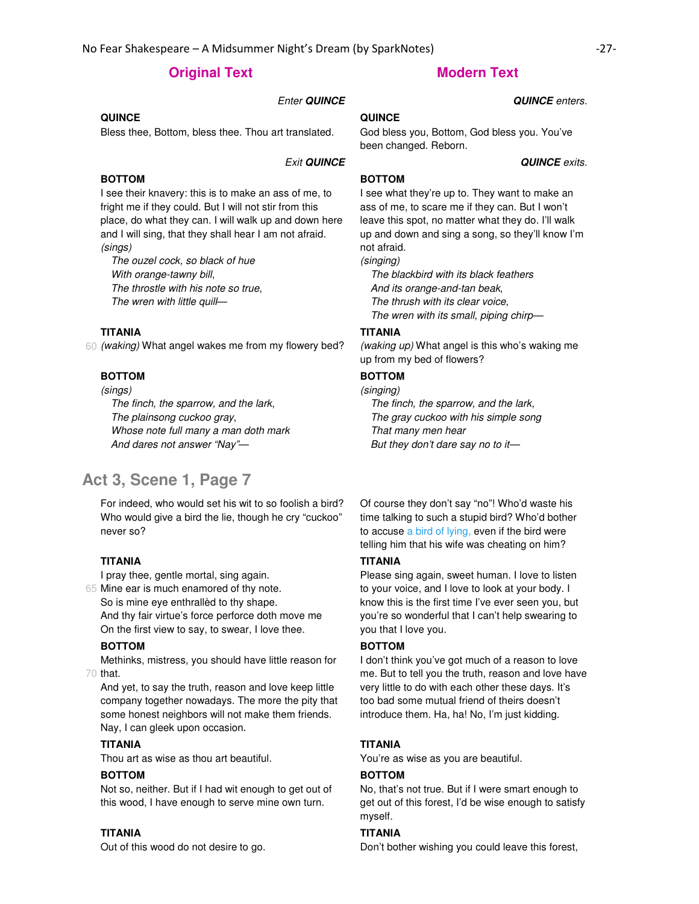## Enter **QUINCE QUINCE** enters.

#### **QUINCE**

Bless thee, Bottom, bless thee. Thou art translated.

#### Exit **QUINCE QUINCE** exits.

### **BOTTOM**

I see their knavery: this is to make an ass of me, to fright me if they could. But I will not stir from this place, do what they can. I will walk up and down here and I will sing, that they shall hear I am not afraid. (sings)

The ouzel cock, so black of hue With orange-tawny bill, The throstle with his note so true, The wren with little quill-

#### **TITANIA**

60 (waking) What angel wakes me from my flowery bed?

#### **BOTTOM**

(sings)

The finch, the sparrow, and the lark, The plainsong cuckoo gray, Whose note full many a man doth mark And dares not answer "Nay"—

# **Act 3, Scene 1, Page 7**

For indeed, who would set his wit to so foolish a bird? Who would give a bird the lie, though he cry "cuckoo" never so?

#### **TITANIA**

I pray thee, gentle mortal, sing again.

65 Mine ear is much enamored of thy note. So is mine eye enthrallèd to thy shape. And thy fair virtue's force perforce doth move me On the first view to say, to swear, I love thee.

#### **BOTTOM**

70 that. Methinks, mistress, you should have little reason for

And yet, to say the truth, reason and love keep little company together nowadays. The more the pity that some honest neighbors will not make them friends. Nay, I can gleek upon occasion.

#### **TITANIA**

Thou art as wise as thou art beautiful.

#### **BOTTOM**

Not so, neither. But if I had wit enough to get out of this wood, I have enough to serve mine own turn.

#### **TITANIA**

Out of this wood do not desire to go.

### **QUINCE**

God bless you, Bottom, God bless you. You've

been changed. Reborn.

**BOTTOM**

I see what they're up to. They want to make an ass of me, to scare me if they can. But I won't leave this spot, no matter what they do. I'll walk up and down and sing a song, so they'll know I'm not afraid.

(singing)

The blackbird with its black feathers And its orange-and-tan beak, The thrush with its clear voice, The wren with its small, piping chirp—

#### **TITANIA**

(waking up) What angel is this who's waking me up from my bed of flowers?

# **BOTTOM**

# (singing)

The finch, the sparrow, and the lark, The gray cuckoo with his simple song That many men hear But they don't dare say no to it—

Of course they don't say "no"! Who'd waste his time talking to such a stupid bird? Who'd bother to accuse a bird of lying, even if the bird were telling him that his wife was cheating on him?

#### **TITANIA**

Please sing again, sweet human. I love to listen to your voice, and I love to look at your body. I know this is the first time I've ever seen you, but you're so wonderful that I can't help swearing to you that I love you.

### **BOTTOM**

I don't think you've got much of a reason to love me. But to tell you the truth, reason and love have very little to do with each other these days. It's too bad some mutual friend of theirs doesn't introduce them. Ha, ha! No, I'm just kidding.

#### **TITANIA**

You're as wise as you are beautiful.

#### **BOTTOM**

No, that's not true. But if I were smart enough to get out of this forest, I'd be wise enough to satisfy myself.

#### **TITANIA**

Don't bother wishing you could leave this forest,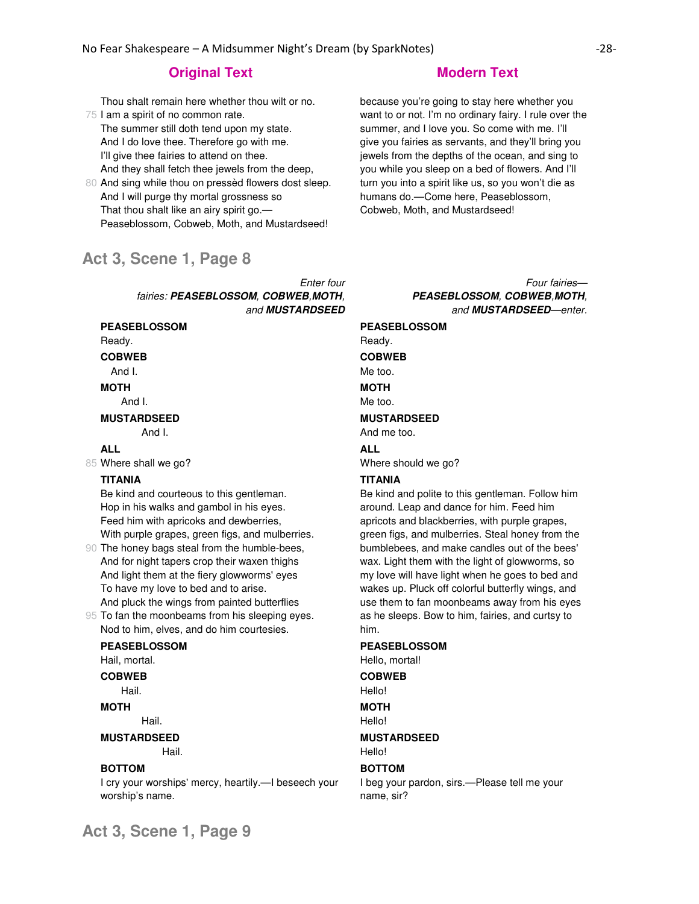75 I am a spirit of no common rate. Thou shalt remain here whether thou wilt or no.

The summer still doth tend upon my state. And I do love thee. Therefore go with me. I'll give thee fairies to attend on thee. And they shall fetch thee jewels from the deep,

80 And sing while thou on pressèd flowers dost sleep. And I will purge thy mortal grossness so That thou shalt like an airy spirit go.— Peaseblossom, Cobweb, Moth, and Mustardseed!

# **Act 3, Scene 1, Page 8**

Enter four fairies: **PEASEBLOSSOM**, **COBWEB**,**MOTH**, and **MUSTARDSEED**

# **PEASEBLOSSOM**

Ready.

# **COBWEB**

And I.

#### **MOTH**

And I.

#### **MUSTARDSEED** And I.

#### **ALL**

85 Where shall we go?

#### **TITANIA**

Be kind and courteous to this gentleman. Hop in his walks and gambol in his eyes. Feed him with apricoks and dewberries, With purple grapes, green figs, and mulberries.

90 The honey bags steal from the humble-bees, And for night tapers crop their waxen thighs And light them at the fiery glowworms' eyes To have my love to bed and to arise. And pluck the wings from painted butterflies

95 To fan the moonbeams from his sleeping eyes. Nod to him, elves, and do him courtesies.

#### **PEASEBLOSSOM**

Hail, mortal.

**COBWEB**

Hail.

#### **MOTH**

Hail.

# **MUSTARDSEED**

Hail.

#### **BOTTOM**

I cry your worships' mercy, heartily.—I beseech your worship's name.

because you're going to stay here whether you want to or not. I'm no ordinary fairy. I rule over the summer, and I love you. So come with me. I'll give you fairies as servants, and they'll bring you jewels from the depths of the ocean, and sing to you while you sleep on a bed of flowers. And I'll turn you into a spirit like us, so you won't die as humans do.—Come here, Peaseblossom, Cobweb, Moth, and Mustardseed!

> Four fairies— **PEASEBLOSSOM**, **COBWEB**,**MOTH**, and **MUSTARDSEED**—enter.

# **PEASEBLOSSOM** Ready. **COBWEB** Me too. **MOTH**

Me too.

#### **MUSTARDSEED** And me too.

**ALL**

Where should we go?

#### **TITANIA**

Be kind and polite to this gentleman. Follow him around. Leap and dance for him. Feed him apricots and blackberries, with purple grapes, green figs, and mulberries. Steal honey from the bumblebees, and make candles out of the bees' wax. Light them with the light of glowworms, so my love will have light when he goes to bed and wakes up. Pluck off colorful butterfly wings, and use them to fan moonbeams away from his eyes as he sleeps. Bow to him, fairies, and curtsy to him.

### **PEASEBLOSSOM**

Hello, mortal!

**COBWEB** Hello!

**MOTH**

Hello!

#### **MUSTARDSEED** Hello!

#### **BOTTOM**

I beg your pardon, sirs.—Please tell me your name, sir?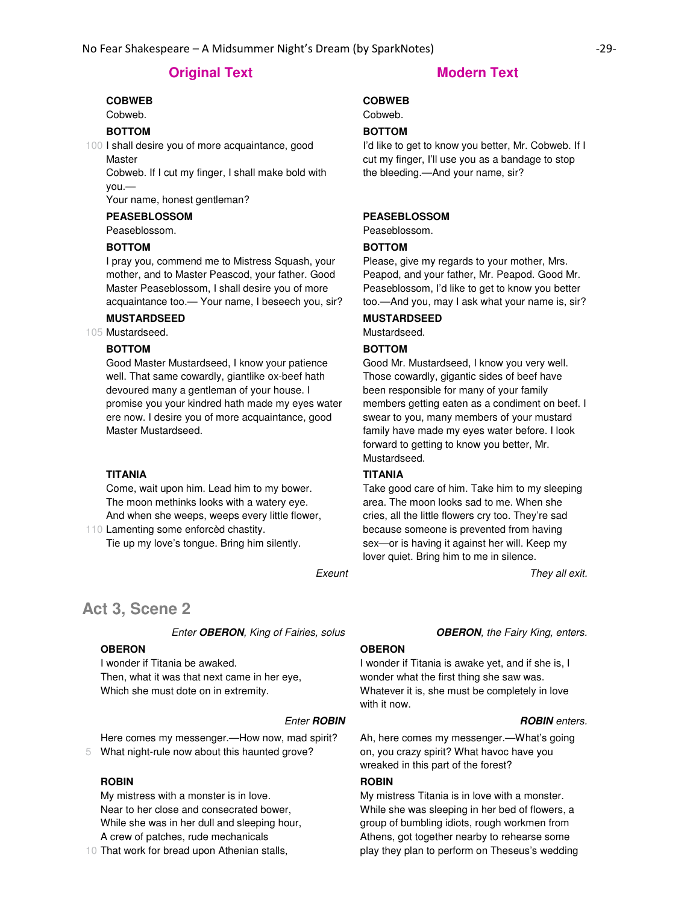## **COBWEB**

Cobweb.

# **BOTTOM**

100 I shall desire you of more acquaintance, good Master

Cobweb. If I cut my finger, I shall make bold with you.—

Your name, honest gentleman?

# **PEASEBLOSSOM**

Peaseblossom.

#### **BOTTOM**

I pray you, commend me to Mistress Squash, your mother, and to Master Peascod, your father. Good Master Peaseblossom, I shall desire you of more acquaintance too.— Your name, I beseech you, sir?

# **MUSTARDSEED**

105 Mustardseed.

# **BOTTOM**

Good Master Mustardseed, I know your patience well. That same cowardly, giantlike ox-beef hath devoured many a gentleman of your house. I promise you your kindred hath made my eyes water ere now. I desire you of more acquaintance, good Master Mustardseed.

#### **TITANIA**

110 Lamenting some enforcèd chastity. Come, wait upon him. Lead him to my bower. The moon methinks looks with a watery eye. And when she weeps, weeps every little flower,

Tie up my love's tongue. Bring him silently.

# **Act 3, Scene 2**

Enter **OBERON**, King of Fairies, solus **OBERON**, the Fairy King, enters.

#### **OBERON**

I wonder if Titania be awaked. Then, what it was that next came in her eye, Which she must dote on in extremity.

#### **Enter ROBIN Enter ROBIN ROBIN** enters.

5 What night-rule now about this haunted grove? Here comes my messenger.—How now, mad spirit?

#### **ROBIN**

My mistress with a monster is in love. Near to her close and consecrated bower, While she was in her dull and sleeping hour, A crew of patches, rude mechanicals

10 That work for bread upon Athenian stalls,

#### **COBWEB**

Cobweb.

## **BOTTOM**

I'd like to get to know you better, Mr. Cobweb. If I cut my finger, I'll use you as a bandage to stop the bleeding.—And your name, sir?

#### **PEASEBLOSSOM**

Peaseblossom.

#### **BOTTOM**

Please, give my regards to your mother, Mrs. Peapod, and your father, Mr. Peapod. Good Mr. Peaseblossom, I'd like to get to know you better too.—And you, may I ask what your name is, sir?

#### **MUSTARDSEED**

Mustardseed.

#### **BOTTOM**

Good Mr. Mustardseed, I know you very well. Those cowardly, gigantic sides of beef have been responsible for many of your family members getting eaten as a condiment on beef. I swear to you, many members of your mustard family have made my eyes water before. I look forward to getting to know you better, Mr. Mustardseed.

#### **TITANIA**

Take good care of him. Take him to my sleeping area. The moon looks sad to me. When she cries, all the little flowers cry too. They're sad because someone is prevented from having sex—or is having it against her will. Keep my lover quiet. Bring him to me in silence.

Exeunt They all exit.

#### **OBERON**

I wonder if Titania is awake yet, and if she is, I wonder what the first thing she saw was. Whatever it is, she must be completely in love with it now.

Ah, here comes my messenger.—What's going on, you crazy spirit? What havoc have you wreaked in this part of the forest?

#### **ROBIN**

My mistress Titania is in love with a monster. While she was sleeping in her bed of flowers, a group of bumbling idiots, rough workmen from Athens, got together nearby to rehearse some play they plan to perform on Theseus's wedding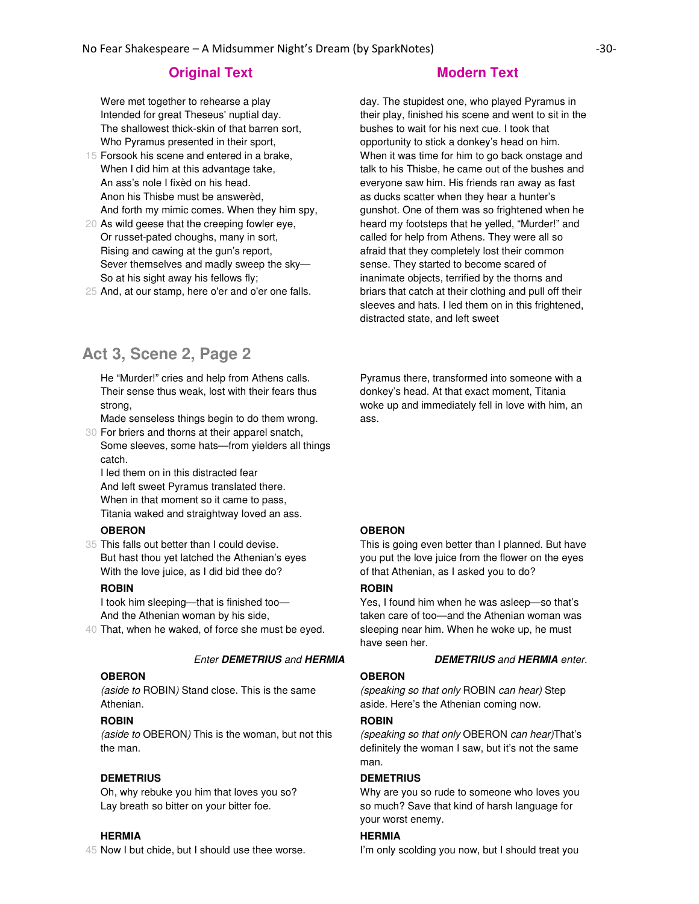Were met together to rehearse a play Intended for great Theseus' nuptial day. The shallowest thick-skin of that barren sort, Who Pyramus presented in their sport,

- 15 Forsook his scene and entered in a brake, When I did him at this advantage take, An ass's nole I fixèd on his head. Anon his Thisbe must be answerèd, And forth my mimic comes. When they him spy,
- 20 As wild geese that the creeping fowler eye, Or russet-pated choughs, many in sort, Rising and cawing at the gun's report, Sever themselves and madly sweep the sky— So at his sight away his fellows fly;
- 25 And, at our stamp, here o'er and o'er one falls.

# **Act 3, Scene 2, Page 2**

He "Murder!" cries and help from Athens calls. Their sense thus weak, lost with their fears thus strong,

30 For briers and thorns at their apparel snatch, Made senseless things begin to do them wrong.

Some sleeves, some hats—from yielders all things catch.

I led them on in this distracted fear And left sweet Pyramus translated there. When in that moment so it came to pass, Titania waked and straightway loved an ass.

## **OBERON**

35 This falls out better than I could devise. But hast thou yet latched the Athenian's eyes With the love juice, as I did bid thee do?

### **ROBIN**

I took him sleeping—that is finished too— And the Athenian woman by his side,

40 That, when he waked, of force she must be eyed.

#### **OBERON**

(aside to ROBIN) Stand close. This is the same Athenian.

## **ROBIN**

(aside to OBERON) This is the woman, but not this the man.

## **DEMETRIUS**

Oh, why rebuke you him that loves you so? Lay breath so bitter on your bitter foe.

#### **HERMIA**

45 Now I but chide, but I should use thee worse.

day. The stupidest one, who played Pyramus in their play, finished his scene and went to sit in the bushes to wait for his next cue. I took that opportunity to stick a donkey's head on him. When it was time for him to go back onstage and talk to his Thisbe, he came out of the bushes and everyone saw him. His friends ran away as fast as ducks scatter when they hear a hunter's gunshot. One of them was so frightened when he heard my footsteps that he yelled, "Murder!" and called for help from Athens. They were all so afraid that they completely lost their common sense. They started to become scared of inanimate objects, terrified by the thorns and briars that catch at their clothing and pull off their sleeves and hats. I led them on in this frightened, distracted state, and left sweet

Pyramus there, transformed into someone with a donkey's head. At that exact moment, Titania woke up and immediately fell in love with him, an ass.

#### **OBERON**

This is going even better than I planned. But have you put the love juice from the flower on the eyes of that Athenian, as I asked you to do?

#### **ROBIN**

Yes, I found him when he was asleep—so that's taken care of too—and the Athenian woman was sleeping near him. When he woke up, he must have seen her.

#### Enter **DEMETRIUS** and **HERMIA DEMETRIUS** and **HERMIA** enter.

## **OBERON**

(speaking so that only ROBIN can hear) Step aside. Here's the Athenian coming now.

#### **ROBIN**

(speaking so that only OBERON can hear)That's definitely the woman I saw, but it's not the same man.

#### **DEMETRIUS**

Why are you so rude to someone who loves you so much? Save that kind of harsh language for your worst enemy.

#### **HERMIA**

I'm only scolding you now, but I should treat you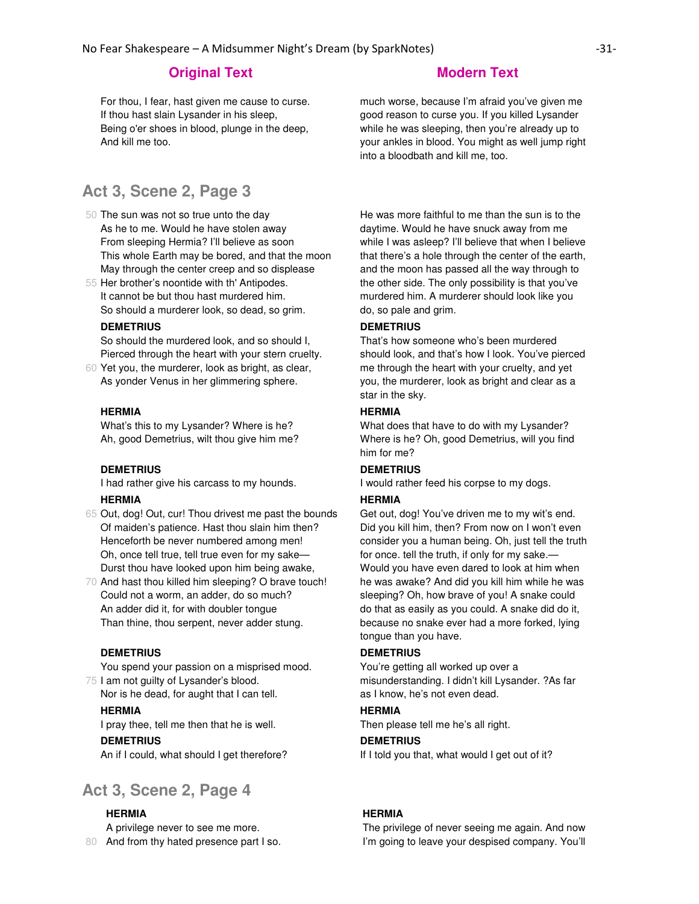For thou, I fear, hast given me cause to curse. If thou hast slain Lysander in his sleep, Being o'er shoes in blood, plunge in the deep, And kill me too.

# **Act 3, Scene 2, Page 3**

- 50 The sun was not so true unto the day As he to me. Would he have stolen away From sleeping Hermia? I'll believe as soon This whole Earth may be bored, and that the moon May through the center creep and so displease
- 55 Her brother's noontide with th' Antipodes. It cannot be but thou hast murdered him. So should a murderer look, so dead, so grim.

#### **DEMETRIUS**

So should the murdered look, and so should I, Pierced through the heart with your stern cruelty.

60 Yet you, the murderer, look as bright, as clear, As yonder Venus in her glimmering sphere.

#### **HERMIA**

What's this to my Lysander? Where is he? Ah, good Demetrius, wilt thou give him me?

#### **DEMETRIUS**

I had rather give his carcass to my hounds.

#### **HERMIA**

- 65 Out, dog! Out, cur! Thou drivest me past the bounds Of maiden's patience. Hast thou slain him then? Henceforth be never numbered among men! Oh, once tell true, tell true even for my sake— Durst thou have looked upon him being awake,
- 70 And hast thou killed him sleeping? O brave touch! Could not a worm, an adder, do so much? An adder did it, for with doubler tongue Than thine, thou serpent, never adder stung.

## **DEMETRIUS**

75 I am not guilty of Lysander's blood. You spend your passion on a misprised mood.

Nor is he dead, for aught that I can tell.

### **HERMIA**

I pray thee, tell me then that he is well.

#### **DEMETRIUS**

An if I could, what should I get therefore?

# **Act 3, Scene 2, Page 4**

## **HERMIA**

80 And from thy hated presence part I so. A privilege never to see me more.

much worse, because I'm afraid you've given me good reason to curse you. If you killed Lysander while he was sleeping, then you're already up to your ankles in blood. You might as well jump right into a bloodbath and kill me, too.

He was more faithful to me than the sun is to the daytime. Would he have snuck away from me while I was asleep? I'll believe that when I believe that there's a hole through the center of the earth, and the moon has passed all the way through to the other side. The only possibility is that you've murdered him. A murderer should look like you do, so pale and grim.

# **DEMETRIUS**

That's how someone who's been murdered should look, and that's how I look. You've pierced me through the heart with your cruelty, and yet you, the murderer, look as bright and clear as a star in the sky.

#### **HERMIA**

What does that have to do with my Lysander? Where is he? Oh, good Demetrius, will you find him for me?

# **DEMETRIUS**

I would rather feed his corpse to my dogs.

#### **HERMIA**

Get out, dog! You've driven me to my wit's end. Did you kill him, then? From now on I won't even consider you a human being. Oh, just tell the truth for once. tell the truth, if only for my sake.— Would you have even dared to look at him when he was awake? And did you kill him while he was sleeping? Oh, how brave of you! A snake could do that as easily as you could. A snake did do it, because no snake ever had a more forked, lying tongue than you have.

#### **DEMETRIUS**

You're getting all worked up over a misunderstanding. I didn't kill Lysander. ?As far as I know, he's not even dead.

# **HERMIA**

Then please tell me he's all right.

## **DEMETRIUS**

If I told you that, what would I get out of it?

## **HERMIA**

The privilege of never seeing me again. And now I'm going to leave your despised company. You'll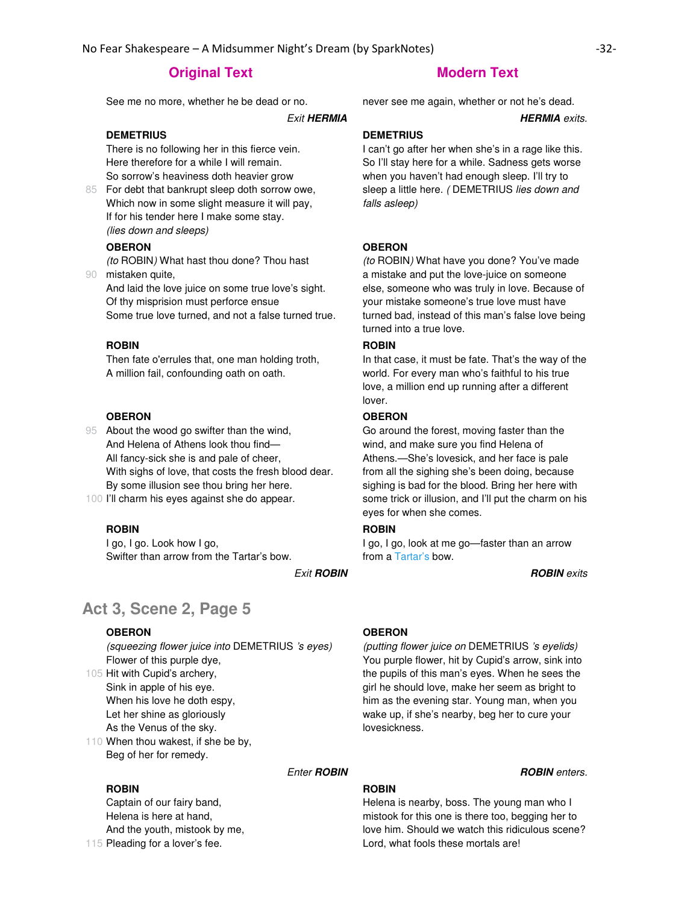See me no more, whether he be dead or no. never see me again, whether or not he's dead.

**Exit HERMIA HERMIA** exits.

#### **DEMETRIUS**

There is no following her in this fierce vein. Here therefore for a while I will remain. So sorrow's heaviness doth heavier grow

85 For debt that bankrupt sleep doth sorrow owe, Which now in some slight measure it will pay, If for his tender here I make some stay. (lies down and sleeps)

#### **OBERON**

90 mistaken quite, (to ROBIN) What hast thou done? Thou hast

And laid the love juice on some true love's sight. Of thy misprision must perforce ensue Some true love turned, and not a false turned true.

#### **ROBIN**

Then fate o'errules that, one man holding troth, A million fail, confounding oath on oath.

#### **OBERON**

95 About the wood go swifter than the wind, And Helena of Athens look thou find— All fancy-sick she is and pale of cheer, With sighs of love, that costs the fresh blood dear. By some illusion see thou bring her here.

100 I'll charm his eyes against she do appear.

#### **ROBIN**

I go, I go. Look how I go, Swifter than arrow from the Tartar's bow.

# **Act 3, Scene 2, Page 5**

### **OBERON**

(squeezing flower juice into DEMETRIUS 's eyes) Flower of this purple dye,

105 Hit with Cupid's archery, Sink in apple of his eye. When his love he doth espy, Let her shine as gloriously As the Venus of the sky.

110 When thou wakest, if she be by, Beg of her for remedy.

#### **ROBIN**

115 Pleading for a lover's fee. Captain of our fairy band, Helena is here at hand, And the youth, mistook by me,

#### **DEMETRIUS**

I can't go after her when she's in a rage like this. So I'll stay here for a while. Sadness gets worse when you haven't had enough sleep. I'll try to sleep a little here. ( DEMETRIUS lies down and falls asleep)

#### **OBERON**

(to ROBIN) What have you done? You've made a mistake and put the love-juice on someone else, someone who was truly in love. Because of your mistake someone's true love must have turned bad, instead of this man's false love being turned into a true love.

# **ROBIN**

In that case, it must be fate. That's the way of the world. For every man who's faithful to his true love, a million end up running after a different lover.

#### **OBERON**

Go around the forest, moving faster than the wind, and make sure you find Helena of Athens.—She's lovesick, and her face is pale from all the sighing she's been doing, because sighing is bad for the blood. Bring her here with some trick or illusion, and I'll put the charm on his eyes for when she comes.

## **ROBIN**

I go, I go, look at me go—faster than an arrow from a Tartar's bow.

**Exit ROBIN Exit ROBIN ROBIN ROBIN ROBIN** 

#### **OBERON**

(putting flower juice on DEMETRIUS 's eyelids) You purple flower, hit by Cupid's arrow, sink into the pupils of this man's eyes. When he sees the girl he should love, make her seem as bright to him as the evening star. Young man, when you wake up, if she's nearby, beg her to cure your lovesickness.

# **Enter ROBIN Enter ROBIN ROBIN** enters.

# **ROBIN**

Helena is nearby, boss. The young man who I mistook for this one is there too, begging her to love him. Should we watch this ridiculous scene? Lord, what fools these mortals are!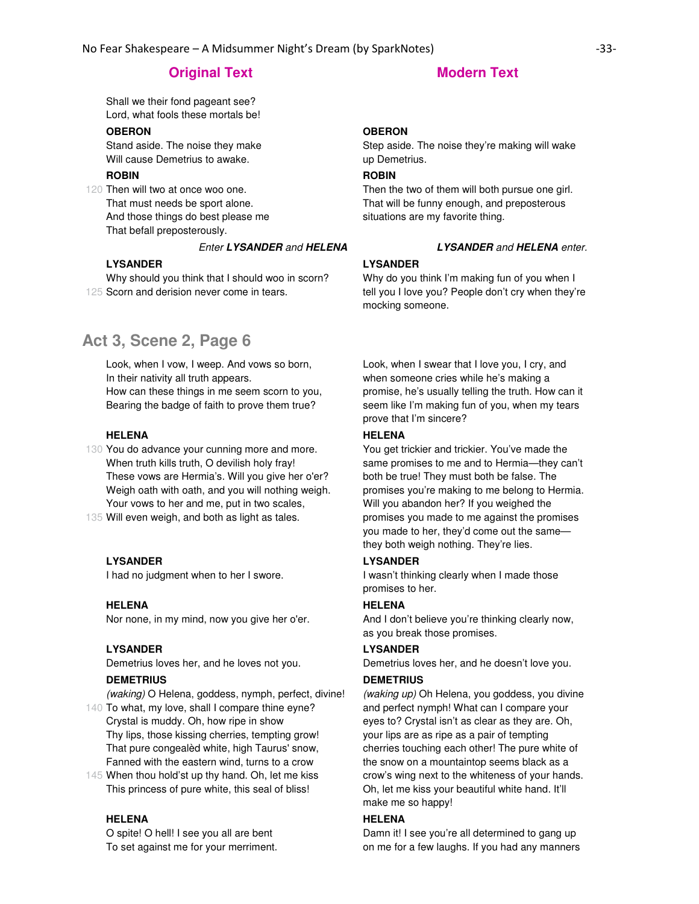Shall we their fond pageant see? Lord, what fools these mortals be!

# **OBERON**

Stand aside. The noise they make Will cause Demetrius to awake.

# **ROBIN**

120 Then will two at once woo one. That must needs be sport alone. And those things do best please me That befall preposterously.

#### Enter **LYSANDER** and **HELENA LYSANDER** and **HELENA** enter.

### **LYSANDER**

125 Scorn and derision never come in tears. Why should you think that I should woo in scorn?

# **Act 3, Scene 2, Page 6**

Look, when I vow, I weep. And vows so born, In their nativity all truth appears. How can these things in me seem scorn to you, Bearing the badge of faith to prove them true?

### **HELENA**

130 You do advance your cunning more and more. When truth kills truth, O devilish holy fray! These vows are Hermia's. Will you give her o'er? Weigh oath with oath, and you will nothing weigh. Your vows to her and me, put in two scales,

135 Will even weigh, and both as light as tales.

#### **LYSANDER**

I had no judgment when to her I swore.

#### **HELENA**

Nor none, in my mind, now you give her o'er.

#### **LYSANDER**

Demetrius loves her, and he loves not you.

#### **DEMETRIUS**

(waking) O Helena, goddess, nymph, perfect, divine!

140 To what, my love, shall I compare thine eyne? Crystal is muddy. Oh, how ripe in show Thy lips, those kissing cherries, tempting grow! That pure congealèd white, high Taurus' snow, Fanned with the eastern wind, turns to a crow

145 When thou hold'st up thy hand. Oh, let me kiss This princess of pure white, this seal of bliss!

#### **HELENA**

O spite! O hell! I see you all are bent To set against me for your merriment.

## **OBERON**

Step aside. The noise they're making will wake up Demetrius.

# **ROBIN**

Then the two of them will both pursue one girl. That will be funny enough, and preposterous situations are my favorite thing.

#### **LYSANDER**

Why do you think I'm making fun of you when I tell you I love you? People don't cry when they're mocking someone.

Look, when I swear that I love you, I cry, and when someone cries while he's making a promise, he's usually telling the truth. How can it seem like I'm making fun of you, when my tears prove that I'm sincere?

#### **HELENA**

You get trickier and trickier. You've made the same promises to me and to Hermia—they can't both be true! They must both be false. The promises you're making to me belong to Hermia. Will you abandon her? If you weighed the promises you made to me against the promises you made to her, they'd come out the same they both weigh nothing. They're lies.

### **LYSANDER**

I wasn't thinking clearly when I made those promises to her.

#### **HELENA**

And I don't believe you're thinking clearly now, as you break those promises.

#### **LYSANDER**

Demetrius loves her, and he doesn't love you.

#### **DEMETRIUS**

(waking up) Oh Helena, you goddess, you divine and perfect nymph! What can I compare your eyes to? Crystal isn't as clear as they are. Oh, your lips are as ripe as a pair of tempting cherries touching each other! The pure white of the snow on a mountaintop seems black as a crow's wing next to the whiteness of your hands. Oh, let me kiss your beautiful white hand. It'll make me so happy!

#### **HELENA**

Damn it! I see you're all determined to gang up on me for a few laughs. If you had any manners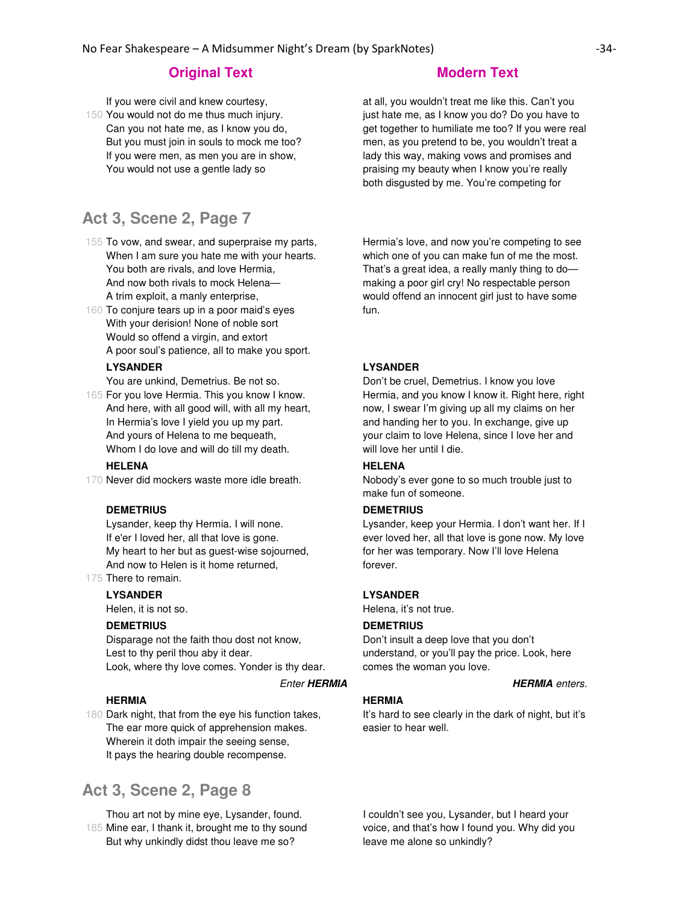If you were civil and knew courtesy,

150 You would not do me thus much injury. Can you not hate me, as I know you do, But you must join in souls to mock me too? If you were men, as men you are in show, You would not use a gentle lady so

# **Act 3, Scene 2, Page 7**

- 155 To vow, and swear, and superpraise my parts, When I am sure you hate me with your hearts. You both are rivals, and love Hermia, And now both rivals to mock Helena— A trim exploit, a manly enterprise,
- 160 To conjure tears up in a poor maid's eyes With your derision! None of noble sort Would so offend a virgin, and extort A poor soul's patience, all to make you sport.

### **LYSANDER**

You are unkind, Demetrius. Be not so.

165 For you love Hermia. This you know I know. And here, with all good will, with all my heart, In Hermia's love I yield you up my part. And yours of Helena to me bequeath, Whom I do love and will do till my death.

## **HELENA**

170 Never did mockers waste more idle breath.

#### **DEMETRIUS**

Lysander, keep thy Hermia. I will none. If e'er I loved her, all that love is gone. My heart to her but as guest-wise sojourned, And now to Helen is it home returned,

175 There to remain.

#### **LYSANDER**

Helen, it is not so.

### **DEMETRIUS**

Disparage not the faith thou dost not know, Lest to thy peril thou aby it dear. Look, where thy love comes. Yonder is thy dear.

#### **Enter HERMIA HERMIA** enters.

### **HERMIA**

180 Dark night, that from the eye his function takes, The ear more quick of apprehension makes. Wherein it doth impair the seeing sense, It pays the hearing double recompense.

# **Act 3, Scene 2, Page 8**

185 Mine ear, I thank it, brought me to thy sound Thou art not by mine eye, Lysander, found. But why unkindly didst thou leave me so?

at all, you wouldn't treat me like this. Can't you just hate me, as I know you do? Do you have to get together to humiliate me too? If you were real men, as you pretend to be, you wouldn't treat a lady this way, making vows and promises and praising my beauty when I know you're really both disgusted by me. You're competing for

Hermia's love, and now you're competing to see which one of you can make fun of me the most. That's a great idea, a really manly thing to do making a poor girl cry! No respectable person would offend an innocent girl just to have some fun.

#### **LYSANDER**

Don't be cruel, Demetrius. I know you love Hermia, and you know I know it. Right here, right now, I swear I'm giving up all my claims on her and handing her to you. In exchange, give up your claim to love Helena, since I love her and will love her until I die.

# **HELENA**

Nobody's ever gone to so much trouble just to make fun of someone.

#### **DEMETRIUS**

Lysander, keep your Hermia. I don't want her. If I ever loved her, all that love is gone now. My love for her was temporary. Now I'll love Helena forever.

#### **LYSANDER**

Helena, it's not true.

#### **DEMETRIUS**

Don't insult a deep love that you don't understand, or you'll pay the price. Look, here comes the woman you love.

#### **HERMIA**

It's hard to see clearly in the dark of night, but it's easier to hear well.

I couldn't see you, Lysander, but I heard your voice, and that's how I found you. Why did you leave me alone so unkindly?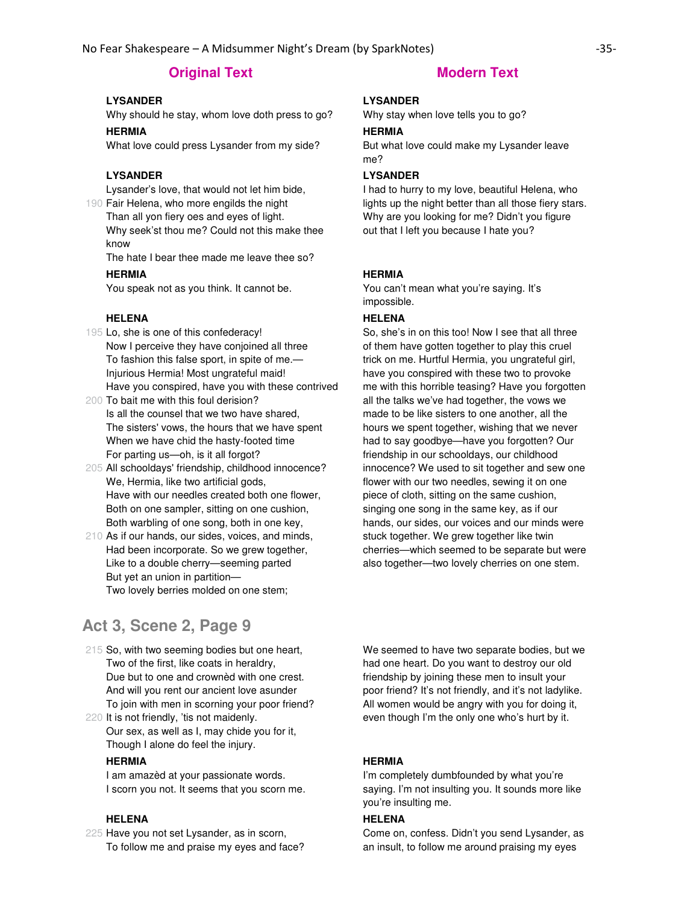# **Original Text Modern Text**

# **LYSANDER**

Why should he stay, whom love doth press to go?

### **HERMIA**

What love could press Lysander from my side?

## **LYSANDER**

Lysander's love, that would not let him bide,

190 Fair Helena, who more engilds the night Than all yon fiery oes and eyes of light. Why seek'st thou me? Could not this make thee know

The hate I bear thee made me leave thee so?

#### **HERMIA**

You speak not as you think. It cannot be.

# **HELENA**

- 195 Lo, she is one of this confederacy! Now I perceive they have conjoined all three To fashion this false sport, in spite of me.— Injurious Hermia! Most ungrateful maid! Have you conspired, have you with these contrived
- 200 To bait me with this foul derision? Is all the counsel that we two have shared, The sisters' vows, the hours that we have spent When we have chid the hasty-footed time For parting us—oh, is it all forgot?
- 205 All schooldays' friendship, childhood innocence? We, Hermia, like two artificial gods, Have with our needles created both one flower, Both on one sampler, sitting on one cushion, Both warbling of one song, both in one key,
- 210 As if our hands, our sides, voices, and minds, Had been incorporate. So we grew together, Like to a double cherry—seeming parted But yet an union in partition— Two lovely berries molded on one stem;

# **Act 3, Scene 2, Page 9**

- 215 So, with two seeming bodies but one heart, Two of the first, like coats in heraldry, Due but to one and crownèd with one crest. And will you rent our ancient love asunder To join with men in scorning your poor friend?
- 220 It is not friendly, 'tis not maidenly. Our sex, as well as I, may chide you for it, Though I alone do feel the injury.

#### **HERMIA**

I am amazèd at your passionate words. I scorn you not. It seems that you scorn me.

#### **HELENA**

225 Have you not set Lysander, as in scorn, To follow me and praise my eyes and face?

### **LYSANDER**

Why stay when love tells you to go?

#### **HERMIA**

But what love could make my Lysander leave me?

# **LYSANDER**

I had to hurry to my love, beautiful Helena, who lights up the night better than all those fiery stars. Why are you looking for me? Didn't you figure out that I left you because I hate you?

#### **HERMIA**

You can't mean what you're saying. It's impossible.

### **HELENA**

So, she's in on this too! Now I see that all three of them have gotten together to play this cruel trick on me. Hurtful Hermia, you ungrateful girl, have you conspired with these two to provoke me with this horrible teasing? Have you forgotten all the talks we've had together, the vows we made to be like sisters to one another, all the hours we spent together, wishing that we never had to say goodbye—have you forgotten? Our friendship in our schooldays, our childhood innocence? We used to sit together and sew one flower with our two needles, sewing it on one piece of cloth, sitting on the same cushion, singing one song in the same key, as if our hands, our sides, our voices and our minds were stuck together. We grew together like twin cherries—which seemed to be separate but were also together—two lovely cherries on one stem.

We seemed to have two separate bodies, but we had one heart. Do you want to destroy our old friendship by joining these men to insult your poor friend? It's not friendly, and it's not ladylike. All women would be angry with you for doing it, even though I'm the only one who's hurt by it.

#### **HERMIA**

I'm completely dumbfounded by what you're saying. I'm not insulting you. It sounds more like you're insulting me.

## **HELENA**

Come on, confess. Didn't you send Lysander, as an insult, to follow me around praising my eyes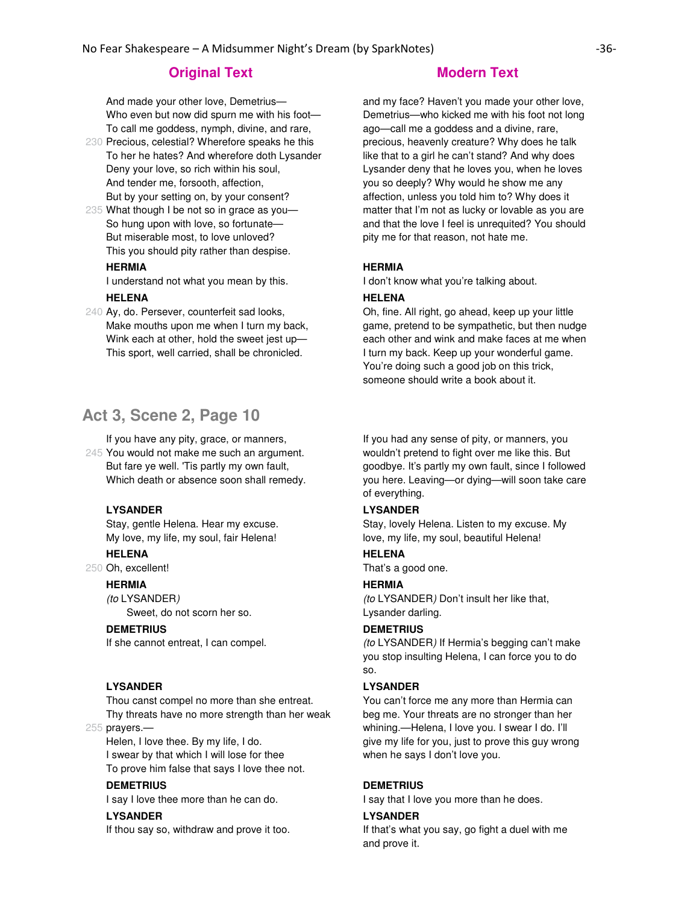And made your other love, Demetrius— Who even but now did spurn me with his foot— To call me goddess, nymph, divine, and rare,

- 230 Precious, celestial? Wherefore speaks he this To her he hates? And wherefore doth Lysander Deny your love, so rich within his soul, And tender me, forsooth, affection, But by your setting on, by your consent?
- 235 What though I be not so in grace as you— So hung upon with love, so fortunate— But miserable most, to love unloved? This you should pity rather than despise.

# **HERMIA**

I understand not what you mean by this.

#### **HELENA**

240 Ay, do. Persever, counterfeit sad looks, Make mouths upon me when I turn my back, Wink each at other, hold the sweet jest up— This sport, well carried, shall be chronicled.

# **Act 3, Scene 2, Page 10**

If you have any pity, grace, or manners,

245 You would not make me such an argument. But fare ye well. 'Tis partly my own fault, Which death or absence soon shall remedy.

## **LYSANDER**

Stay, gentle Helena. Hear my excuse. My love, my life, my soul, fair Helena!

## **HELENA**

250 Oh, excellent!

### **HERMIA**

(to LYSANDER)

Sweet, do not scorn her so.

### **DEMETRIUS**

If she cannot entreat, I can compel.

#### **LYSANDER**

Thou canst compel no more than she entreat. Thy threats have no more strength than her weak

255 prayers.—

Helen, I love thee. By my life, I do. I swear by that which I will lose for thee To prove him false that says I love thee not.

### **DEMETRIUS**

I say I love thee more than he can do.

# **LYSANDER**

If thou say so, withdraw and prove it too.

and my face? Haven't you made your other love, Demetrius—who kicked me with his foot not long ago—call me a goddess and a divine, rare, precious, heavenly creature? Why does he talk like that to a girl he can't stand? And why does Lysander deny that he loves you, when he loves you so deeply? Why would he show me any affection, unless you told him to? Why does it matter that I'm not as lucky or lovable as you are and that the love I feel is unrequited? You should pity me for that reason, not hate me.

#### **HERMIA**

I don't know what you're talking about.

#### **HELENA**

Oh, fine. All right, go ahead, keep up your little game, pretend to be sympathetic, but then nudge each other and wink and make faces at me when I turn my back. Keep up your wonderful game. You're doing such a good job on this trick, someone should write a book about it.

If you had any sense of pity, or manners, you wouldn't pretend to fight over me like this. But goodbye. It's partly my own fault, since I followed you here. Leaving—or dying—will soon take care of everything.

# **LYSANDER**

Stay, lovely Helena. Listen to my excuse. My love, my life, my soul, beautiful Helena!

## **HELENA**

That's a good one.

#### **HERMIA**

(to LYSANDER) Don't insult her like that, Lysander darling.

#### **DEMETRIUS**

(to LYSANDER) If Hermia's begging can't make you stop insulting Helena, I can force you to do so.

#### **LYSANDER**

You can't force me any more than Hermia can beg me. Your threats are no stronger than her whining.—Helena, I love you. I swear I do. I'll give my life for you, just to prove this guy wrong when he says I don't love you.

#### **DEMETRIUS**

I say that I love you more than he does.

### **LYSANDER**

If that's what you say, go fight a duel with me and prove it.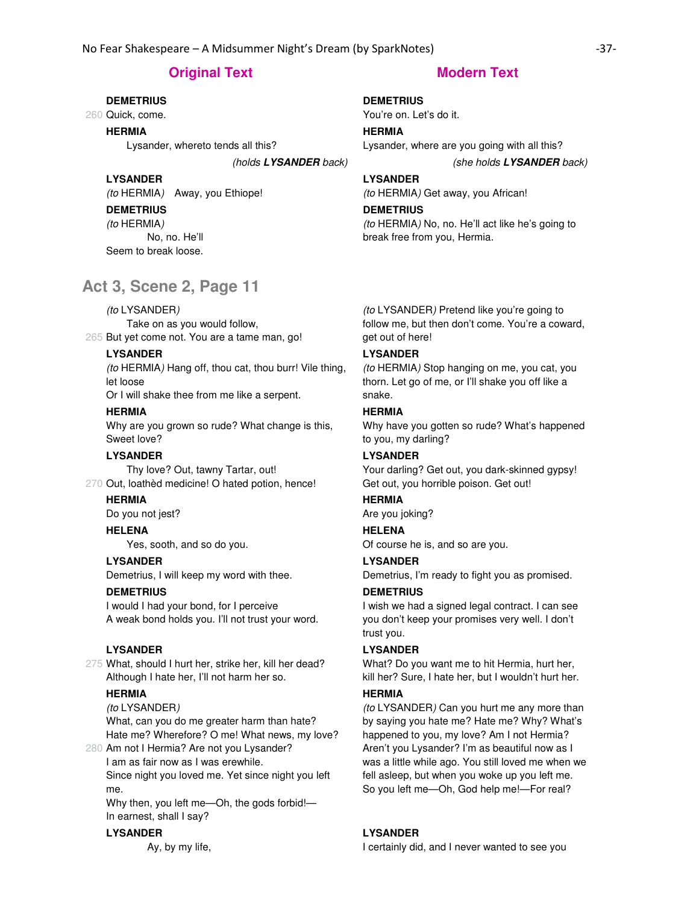# **Original Text Modern Text**

#### **DEMETRIUS**

260 Quick, come.

#### **HERMIA**

Lysander, whereto tends all this?

# **LYSANDER**

(to HERMIA) Away, you Ethiope!

## **DEMETRIUS**

(to HERMIA) No, no. He'll

Seem to break loose.

# **Act 3, Scene 2, Page 11**

### (to LYSANDER)

265 But yet come not. You are a tame man, go! Take on as you would follow,

### **LYSANDER**

(to HERMIA) Hang off, thou cat, thou burr! Vile thing, let loose

Or I will shake thee from me like a serpent.

#### **HERMIA**

Why are you grown so rude? What change is this, Sweet love?

### **LYSANDER**

270 Out, loathèd medicine! O hated potion, hence! Thy love? Out, tawny Tartar, out!

### **HERMIA**

Do you not jest?

#### **HELENA**

Yes, sooth, and so do you.

# **LYSANDER**

Demetrius, I will keep my word with thee.

#### **DEMETRIUS**

I would I had your bond, for I perceive A weak bond holds you. I'll not trust your word.

### **LYSANDER**

275 What, should I hurt her, strike her, kill her dead? Although I hate her, I'll not harm her so.

#### **HERMIA**

(to LYSANDER)

What, can you do me greater harm than hate? Hate me? Wherefore? O me! What news, my love?

280 Am not I Hermia? Are not you Lysander?

I am as fair now as I was erewhile. Since night you loved me. Yet since night you left me.

Why then, you left me—Oh, the gods forbid!— In earnest, shall I say?

#### **LYSANDER**

Ay, by my life,

# **DEMETRIUS**

You're on. Let's do it.

# **HERMIA**

Lysander, where are you going with all this?

### (holds **LYSANDER** back) (she holds **LYSANDER** back)

## **LYSANDER**

(to HERMIA) Get away, you African!

#### **DEMETRIUS**

(to HERMIA) No, no. He'll act like he's going to break free from you, Hermia.

(to LYSANDER) Pretend like you're going to follow me, but then don't come. You're a coward, get out of here!

# **LYSANDER**

(to HERMIA) Stop hanging on me, you cat, you thorn. Let go of me, or I'll shake you off like a snake.

#### **HERMIA**

Why have you gotten so rude? What's happened to you, my darling?

### **LYSANDER**

Your darling? Get out, you dark-skinned gypsy! Get out, you horrible poison. Get out!

### **HERMIA**

Are you joking?

## **HELENA**

Of course he is, and so are you.

# **LYSANDER**

Demetrius, I'm ready to fight you as promised.

# **DEMETRIUS**

I wish we had a signed legal contract. I can see you don't keep your promises very well. I don't trust you.

#### **LYSANDER**

What? Do you want me to hit Hermia, hurt her, kill her? Sure, I hate her, but I wouldn't hurt her.

#### **HERMIA**

(to LYSANDER) Can you hurt me any more than by saying you hate me? Hate me? Why? What's happened to you, my love? Am I not Hermia? Aren't you Lysander? I'm as beautiful now as I was a little while ago. You still loved me when we fell asleep, but when you woke up you left me. So you left me—Oh, God help me!—For real?

## **LYSANDER**

I certainly did, and I never wanted to see you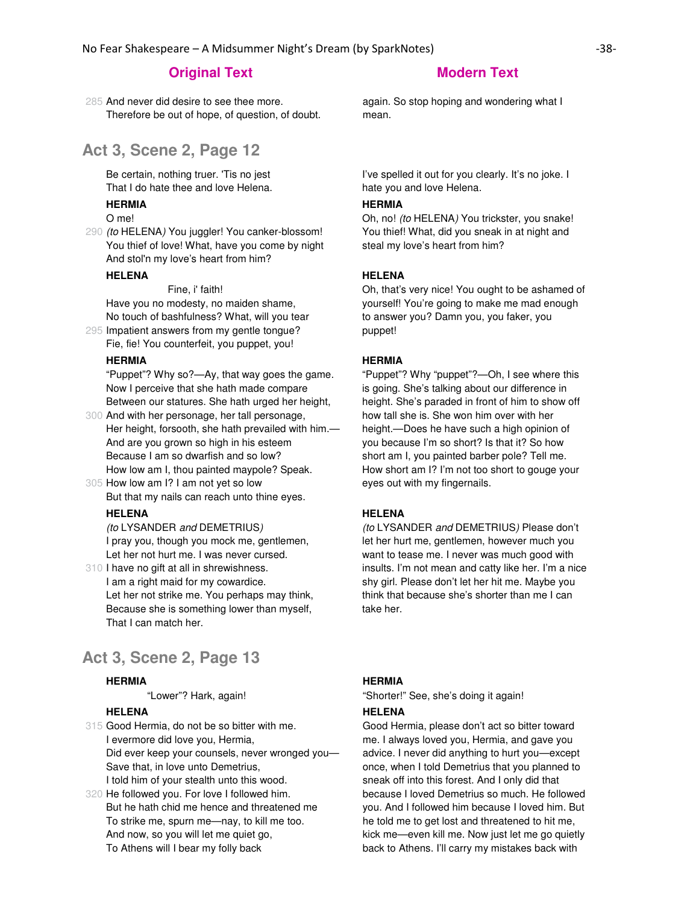285 And never did desire to see thee more. Therefore be out of hope, of question, of doubt.

# **Act 3, Scene 2, Page 12**

Be certain, nothing truer. 'Tis no jest That I do hate thee and love Helena.

#### **HERMIA**

O me!

290 (to HELENA) You juggler! You canker-blossom! You thief of love! What, have you come by night And stol'n my love's heart from him?

#### **HELENA**

Fine, i' faith!

Have you no modesty, no maiden shame, No touch of bashfulness? What, will you tear

295 Impatient answers from my gentle tongue? Fie, fie! You counterfeit, you puppet, you!

#### **HERMIA**

"Puppet"? Why so?—Ay, that way goes the game. Now I perceive that she hath made compare Between our statures. She hath urged her height,

300 And with her personage, her tall personage, Her height, forsooth, she hath prevailed with him.— And are you grown so high in his esteem Because I am so dwarfish and so low? How low am I, thou painted maypole? Speak.

305 How low am I? I am not yet so low But that my nails can reach unto thine eyes.

### **HELENA**

(to LYSANDER and DEMETRIUS) I pray you, though you mock me, gentlemen, Let her not hurt me. I was never cursed.

310 I have no gift at all in shrewishness. I am a right maid for my cowardice. Let her not strike me. You perhaps may think, Because she is something lower than myself, That I can match her.

# **Act 3, Scene 2, Page 13**

#### **HERMIA**

"Lower"? Hark, again!

#### **HELENA**

315 Good Hermia, do not be so bitter with me. I evermore did love you, Hermia, Did ever keep your counsels, never wronged you— Save that, in love unto Demetrius, I told him of your stealth unto this wood.

320 He followed you. For love I followed him. But he hath chid me hence and threatened me To strike me, spurn me—nay, to kill me too. And now, so you will let me quiet go, To Athens will I bear my folly back

again. So stop hoping and wondering what I mean.

I've spelled it out for you clearly. It's no joke. I hate you and love Helena.

#### **HERMIA**

Oh, no! (to HELENA) You trickster, you snake! You thief! What, did you sneak in at night and steal my love's heart from him?

# **HELENA**

Oh, that's very nice! You ought to be ashamed of yourself! You're going to make me mad enough to answer you? Damn you, you faker, you puppet!

#### **HERMIA**

"Puppet"? Why "puppet"?—Oh, I see where this is going. She's talking about our difference in height. She's paraded in front of him to show off how tall she is. She won him over with her height.—Does he have such a high opinion of you because I'm so short? Is that it? So how short am I, you painted barber pole? Tell me. How short am I? I'm not too short to gouge your eyes out with my fingernails.

### **HELENA**

(to LYSANDER and DEMETRIUS) Please don't let her hurt me, gentlemen, however much you want to tease me. I never was much good with insults. I'm not mean and catty like her. I'm a nice shy girl. Please don't let her hit me. Maybe you think that because she's shorter than me I can take her.

#### **HERMIA**

"Shorter!" See, she's doing it again!

#### **HELENA**

Good Hermia, please don't act so bitter toward me. I always loved you, Hermia, and gave you advice. I never did anything to hurt you—except once, when I told Demetrius that you planned to sneak off into this forest. And I only did that because I loved Demetrius so much. He followed you. And I followed him because I loved him. But he told me to get lost and threatened to hit me, kick me—even kill me. Now just let me go quietly back to Athens. I'll carry my mistakes back with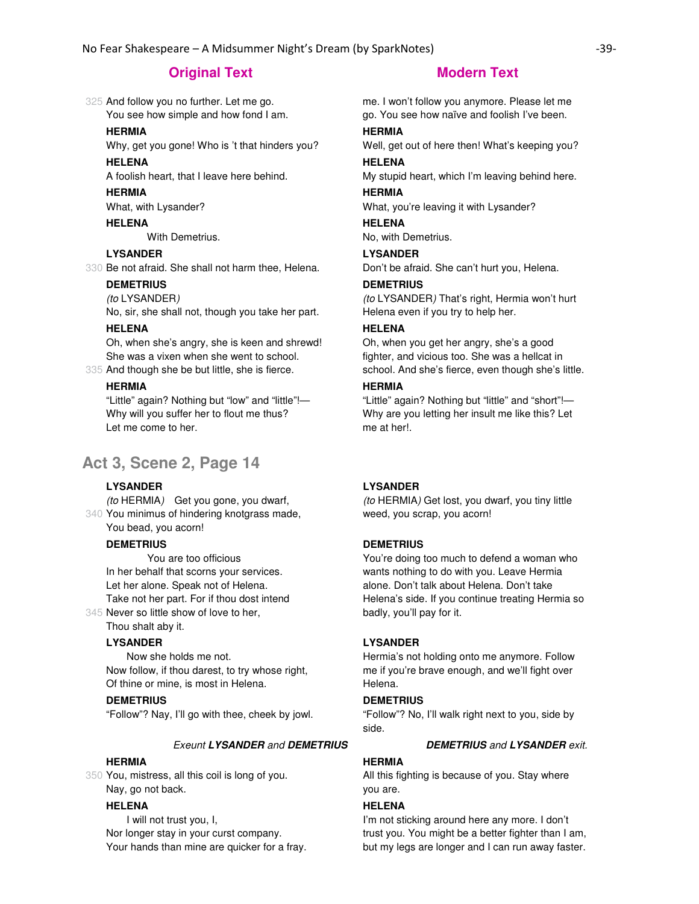325 And follow you no further. Let me go. You see how simple and how fond I am.

### **HERMIA**

Why, get you gone! Who is 't that hinders you?

# **HELENA**

A foolish heart, that I leave here behind.

### **HERMIA**

What, with Lysander?

# **HELENA**

With Demetrius.

# **LYSANDER**

330 Be not afraid. She shall not harm thee, Helena.

# **DEMETRIUS**

(to LYSANDER)

No, sir, she shall not, though you take her part.

# **HELENA**

Oh, when she's angry, she is keen and shrewd! She was a vixen when she went to school.

335 And though she be but little, she is fierce.

## **HERMIA**

"Little" again? Nothing but "low" and "little"!— Why will you suffer her to flout me thus? Let me come to her.

# **Act 3, Scene 2, Page 14**

## **LYSANDER**

340 You minimus of hindering knotgrass made, (to HERMIA) Get you gone, you dwarf, You bead, you acorn!

### **DEMETRIUS**

345 Never so little show of love to her, You are too officious In her behalf that scorns your services. Let her alone. Speak not of Helena. Take not her part. For if thou dost intend

Thou shalt aby it.

## **LYSANDER**

 Now she holds me not. Now follow, if thou darest, to try whose right, Of thine or mine, is most in Helena.

### **DEMETRIUS**

"Follow"? Nay, I'll go with thee, cheek by jowl.

#### Exeunt **LYSANDER** and **DEMETRIUS DEMETRIUS** and **LYSANDER** exit.

#### **HERMIA**

350 You, mistress, all this coil is long of you. Nay, go not back.

## **HELENA**

 I will not trust you, I, Nor longer stay in your curst company. Your hands than mine are quicker for a fray.

me. I won't follow you anymore. Please let me go. You see how naïve and foolish I've been.

### **HERMIA**

Well, get out of here then! What's keeping you?

# **HELENA**

My stupid heart, which I'm leaving behind here.

# **HERMIA**

What, you're leaving it with Lysander?

# **HELENA**

No, with Demetrius.

## **LYSANDER**

Don't be afraid. She can't hurt you, Helena.

#### **DEMETRIUS**

(to LYSANDER) That's right, Hermia won't hurt Helena even if you try to help her.

### **HELENA**

Oh, when you get her angry, she's a good fighter, and vicious too. She was a hellcat in school. And she's fierce, even though she's little.

### **HERMIA**

"Little" again? Nothing but "little" and "short"!— Why are you letting her insult me like this? Let me at her!.

#### **LYSANDER**

(to HERMIA) Get lost, you dwarf, you tiny little weed, you scrap, you acorn!

#### **DEMETRIUS**

You're doing too much to defend a woman who wants nothing to do with you. Leave Hermia alone. Don't talk about Helena. Don't take Helena's side. If you continue treating Hermia so badly, you'll pay for it.

#### **LYSANDER**

Hermia's not holding onto me anymore. Follow me if you're brave enough, and we'll fight over Helena.

## **DEMETRIUS**

"Follow"? No, I'll walk right next to you, side by side.

# **HERMIA**

All this fighting is because of you. Stay where you are.

#### **HELENA**

I'm not sticking around here any more. I don't trust you. You might be a better fighter than I am, but my legs are longer and I can run away faster.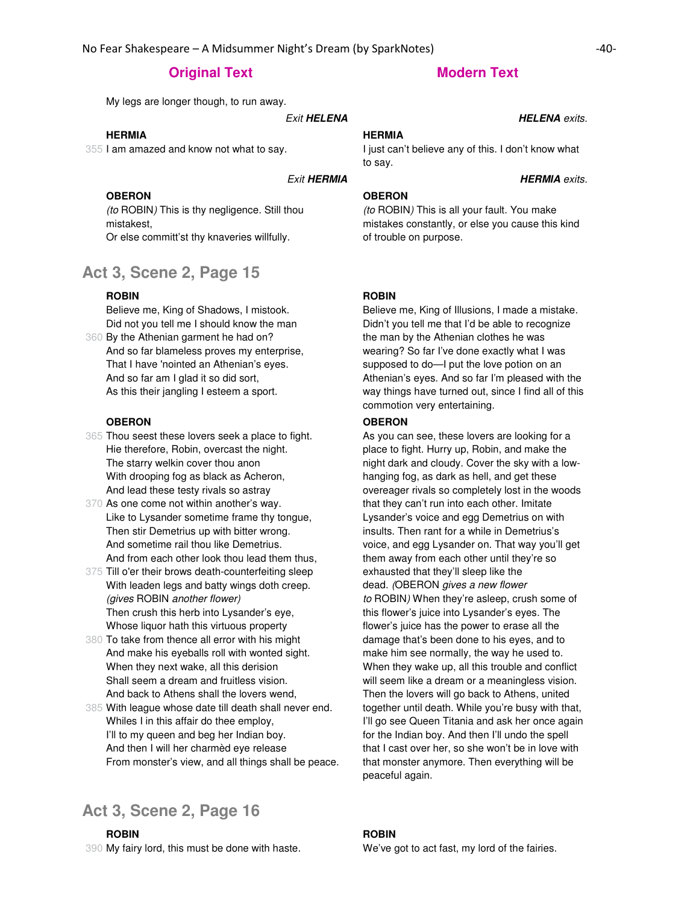My legs are longer though, to run away.

**Exit HELENA HELENA** exits.

## **HERMIA**

355 I am amazed and know not what to say.

#### **Exit HERMIA HERMIA** exits.

#### **OBERON**

(to ROBIN) This is thy negligence. Still thou mistakest, Or else committ'st thy knaveries willfully.

# **Act 3, Scene 2, Page 15**

# **ROBIN**

360 By the Athenian garment he had on? Believe me, King of Shadows, I mistook. Did not you tell me I should know the man And so far blameless proves my enterprise,

That I have 'nointed an Athenian's eyes. And so far am I glad it so did sort, As this their jangling I esteem a sport.

#### **OBERON**

- 365 Thou seest these lovers seek a place to fight. Hie therefore, Robin, overcast the night. The starry welkin cover thou anon With drooping fog as black as Acheron, And lead these testy rivals so astray
- 370 As one come not within another's way. Like to Lysander sometime frame thy tongue, Then stir Demetrius up with bitter wrong. And sometime rail thou like Demetrius. And from each other look thou lead them thus,
- 375 Till o'er their brows death-counterfeiting sleep With leaden legs and batty wings doth creep. (gives ROBIN another flower) Then crush this herb into Lysander's eye, Whose liquor hath this virtuous property
- 380 To take from thence all error with his might And make his eyeballs roll with wonted sight. When they next wake, all this derision Shall seem a dream and fruitless vision. And back to Athens shall the lovers wend,
- 385 With league whose date till death shall never end. Whiles I in this affair do thee employ, I'll to my queen and beg her Indian boy. And then I will her charmèd eye release From monster's view, and all things shall be peace.

# **Act 3, Scene 2, Page 16**

390 My fairy lord, this must be done with haste. **ROBIN**

#### **HERMIA**

I just can't believe any of this. I don't know what to say.

# **OBERON**

(to ROBIN) This is all your fault. You make mistakes constantly, or else you cause this kind of trouble on purpose.

# **ROBIN**

Believe me, King of Illusions, I made a mistake. Didn't you tell me that I'd be able to recognize the man by the Athenian clothes he was wearing? So far I've done exactly what I was supposed to do—I put the love potion on an Athenian's eyes. And so far I'm pleased with the way things have turned out, since I find all of this commotion very entertaining.

#### **OBERON**

As you can see, these lovers are looking for a place to fight. Hurry up, Robin, and make the night dark and cloudy. Cover the sky with a lowhanging fog, as dark as hell, and get these overeager rivals so completely lost in the woods that they can't run into each other. Imitate Lysander's voice and egg Demetrius on with insults. Then rant for a while in Demetrius's voice, and egg Lysander on. That way you'll get them away from each other until they're so exhausted that they'll sleep like the dead. (OBERON gives a new flower to ROBIN) When they're asleep, crush some of this flower's juice into Lysander's eyes. The flower's juice has the power to erase all the damage that's been done to his eyes, and to make him see normally, the way he used to. When they wake up, all this trouble and conflict will seem like a dream or a meaningless vision. Then the lovers will go back to Athens, united together until death. While you're busy with that, I'll go see Queen Titania and ask her once again for the Indian boy. And then I'll undo the spell that I cast over her, so she won't be in love with that monster anymore. Then everything will be peaceful again.

## **ROBIN**

We've got to act fast, my lord of the fairies.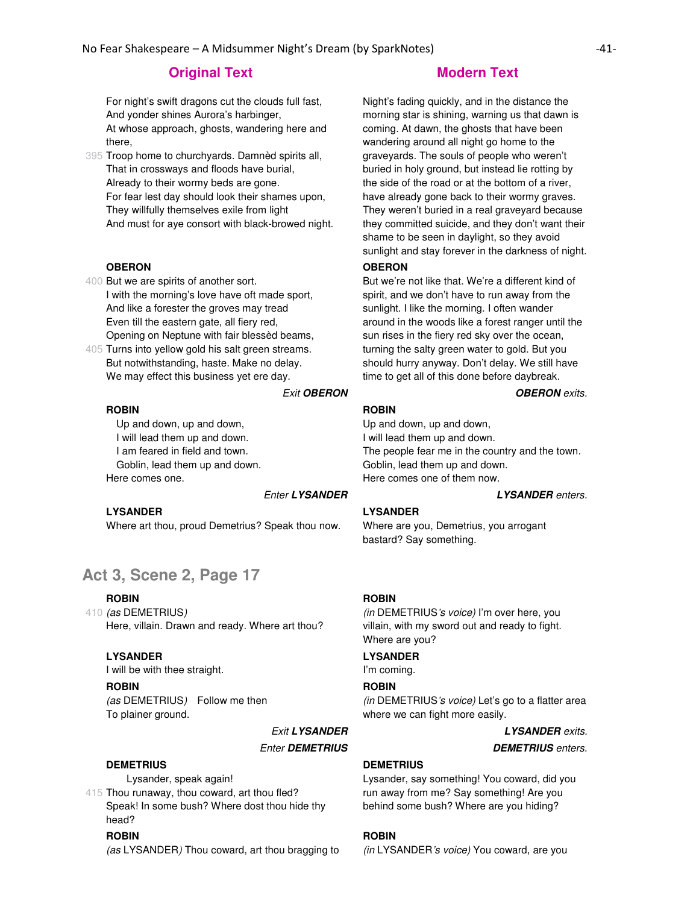For night's swift dragons cut the clouds full fast, And yonder shines Aurora's harbinger, At whose approach, ghosts, wandering here and there,

395 Troop home to churchyards. Damnèd spirits all, That in crossways and floods have burial, Already to their wormy beds are gone. For fear lest day should look their shames upon, They willfully themselves exile from light And must for aye consort with black-browed night.

#### **OBERON**

- 400 But we are spirits of another sort. I with the morning's love have oft made sport, And like a forester the groves may tread Even till the eastern gate, all fiery red, Opening on Neptune with fair blessèd beams,
- 405 Turns into yellow gold his salt green streams. But notwithstanding, haste. Make no delay. We may effect this business yet ere day.

#### Exit **OBERON OBERON** exits.

# **ROBIN**

 Up and down, up and down, I will lead them up and down. I am feared in field and town. Goblin, lead them up and down. Here comes one.

#### Enter **LYSANDER LYSANDER** enters.

#### **LYSANDER**

Where art thou, proud Demetrius? Speak thou now.

# **Act 3, Scene 2, Page 17**

#### **ROBIN**

410 *(as* DEMETRIUS) Here, villain. Drawn and ready. Where art thou?

#### **LYSANDER**

I will be with thee straight.

#### **ROBIN**

(as DEMETRIUS) Follow me then To plainer ground.

#### **DEMETRIUS**

Lysander, speak again!

415 Thou runaway, thou coward, art thou fled? Speak! In some bush? Where dost thou hide thy head?

#### **ROBIN**

(as LYSANDER) Thou coward, art thou bragging to

Night's fading quickly, and in the distance the morning star is shining, warning us that dawn is coming. At dawn, the ghosts that have been wandering around all night go home to the graveyards. The souls of people who weren't buried in holy ground, but instead lie rotting by the side of the road or at the bottom of a river, have already gone back to their wormy graves. They weren't buried in a real graveyard because they committed suicide, and they don't want their shame to be seen in daylight, so they avoid sunlight and stay forever in the darkness of night.

#### **OBERON**

But we're not like that. We're a different kind of spirit, and we don't have to run away from the sunlight. I like the morning. I often wander around in the woods like a forest ranger until the sun rises in the fiery red sky over the ocean, turning the salty green water to gold. But you should hurry anyway. Don't delay. We still have time to get all of this done before daybreak.

# **ROBIN**

Up and down, up and down, I will lead them up and down. The people fear me in the country and the town. Goblin, lead them up and down. Here comes one of them now.

#### **LYSANDER**

Where are you, Demetrius, you arrogant bastard? Say something.

### **ROBIN**

(in DEMETRIUS's voice) I'm over here, you villain, with my sword out and ready to fight. Where are you?

#### **LYSANDER**

I'm coming.

#### **ROBIN**

(in DEMETRIUS's voice) Let's go to a flatter area where we can fight more easily.

Exit **LYSANDER LYSANDER** exits. **Enter DEMETRIUS DEMETRIUS DEMETRIUS** *enters.* 

#### **DEMETRIUS**

Lysander, say something! You coward, did you run away from me? Say something! Are you behind some bush? Where are you hiding?

#### **ROBIN**

(in LYSANDER's voice) You coward, are you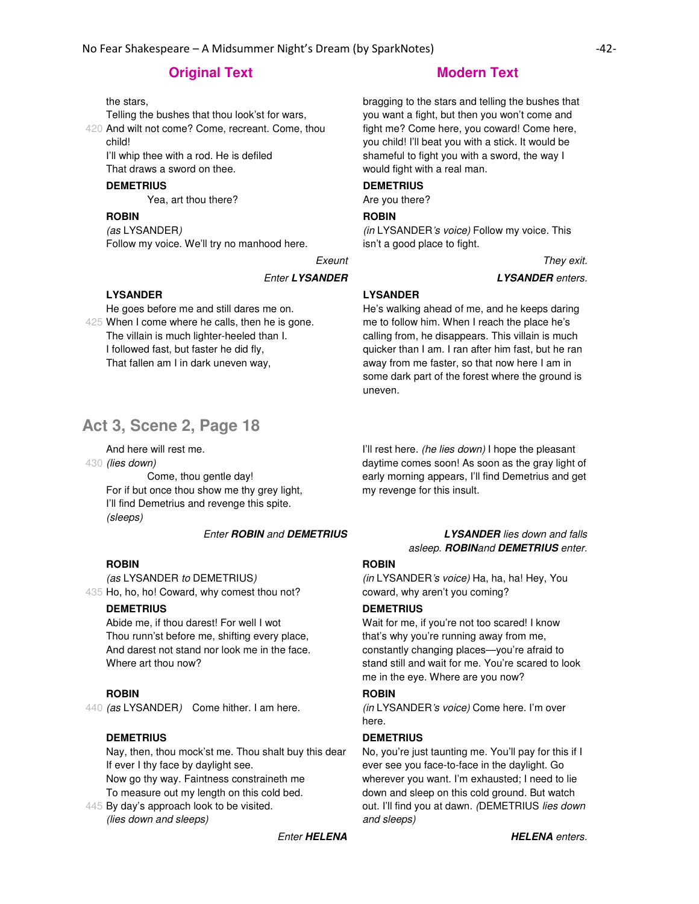the stars,

Telling the bushes that thou look'st for wars,

420 And wilt not come? Come, recreant. Come, thou child!

I'll whip thee with a rod. He is defiled That draws a sword on thee.

#### **DEMETRIUS**

Yea, art thou there?

### **ROBIN**

(as LYSANDER) Follow my voice. We'll try no manhood here.

#### Enter **LYSANDER LYSANDER** enters.

### **LYSANDER**

425 When I come where he calls, then he is gone. He goes before me and still dares me on. The villain is much lighter-heeled than I. I followed fast, but faster he did fly, That fallen am I in dark uneven way,

# **Act 3, Scene 2, Page 18**

And here will rest me.

430 **(lies down)** 

 Come, thou gentle day! For if but once thou show me thy grey light, I'll find Demetrius and revenge this spite. (sleeps)

### Enter **ROBIN** and **DEMETRIUS LYSANDER** lies down and falls

## **ROBIN**

435 Ho, ho, ho! Coward, why comest thou not? (as LYSANDER to DEMETRIUS)

# **DEMETRIUS**

Abide me, if thou darest! For well I wot Thou runn'st before me, shifting every place, And darest not stand nor look me in the face. Where art thou now?

#### **ROBIN**

440 (as LYSANDER) Come hither. I am here.

#### **DEMETRIUS**

Nay, then, thou mock'st me. Thou shalt buy this dear If ever I thy face by daylight see.

Now go thy way. Faintness constraineth me To measure out my length on this cold bed.

445 By day's approach look to be visited. (lies down and sleeps)

# **Original Text Modern Text Modern Text**

bragging to the stars and telling the bushes that you want a fight, but then you won't come and fight me? Come here, you coward! Come here, you child! I'll beat you with a stick. It would be shameful to fight you with a sword, the way I would fight with a real man.

# **DEMETRIUS**

Are you there?

#### **ROBIN**

(in LYSANDER's voice) Follow my voice. This isn't a good place to fight.

Exeunt They exit.

## **LYSANDER**

He's walking ahead of me, and he keeps daring me to follow him. When I reach the place he's calling from, he disappears. This villain is much quicker than I am. I ran after him fast, but he ran away from me faster, so that now here I am in some dark part of the forest where the ground is uneven.

I'll rest here. (he lies down) I hope the pleasant daytime comes soon! As soon as the gray light of early morning appears, I'll find Demetrius and get my revenge for this insult.

asleep. **ROBIN**and **DEMETRIUS** enter.

# **ROBIN**

(in LYSANDER's voice) Ha, ha, ha! Hey, You coward, why aren't you coming?

# **DEMETRIUS**

Wait for me, if you're not too scared! I know that's why you're running away from me, constantly changing places—you're afraid to stand still and wait for me. You're scared to look me in the eye. Where are you now?

# **ROBIN**

(in LYSANDER's voice) Come here. I'm over here.

## **DEMETRIUS**

No, you're just taunting me. You'll pay for this if I ever see you face-to-face in the daylight. Go wherever you want. I'm exhausted; I need to lie down and sleep on this cold ground. But watch out. I'll find you at dawn. (DEMETRIUS lies down and sleeps)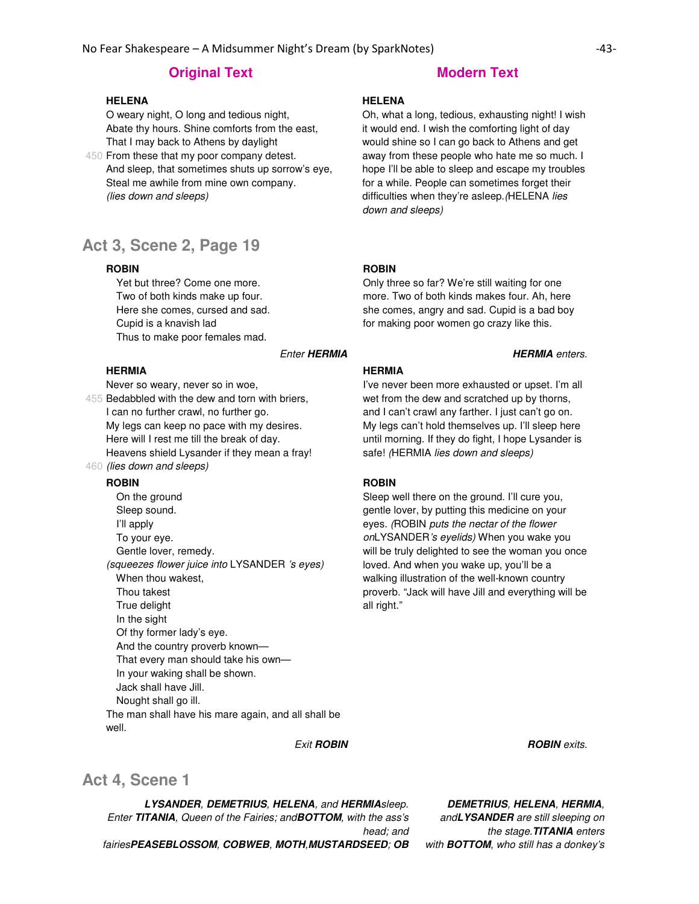#### **HELENA**

O weary night, O long and tedious night, Abate thy hours. Shine comforts from the east, That I may back to Athens by daylight

450 From these that my poor company detest. And sleep, that sometimes shuts up sorrow's eye, Steal me awhile from mine own company. (lies down and sleeps)

# **Act 3, Scene 2, Page 19**

#### **ROBIN**

 Yet but three? Come one more. Two of both kinds make up four. Here she comes, cursed and sad. Cupid is a knavish lad Thus to make poor females mad.

#### **Enter HERMIA HERMIA** enters.

#### **HERMIA**

Never so weary, never so in woe,

455 Bedabbled with the dew and torn with briers, 460 (lies down and sleeps) I can no further crawl, no further go. My legs can keep no pace with my desires. Here will I rest me till the break of day. Heavens shield Lysander if they mean a fray!

#### **ROBIN**

 On the ground Sleep sound. I'll apply To your eye. Gentle lover, remedy. (squeezes flower juice into LYSANDER 's eyes) When thou wakest, Thou takest True delight In the sight Of thy former lady's eye. And the country proverb known— That every man should take his own— In your waking shall be shown. Jack shall have Jill. Nought shall go ill. The man shall have his mare again, and all shall be well.

#### **HELENA**

Oh, what a long, tedious, exhausting night! I wish it would end. I wish the comforting light of day would shine so I can go back to Athens and get away from these people who hate me so much. I hope I'll be able to sleep and escape my troubles for a while. People can sometimes forget their difficulties when they're asleep. (HELENA lies down and sleeps)

#### **ROBIN**

Only three so far? We're still waiting for one more. Two of both kinds makes four. Ah, here she comes, angry and sad. Cupid is a bad boy for making poor women go crazy like this.

# **HERMIA**

I've never been more exhausted or upset. I'm all wet from the dew and scratched up by thorns, and I can't crawl any farther. I just can't go on. My legs can't hold themselves up. I'll sleep here until morning. If they do fight, I hope Lysander is safe! (HERMIA lies down and sleeps)

# **ROBIN**

Sleep well there on the ground. I'll cure you, gentle lover, by putting this medicine on your eyes. (ROBIN puts the nectar of the flower onLYSANDER's eyelids) When you wake you will be truly delighted to see the woman you once loved. And when you wake up, you'll be a walking illustration of the well-known country proverb. "Jack will have Jill and everything will be all right."

#### **Exit ROBIN Exit ROBIN ROBIN ROBIN ROBIN** *ROBIN**ROBIN*

# **Act 4, Scene 1**

**LYSANDER**, **DEMETRIUS**, **HELENA**, and **HERMIA**sleep. Enter **TITANIA**, Queen of the Fairies; and**BOTTOM**, with the ass's head; and

fairies**PEASEBLOSSOM**, **COBWEB**, **MOTH**,**MUSTARDSEED**; **OB**

**DEMETRIUS**, **HELENA**, **HERMIA**, and**LYSANDER** are still sleeping on

the stage.**TITANIA** enters with **BOTTOM**, who still has a donkey's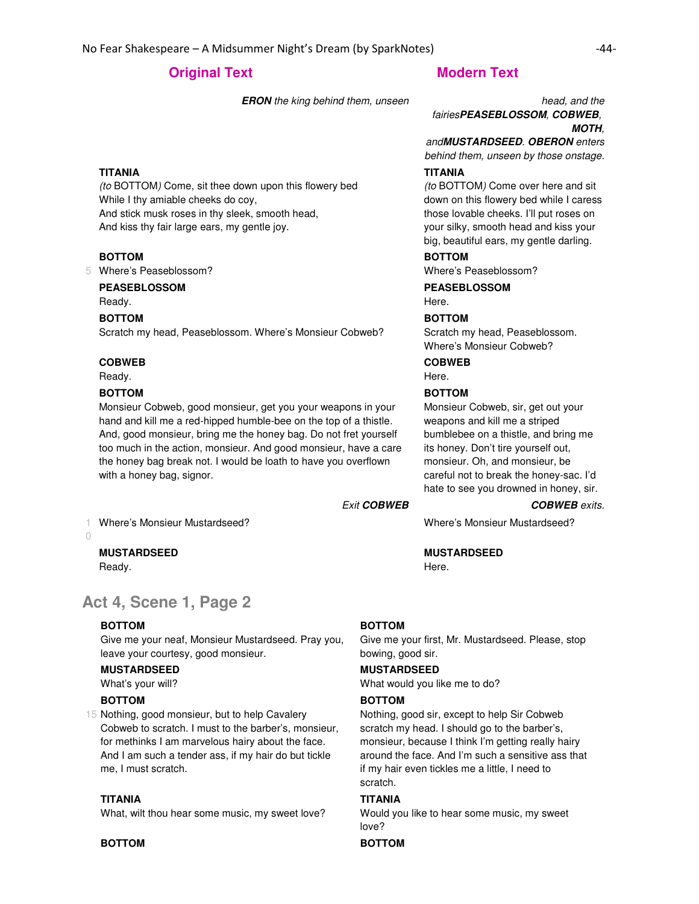**ERON** the king behind them, unseen head, and the

## **TITANIA**

(to BOTTOM) Come, sit thee down upon this flowery bed While I thy amiable cheeks do coy, And stick musk roses in thy sleek, smooth head, And kiss thy fair large ears, my gentle joy.

# **BOTTOM**

5 Where's Peaseblossom?

# **PEASEBLOSSOM**

Ready.

#### **BOTTOM**

Scratch my head, Peaseblossom. Where's Monsieur Cobweb?

#### **COBWEB**

Ready.

1 0

### **BOTTOM**

Monsieur Cobweb, good monsieur, get you your weapons in your hand and kill me a red-hipped humble-bee on the top of a thistle. And, good monsieur, bring me the honey bag. Do not fret yourself too much in the action, monsieur. And good monsieur, have a care the honey bag break not. I would be loath to have you overflown with a honey bag, signor.

Exit **COBWEB COBWEB** exits.

Here.

# **Act 4, Scene 1, Page 2**

### **BOTTOM**

Ready.

Give me your neaf, Monsieur Mustardseed. Pray you, leave your courtesy, good monsieur.

### **MUSTARDSEED**

**MUSTARDSEED**

What's your will?

#### **BOTTOM**

15 Nothing, good monsieur, but to help Cavalery Cobweb to scratch. I must to the barber's, monsieur, for methinks I am marvelous hairy about the face. And I am such a tender ass, if my hair do but tickle me, I must scratch.

#### **TITANIA**

What, wilt thou hear some music, my sweet love?

# **BOTTOM BOTTOM**

#### **BOTTOM**

Give me your first, Mr. Mustardseed. Please, stop bowing, good sir.

#### **MUSTARDSEED**

What would you like me to do?

#### **BOTTOM**

Nothing, good sir, except to help Sir Cobweb scratch my head. I should go to the barber's, monsieur, because I think I'm getting really hairy around the face. And I'm such a sensitive ass that if my hair even tickles me a little, I need to scratch.

## **TITANIA**

Would you like to hear some music, my sweet love?

# fairies**PEASEBLOSSOM**, **COBWEB**, **MOTH**,

and**MUSTARDSEED**. **OBERON** enters behind them, unseen by those onstage.

### **TITANIA**

(to BOTTOM) Come over here and sit down on this flowery bed while I caress those lovable cheeks. I'll put roses on your silky, smooth head and kiss your big, beautiful ears, my gentle darling.

#### **BOTTOM**

Where's Peaseblossom?

**PEASEBLOSSOM** Here.

### **BOTTOM**

Scratch my head, Peaseblossom. Where's Monsieur Cobweb?

**COBWEB**

# Here.

## **BOTTOM**

Monsieur Cobweb, sir, get out your weapons and kill me a striped bumblebee on a thistle, and bring me its honey. Don't tire yourself out, monsieur. Oh, and monsieur, be careful not to break the honey-sac. I'd hate to see you drowned in honey, sir.

Where's Monsieur Mustardseed? Where's Monsieur Mustardseed?

### **MUSTARDSEED**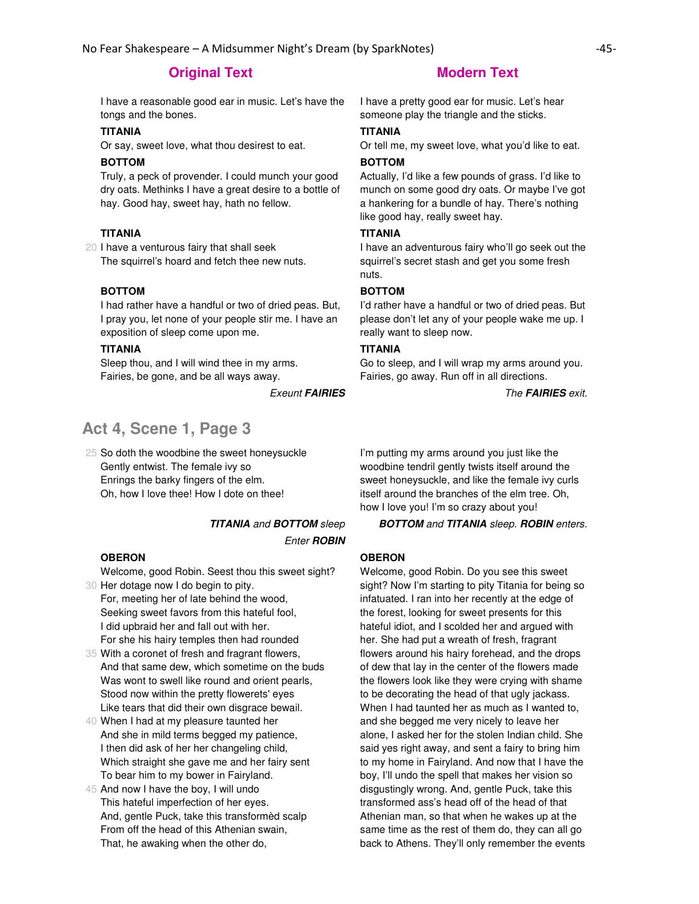I have a reasonable good ear in music. Let's have the tongs and the bones.

### **TITANIA**

Or say, sweet love, what thou desirest to eat.

#### **BOTTOM**

Truly, a peck of provender. I could munch your good dry oats. Methinks I have a great desire to a bottle of hay. Good hay, sweet hay, hath no fellow.

# **TITANIA**

20 I have a venturous fairy that shall seek The squirrel's hoard and fetch thee new nuts.

#### **BOTTOM**

I had rather have a handful or two of dried peas. But, I pray you, let none of your people stir me. I have an exposition of sleep come upon me.

#### **TITANIA**

Sleep thou, and I will wind thee in my arms. Fairies, be gone, and be all ways away.

# **Act 4, Scene 1, Page 3**

25 So doth the woodbine the sweet honeysuckle Gently entwist. The female ivy so Enrings the barky fingers of the elm. Oh, how I love thee! How I dote on thee!

Enter **ROBIN**

#### **OBERON**

30 Her dotage now I do begin to pity. Welcome, good Robin. Seest thou this sweet sight?

For, meeting her of late behind the wood, Seeking sweet favors from this hateful fool, I did upbraid her and fall out with her. For she his hairy temples then had rounded

35 With a coronet of fresh and fragrant flowers, And that same dew, which sometime on the buds Was wont to swell like round and orient pearls, Stood now within the pretty flowerets' eyes Like tears that did their own disgrace bewail.

40 When I had at my pleasure taunted her And she in mild terms begged my patience, I then did ask of her her changeling child, Which straight she gave me and her fairy sent To bear him to my bower in Fairyland.

45 And now I have the boy, I will undo This hateful imperfection of her eyes. And, gentle Puck, take this transformèd scalp From off the head of this Athenian swain, That, he awaking when the other do,

I have a pretty good ear for music. Let's hear someone play the triangle and the sticks.

#### **TITANIA**

Or tell me, my sweet love, what you'd like to eat.

#### **BOTTOM**

Actually, I'd like a few pounds of grass. I'd like to munch on some good dry oats. Or maybe I've got a hankering for a bundle of hay. There's nothing like good hay, really sweet hay.

# **TITANIA**

I have an adventurous fairy who'll go seek out the squirrel's secret stash and get you some fresh nuts.

#### **BOTTOM**

I'd rather have a handful or two of dried peas. But please don't let any of your people wake me up. I really want to sleep now.

#### **TITANIA**

Go to sleep, and I will wrap my arms around you. Fairies, go away. Run off in all directions.

**Exeunt FAIRIES** The FAIRIES exit.

I'm putting my arms around you just like the woodbine tendril gently twists itself around the sweet honeysuckle, and like the female ivy curls itself around the branches of the elm tree. Oh, how I love you! I'm so crazy about you!

**TITANIA** and **BOTTOM** sleep **BOTTOM** and **TITANIA** sleep. **ROBIN** enters.

## **OBERON**

Welcome, good Robin. Do you see this sweet sight? Now I'm starting to pity Titania for being so infatuated. I ran into her recently at the edge of the forest, looking for sweet presents for this hateful idiot, and I scolded her and argued with her. She had put a wreath of fresh, fragrant flowers around his hairy forehead, and the drops of dew that lay in the center of the flowers made the flowers look like they were crying with shame to be decorating the head of that ugly jackass. When I had taunted her as much as I wanted to, and she begged me very nicely to leave her alone, I asked her for the stolen Indian child. She said yes right away, and sent a fairy to bring him to my home in Fairyland. And now that I have the boy, I'll undo the spell that makes her vision so disgustingly wrong. And, gentle Puck, take this transformed ass's head off of the head of that Athenian man, so that when he wakes up at the same time as the rest of them do, they can all go back to Athens. They'll only remember the events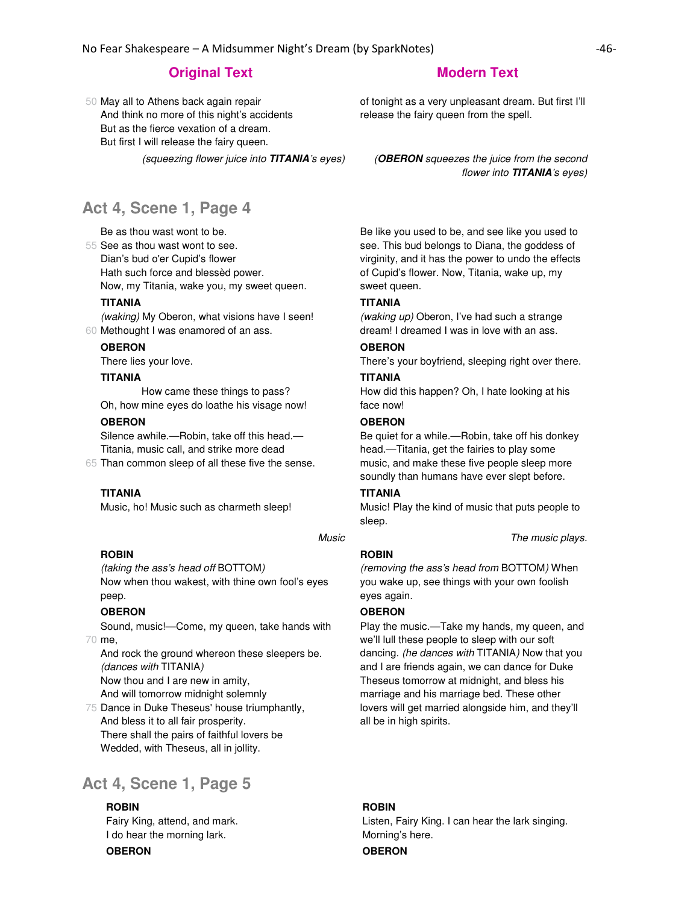50 May all to Athens back again repair And think no more of this night's accidents But as the fierce vexation of a dream. But first I will release the fairy queen.

# **Act 4, Scene 1, Page 4**

Be as thou wast wont to be.

55 See as thou wast wont to see.

Dian's bud o'er Cupid's flower

Hath such force and blessèd power.

Now, my Titania, wake you, my sweet queen.

### **TITANIA**

60 Methought I was enamored of an ass. (waking) My Oberon, what visions have I seen!

#### **OBERON**

There lies your love.

#### **TITANIA**

 How came these things to pass? Oh, how mine eyes do loathe his visage now!

#### **OBERON**

Silence awhile.—Robin, take off this head.— Titania, music call, and strike more dead

65 Than common sleep of all these five the sense.

# **TITANIA**

Music, ho! Music such as charmeth sleep!

#### Music **Music Music Music number The music plays.**

#### **ROBIN**

(taking the ass's head off BOTTOM) Now when thou wakest, with thine own fool's eyes peep.

### **OBERON**

70 me, Sound, music!—Come, my queen, take hands with

And rock the ground whereon these sleepers be. (dances with TITANIA)

Now thou and I are new in amity,

And will tomorrow midnight solemnly

75 Dance in Duke Theseus' house triumphantly, And bless it to all fair prosperity. There shall the pairs of faithful lovers be Wedded, with Theseus, all in jollity.

# **Act 4, Scene 1, Page 5**

#### **ROBIN**

Fairy King, attend, and mark. I do hear the morning lark.

**OBERON OBERON**

of tonight as a very unpleasant dream. But first I'll release the fairy queen from the spell.

(squeezing flower juice into **TITANIA**'s eyes) (**OBERON** squeezes the juice from the second flower into **TITANIA**'s eyes)

> Be like you used to be, and see like you used to see. This bud belongs to Diana, the goddess of virginity, and it has the power to undo the effects of Cupid's flower. Now, Titania, wake up, my sweet queen.

#### **TITANIA**

(waking up) Oberon, I've had such a strange dream! I dreamed I was in love with an ass.

### **OBERON**

There's your boyfriend, sleeping right over there.

### **TITANIA**

How did this happen? Oh, I hate looking at his face now!

#### **OBERON**

Be quiet for a while.—Robin, take off his donkey head.—Titania, get the fairies to play some music, and make these five people sleep more soundly than humans have ever slept before.

# **TITANIA**

Music! Play the kind of music that puts people to sleep.

#### **ROBIN**

(removing the ass's head from BOTTOM) When you wake up, see things with your own foolish eyes again.

### **OBERON**

Play the music.—Take my hands, my queen, and we'll lull these people to sleep with our soft dancing. (he dances with TITANIA) Now that you and I are friends again, we can dance for Duke Theseus tomorrow at midnight, and bless his marriage and his marriage bed. These other lovers will get married alongside him, and they'll all be in high spirits.

# **ROBIN**

Listen, Fairy King. I can hear the lark singing. Morning's here.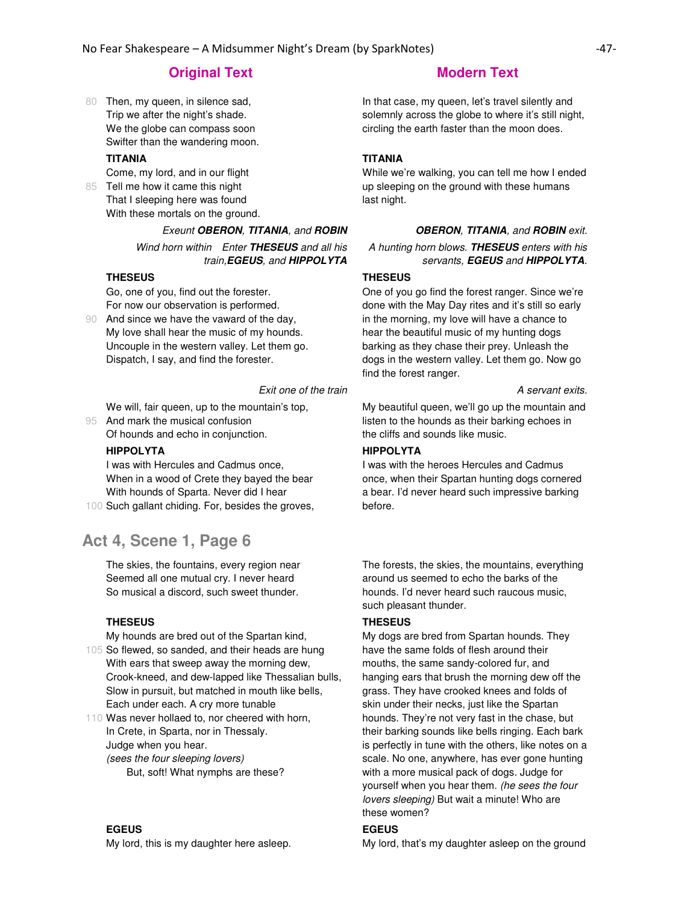80 Then, my queen, in silence sad, Trip we after the night's shade. We the globe can compass soon Swifter than the wandering moon.

### **TITANIA**

85 Tell me how it came this night Come, my lord, and in our flight

That I sleeping here was found With these mortals on the ground.

Exeunt **OBERON**, **TITANIA**, and **ROBIN OBERON**, **TITANIA**, and **ROBIN** exit.

Wind horn within Enter **THESEUS** and all his train,**EGEUS**, and **HIPPOLYTA**

## **THESEUS**

Go, one of you, find out the forester. For now our observation is performed.

90 And since we have the vaward of the day, My love shall hear the music of my hounds. Uncouple in the western valley. Let them go. Dispatch, I say, and find the forester.

Exit one of the train exits.

We will, fair queen, up to the mountain's top,

95 And mark the musical confusion Of hounds and echo in conjunction.

#### **HIPPOLYTA**

I was with Hercules and Cadmus once, When in a wood of Crete they bayed the bear With hounds of Sparta. Never did I hear

100 Such gallant chiding. For, besides the groves,

# **Act 4, Scene 1, Page 6**

The skies, the fountains, every region near Seemed all one mutual cry. I never heard So musical a discord, such sweet thunder.

## **THESEUS**

My hounds are bred out of the Spartan kind,

105 So flewed, so sanded, and their heads are hung With ears that sweep away the morning dew, Crook-kneed, and dew-lapped like Thessalian bulls, Slow in pursuit, but matched in mouth like bells, Each under each. A cry more tunable

110 Was never hollaed to, nor cheered with horn, In Crete, in Sparta, nor in Thessaly. Judge when you hear. (sees the four sleeping lovers) But, soft! What nymphs are these?

# **EGEUS**

My lord, this is my daughter here asleep.

In that case, my queen, let's travel silently and solemnly across the globe to where it's still night, circling the earth faster than the moon does.

## **TITANIA**

While we're walking, you can tell me how I ended up sleeping on the ground with these humans last night.

A hunting horn blows. **THESEUS** enters with his servants, **EGEUS** and **HIPPOLYTA**.

#### **THESEUS**

One of you go find the forest ranger. Since we're done with the May Day rites and it's still so early in the morning, my love will have a chance to hear the beautiful music of my hunting dogs barking as they chase their prey. Unleash the dogs in the western valley. Let them go. Now go find the forest ranger.

My beautiful queen, we'll go up the mountain and listen to the hounds as their barking echoes in the cliffs and sounds like music.

# **HIPPOLYTA**

I was with the heroes Hercules and Cadmus once, when their Spartan hunting dogs cornered a bear. I'd never heard such impressive barking before.

The forests, the skies, the mountains, everything around us seemed to echo the barks of the hounds. I'd never heard such raucous music, such pleasant thunder.

## **THESEUS**

My dogs are bred from Spartan hounds. They have the same folds of flesh around their mouths, the same sandy-colored fur, and hanging ears that brush the morning dew off the grass. They have crooked knees and folds of skin under their necks, just like the Spartan hounds. They're not very fast in the chase, but their barking sounds like bells ringing. Each bark is perfectly in tune with the others, like notes on a scale. No one, anywhere, has ever gone hunting with a more musical pack of dogs. Judge for yourself when you hear them. (he sees the four lovers sleeping) But wait a minute! Who are these women?

# **EGEUS**

My lord, that's my daughter asleep on the ground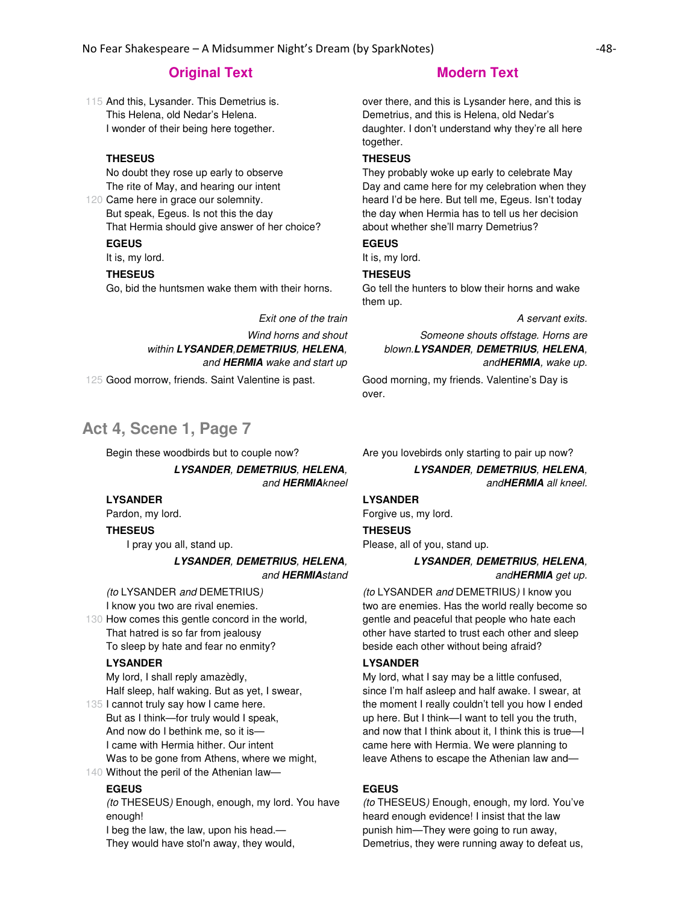115 And this, Lysander. This Demetrius is. This Helena, old Nedar's Helena. I wonder of their being here together.

## **THESEUS**

No doubt they rose up early to observe The rite of May, and hearing our intent

120 Came here in grace our solemnity. But speak, Egeus. Is not this the day That Hermia should give answer of her choice?

# **EGEUS**

It is, my lord.

#### **THESEUS**

Go, bid the huntsmen wake them with their horns.

Exit one of the train exits.

Wind horns and shout within **LYSANDER**,**DEMETRIUS**, **HELENA**, and **HERMIA** wake and start up

125 Good morrow, friends. Saint Valentine is past. Good morning, my friends. Valentine's Day is

# **Act 4, Scene 1, Page 7**

**LYSANDER**, **DEMETRIUS**, **HELENA**, and **HERMIA**kneel

#### **LYSANDER**

Pardon, my lord. **THESEUS**

I pray you all, stand up.

**LYSANDER**, **DEMETRIUS**, **HELENA**, and **HERMIA**stand

(to LYSANDER and DEMETRIUS) I know you two are rival enemies.

130 How comes this gentle concord in the world, That hatred is so far from jealousy To sleep by hate and fear no enmity?

#### **LYSANDER**

My lord, I shall reply amazèdly, Half sleep, half waking. But as yet, I swear,

135 I cannot truly say how I came here. 140 Without the peril of the Athenian law— But as I think—for truly would I speak, And now do I bethink me, so it is— I came with Hermia hither. Our intent Was to be gone from Athens, where we might,

#### **EGEUS**

(to THESEUS) Enough, enough, my lord. You have enough!

I beg the law, the law, upon his head.— They would have stol'n away, they would,

over there, and this is Lysander here, and this is Demetrius, and this is Helena, old Nedar's daughter. I don't understand why they're all here together.

#### **THESEUS**

They probably woke up early to celebrate May Day and came here for my celebration when they heard I'd be here. But tell me, Egeus. Isn't today the day when Hermia has to tell us her decision about whether she'll marry Demetrius?

# **EGEUS**

It is, my lord.

# **THESEUS**

Go tell the hunters to blow their horns and wake them up.

Someone shouts offstage. Horns are blown.**LYSANDER**, **DEMETRIUS**, **HELENA**, and**HERMIA**, wake up.

over.

Begin these woodbirds but to couple now? Are you lovebirds only starting to pair up now?

**LYSANDER**, **DEMETRIUS**, **HELENA**, and**HERMIA** all kneel.

# **LYSANDER**

Forgive us, my lord. **THESEUS** Please, all of you, stand up.

# **LYSANDER**, **DEMETRIUS**, **HELENA**,

and**HERMIA** get up.

(to LYSANDER and DEMETRIUS) I know you two are enemies. Has the world really become so gentle and peaceful that people who hate each other have started to trust each other and sleep beside each other without being afraid?

#### **LYSANDER**

My lord, what I say may be a little confused, since I'm half asleep and half awake. I swear, at the moment I really couldn't tell you how I ended up here. But I think—I want to tell you the truth, and now that I think about it, I think this is true—I came here with Hermia. We were planning to leave Athens to escape the Athenian law and—

#### **EGEUS**

(to THESEUS) Enough, enough, my lord. You've heard enough evidence! I insist that the law punish him—They were going to run away, Demetrius, they were running away to defeat us,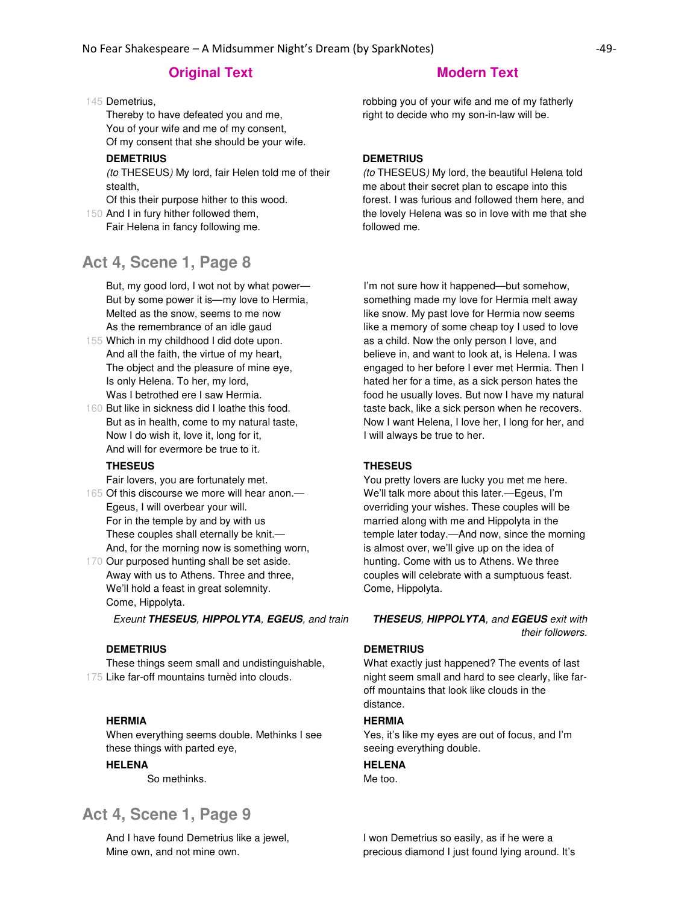### 145 Demetrius,

Thereby to have defeated you and me, You of your wife and me of my consent, Of my consent that she should be your wife.

#### **DEMETRIUS**

(to THESEUS) My lord, fair Helen told me of their stealth,

Of this their purpose hither to this wood.

150 And I in fury hither followed them, Fair Helena in fancy following me.

# **Act 4, Scene 1, Page 8**

But, my good lord, I wot not by what power— But by some power it is—my love to Hermia, Melted as the snow, seems to me now As the remembrance of an idle gaud

- 155 Which in my childhood I did dote upon. And all the faith, the virtue of my heart, The object and the pleasure of mine eye, Is only Helena. To her, my lord, Was I betrothed ere I saw Hermia.
- 160 But like in sickness did I loathe this food. But as in health, come to my natural taste, Now I do wish it, love it, long for it, And will for evermore be true to it.

#### **THESEUS**

Fair lovers, you are fortunately met.

- 165 Of this discourse we more will hear anon.— Egeus, I will overbear your will. For in the temple by and by with us These couples shall eternally be knit.— And, for the morning now is something worn,
- 170 Our purposed hunting shall be set aside. Away with us to Athens. Three and three, We'll hold a feast in great solemnity. Come, Hippolyta.

#### **DEMETRIUS**

175 Like far-off mountains turnèd into clouds. These things seem small and undistinguishable,

#### **HERMIA**

When everything seems double. Methinks I see these things with parted eye,

# **HELENA**

So methinks.

# **Act 4, Scene 1, Page 9**

And I have found Demetrius like a jewel, Mine own, and not mine own.

robbing you of your wife and me of my fatherly right to decide who my son-in-law will be.

#### **DEMETRIUS**

(to THESEUS) My lord, the beautiful Helena told me about their secret plan to escape into this forest. I was furious and followed them here, and the lovely Helena was so in love with me that she followed me.

I'm not sure how it happened—but somehow, something made my love for Hermia melt away like snow. My past love for Hermia now seems like a memory of some cheap toy I used to love as a child. Now the only person I love, and believe in, and want to look at, is Helena. I was engaged to her before I ever met Hermia. Then I hated her for a time, as a sick person hates the food he usually loves. But now I have my natural taste back, like a sick person when he recovers. Now I want Helena, I love her, I long for her, and I will always be true to her.

#### **THESEUS**

You pretty lovers are lucky you met me here. We'll talk more about this later.—Egeus, I'm overriding your wishes. These couples will be married along with me and Hippolyta in the temple later today.—And now, since the morning is almost over, we'll give up on the idea of hunting. Come with us to Athens. We three couples will celebrate with a sumptuous feast. Come, Hippolyta.

Exeunt **THESEUS**, **HIPPOLYTA**, **EGEUS**, and train **THESEUS**, **HIPPOLYTA**, and **EGEUS** exit with their followers.

#### **DEMETRIUS**

What exactly just happened? The events of last night seem small and hard to see clearly, like faroff mountains that look like clouds in the distance.

#### **HERMIA**

Yes, it's like my eyes are out of focus, and I'm seeing everything double.

## **HELENA**

Me too.

I won Demetrius so easily, as if he were a precious diamond I just found lying around. It's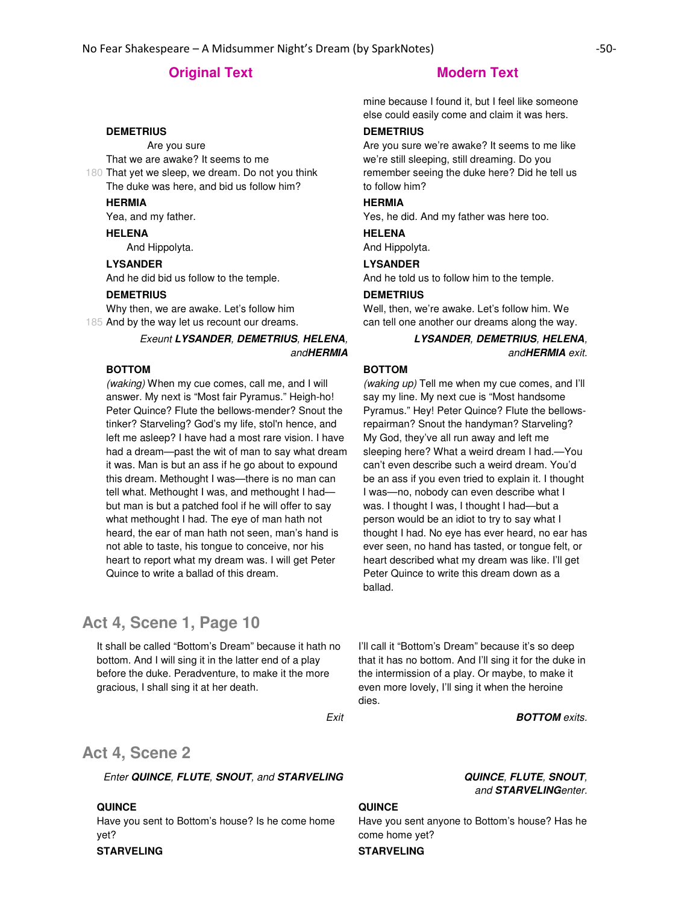# **DEMETRIUS**

 Are you sure That we are awake? It seems to me

180 That yet we sleep, we dream. Do not you think The duke was here, and bid us follow him?

# **HERMIA**

Yea, and my father.

**HELENA** And Hippolyta.

**LYSANDER**

And he did bid us follow to the temple.

#### **DEMETRIUS**

185 And by the way let us recount our dreams. Why then, we are awake. Let's follow him

# Exeunt **LYSANDER**, **DEMETRIUS**, **HELENA**, and**HERMIA**

#### **BOTTOM**

(waking) When my cue comes, call me, and I will answer. My next is "Most fair Pyramus." Heigh-ho! Peter Quince? Flute the bellows-mender? Snout the tinker? Starveling? God's my life, stol'n hence, and left me asleep? I have had a most rare vision. I have had a dream—past the wit of man to say what dream it was. Man is but an ass if he go about to expound this dream. Methought I was—there is no man can tell what. Methought I was, and methought I had but man is but a patched fool if he will offer to say what methought I had. The eye of man hath not heard, the ear of man hath not seen, man's hand is not able to taste, his tongue to conceive, nor his heart to report what my dream was. I will get Peter Quince to write a ballad of this dream.

# **Act 4, Scene 1, Page 10**

It shall be called "Bottom's Dream" because it hath no bottom. And I will sing it in the latter end of a play before the duke. Peradventure, to make it the more gracious, I shall sing it at her death.

mine because I found it, but I feel like someone else could easily come and claim it was hers.

#### **DEMETRIUS**

Are you sure we're awake? It seems to me like we're still sleeping, still dreaming. Do you remember seeing the duke here? Did he tell us to follow him?

## **HERMIA**

Yes, he did. And my father was here too.

#### **HELENA**

And Hippolyta.

## **LYSANDER**

And he told us to follow him to the temple.

#### **DEMETRIUS**

Well, then, we're awake. Let's follow him. We can tell one another our dreams along the way.

## **LYSANDER**, **DEMETRIUS**, **HELENA**, and**HERMIA** exit.

#### **BOTTOM**

(waking up) Tell me when my cue comes, and I'll say my line. My next cue is "Most handsome Pyramus." Hey! Peter Quince? Flute the bellowsrepairman? Snout the handyman? Starveling? My God, they've all run away and left me sleeping here? What a weird dream I had.—You can't even describe such a weird dream. You'd be an ass if you even tried to explain it. I thought I was—no, nobody can even describe what I was. I thought I was, I thought I had—but a person would be an idiot to try to say what I thought I had. No eye has ever heard, no ear has ever seen, no hand has tasted, or tongue felt, or heart described what my dream was like. I'll get Peter Quince to write this dream down as a ballad.

I'll call it "Bottom's Dream" because it's so deep that it has no bottom. And I'll sing it for the duke in the intermission of a play. Or maybe, to make it even more lovely, I'll sing it when the heroine dies.

Exit **BOTTOM** exits.

# **Act 4, Scene 2**

Enter **QUINCE**, **FLUTE**, **SNOUT**, and **STARVELING QUINCE**, **FLUTE**, **SNOUT**,

#### **QUINCE**

Have you sent to Bottom's house? Is he come home yet?

### **STARVELING STARVELING**

# and **STARVELING**enter.

#### **QUINCE**

Have you sent anyone to Bottom's house? Has he come home yet?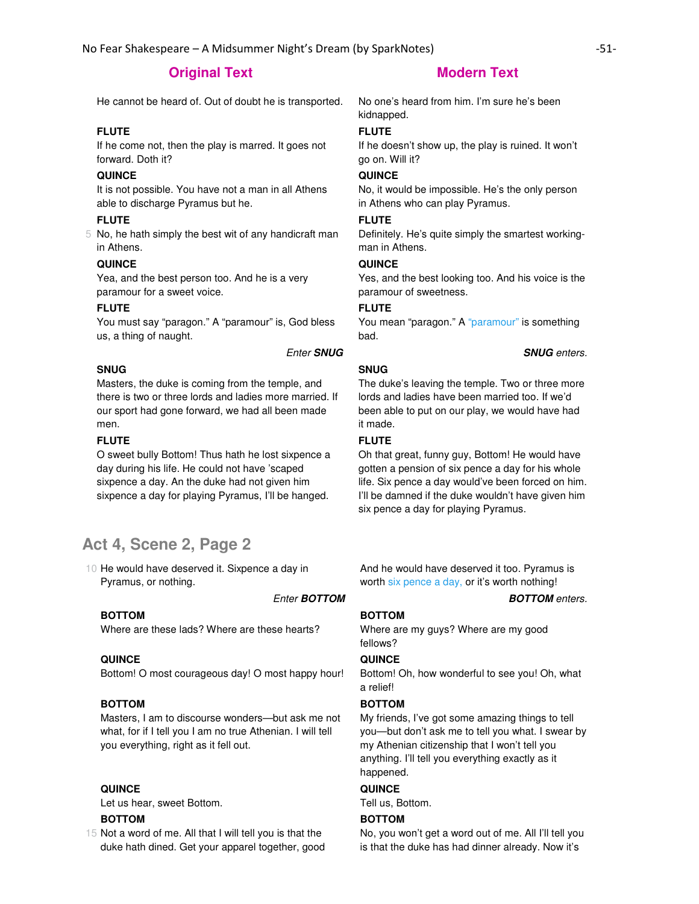He cannot be heard of. Out of doubt he is transported. No one's heard from him. I'm sure he's been

# **FLUTE**

If he come not, then the play is marred. It goes not forward. Doth it?

# **QUINCE**

It is not possible. You have not a man in all Athens able to discharge Pyramus but he.

### **FLUTE**

5 No, he hath simply the best wit of any handicraft man in Athens.

#### **QUINCE**

Yea, and the best person too. And he is a very paramour for a sweet voice.

### **FLUTE**

You must say "paragon." A "paramour" is, God bless us, a thing of naught.

#### Enter **SNUG SNUG** enters.

## **SNUG**

Masters, the duke is coming from the temple, and there is two or three lords and ladies more married. If our sport had gone forward, we had all been made men.

## **FLUTE**

O sweet bully Bottom! Thus hath he lost sixpence a day during his life. He could not have 'scaped sixpence a day. An the duke had not given him sixpence a day for playing Pyramus, I'll be hanged.

# **Act 4, Scene 2, Page 2**

10 He would have deserved it. Sixpence a day in Pyramus, or nothing.

Enter **BOTTOM BOTTOM** enters.

### **BOTTOM**

Where are these lads? Where are these hearts?

#### **QUINCE**

Bottom! O most courageous day! O most happy hour!

# **BOTTOM**

Masters, I am to discourse wonders—but ask me not what, for if I tell you I am no true Athenian. I will tell you everything, right as it fell out.

#### **QUINCE**

Let us hear, sweet Bottom.

#### **BOTTOM**

15 Not a word of me. All that I will tell you is that the duke hath dined. Get your apparel together, good

kidnapped.

## **FLUTE**

If he doesn't show up, the play is ruined. It won't go on. Will it?

# **QUINCE**

No, it would be impossible. He's the only person in Athens who can play Pyramus.

# **FLUTE**

Definitely. He's quite simply the smartest workingman in Athens.

#### **QUINCE**

Yes, and the best looking too. And his voice is the paramour of sweetness.

#### **FLUTE**

You mean "paragon." A "paramour" is something bad.

## **SNUG**

The duke's leaving the temple. Two or three more lords and ladies have been married too. If we'd been able to put on our play, we would have had it made.

## **FLUTE**

Oh that great, funny guy, Bottom! He would have gotten a pension of six pence a day for his whole life. Six pence a day would've been forced on him. I'll be damned if the duke wouldn't have given him six pence a day for playing Pyramus.

And he would have deserved it too. Pyramus is worth six pence a day, or it's worth nothing!

#### **BOTTOM**

Where are my guys? Where are my good fellows?

#### **QUINCE**

Bottom! Oh, how wonderful to see you! Oh, what a relief!

# **BOTTOM**

My friends, I've got some amazing things to tell you—but don't ask me to tell you what. I swear by my Athenian citizenship that I won't tell you anything. I'll tell you everything exactly as it happened.

#### **QUINCE**

Tell us, Bottom.

## **BOTTOM**

No, you won't get a word out of me. All I'll tell you is that the duke has had dinner already. Now it's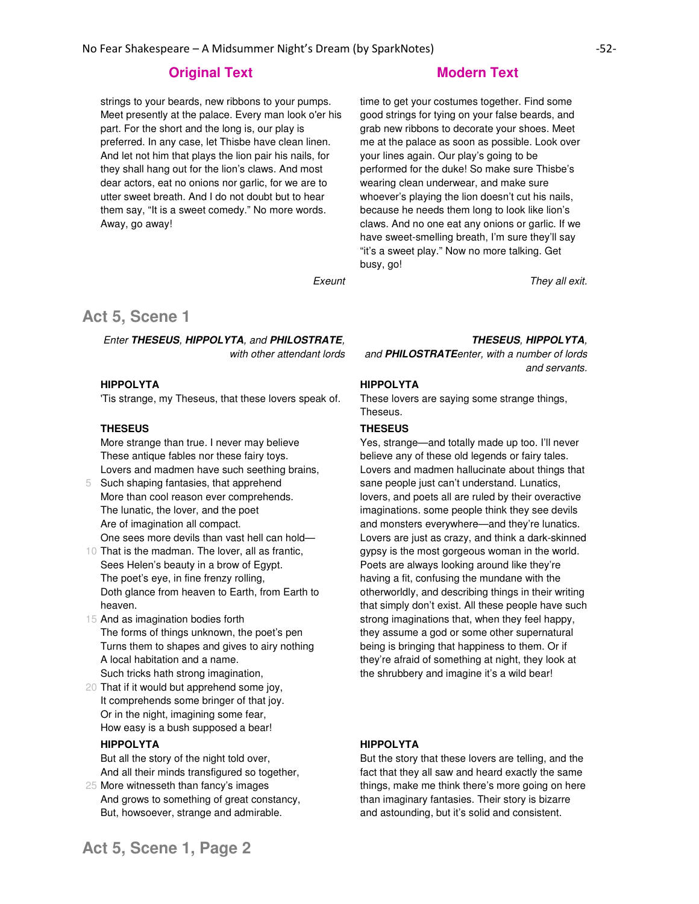strings to your beards, new ribbons to your pumps. Meet presently at the palace. Every man look o'er his part. For the short and the long is, our play is preferred. In any case, let Thisbe have clean linen. And let not him that plays the lion pair his nails, for they shall hang out for the lion's claws. And most dear actors, eat no onions nor garlic, for we are to utter sweet breath. And I do not doubt but to hear them say, "It is a sweet comedy." No more words. Away, go away!

# **Original Text Modern Text Modern Text**

time to get your costumes together. Find some good strings for tying on your false beards, and grab new ribbons to decorate your shoes. Meet me at the palace as soon as possible. Look over your lines again. Our play's going to be performed for the duke! So make sure Thisbe's wearing clean underwear, and make sure whoever's playing the lion doesn't cut his nails, because he needs them long to look like lion's claws. And no one eat any onions or garlic. If we have sweet-smelling breath, I'm sure they'll say "it's a sweet play." Now no more talking. Get busy, go!

Exeunt They all exit.

# **Act 5, Scene 1**

Enter **THESEUS**, **HIPPOLYTA**, and **PHILOSTRATE**, with other attendant lords

# **HIPPOLYTA**

'Tis strange, my Theseus, that these lovers speak of.

### **THESEUS**

More strange than true. I never may believe These antique fables nor these fairy toys. Lovers and madmen have such seething brains,

- 5 Such shaping fantasies, that apprehend More than cool reason ever comprehends. The lunatic, the lover, and the poet Are of imagination all compact. One sees more devils than vast hell can hold—
- 10 That is the madman. The lover, all as frantic, Sees Helen's beauty in a brow of Egypt. The poet's eye, in fine frenzy rolling, Doth glance from heaven to Earth, from Earth to heaven.
- 15 And as imagination bodies forth The forms of things unknown, the poet's pen Turns them to shapes and gives to airy nothing A local habitation and a name. Such tricks hath strong imagination,
- 20 That if it would but apprehend some joy, It comprehends some bringer of that joy. Or in the night, imagining some fear, How easy is a bush supposed a bear!

### **HIPPOLYTA**

But all the story of the night told over, And all their minds transfigured so together,

25 More witnesseth than fancy's images And grows to something of great constancy, But, howsoever, strange and admirable.

# **THESEUS**, **HIPPOLYTA**,

and **PHILOSTRATE**enter, with a number of lords and servants.

# **HIPPOLYTA**

These lovers are saying some strange things, Theseus.

### **THESEUS**

Yes, strange—and totally made up too. I'll never believe any of these old legends or fairy tales. Lovers and madmen hallucinate about things that sane people just can't understand. Lunatics, lovers, and poets all are ruled by their overactive imaginations. some people think they see devils and monsters everywhere—and they're lunatics. Lovers are just as crazy, and think a dark-skinned gypsy is the most gorgeous woman in the world. Poets are always looking around like they're having a fit, confusing the mundane with the otherworldly, and describing things in their writing that simply don't exist. All these people have such strong imaginations that, when they feel happy, they assume a god or some other supernatural being is bringing that happiness to them. Or if they're afraid of something at night, they look at the shrubbery and imagine it's a wild bear!

#### **HIPPOLYTA**

But the story that these lovers are telling, and the fact that they all saw and heard exactly the same things, make me think there's more going on here than imaginary fantasies. Their story is bizarre and astounding, but it's solid and consistent.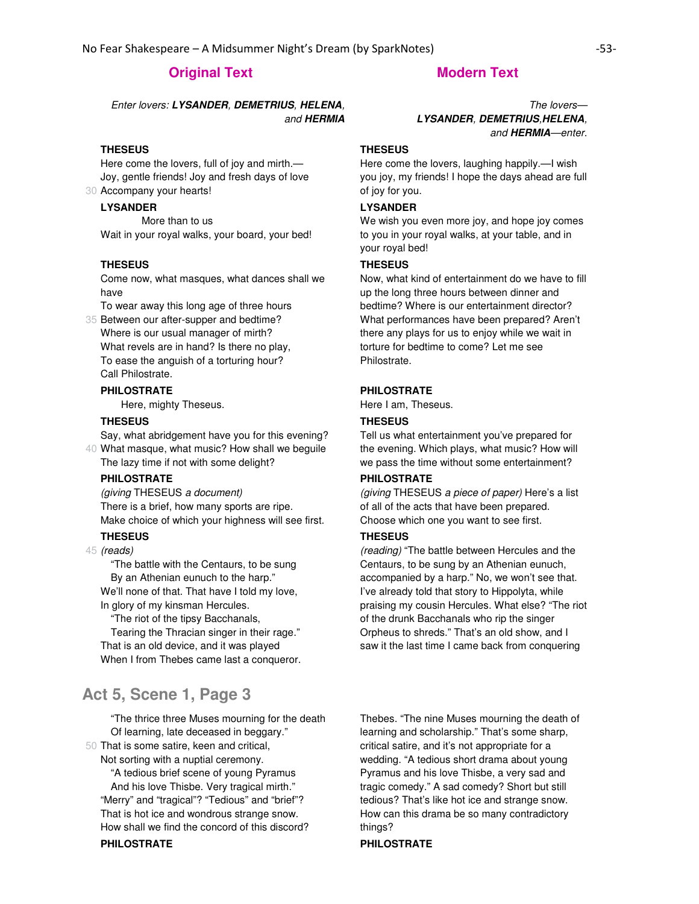Enter lovers: **LYSANDER**, **DEMETRIUS**, **HELENA**, and **HERMIA**

#### **THESEUS**

30 Accompany your hearts! Here come the lovers, full of joy and mirth.— Joy, gentle friends! Joy and fresh days of love

# **LYSANDER**

 More than to us Wait in your royal walks, your board, your bed!

#### **THESEUS**

Come now, what masques, what dances shall we have

To wear away this long age of three hours

35 Between our after-supper and bedtime? Where is our usual manager of mirth? What revels are in hand? Is there no play, To ease the anguish of a torturing hour? Call Philostrate.

#### **PHILOSTRATE**

Here, mighty Theseus.

### **THESEUS**

40 What masque, what music? How shall we beguile Say, what abridgement have you for this evening? The lazy time if not with some delight?

#### **PHILOSTRATE**

(giving THESEUS a document) There is a brief, how many sports are ripe. Make choice of which your highness will see first.

# **THESEUS**

45 (reads)

 "The battle with the Centaurs, to be sung By an Athenian eunuch to the harp." We'll none of that. That have I told my love,

In glory of my kinsman Hercules.

 "The riot of the tipsy Bacchanals, Tearing the Thracian singer in their rage." That is an old device, and it was played When I from Thebes came last a conqueror.

# **Act 5, Scene 1, Page 3**

 "The thrice three Muses mourning for the death Of learning, late deceased in beggary."

50 That is some satire, keen and critical, Not sorting with a nuptial ceremony.

 "A tedious brief scene of young Pyramus And his love Thisbe. Very tragical mirth." "Merry" and "tragical"? "Tedious" and "brief"? That is hot ice and wondrous strange snow. How shall we find the concord of this discord? **PHILOSTRATE PHILOSTRATE**

The lovers— **LYSANDER**, **DEMETRIUS**,**HELENA**, and **HERMIA**—enter.

#### **THESEUS**

Here come the lovers, laughing happily.—I wish you joy, my friends! I hope the days ahead are full of joy for you.

# **LYSANDER**

We wish you even more joy, and hope joy comes to you in your royal walks, at your table, and in your royal bed!

#### **THESEUS**

Now, what kind of entertainment do we have to fill up the long three hours between dinner and bedtime? Where is our entertainment director? What performances have been prepared? Aren't there any plays for us to enjoy while we wait in torture for bedtime to come? Let me see Philostrate.

# **PHILOSTRATE**

Here I am, Theseus.

# **THESEUS**

Tell us what entertainment you've prepared for the evening. Which plays, what music? How will we pass the time without some entertainment?

#### **PHILOSTRATE**

(giving THESEUS a piece of paper) Here's a list of all of the acts that have been prepared. Choose which one you want to see first.

#### **THESEUS**

(reading) "The battle between Hercules and the Centaurs, to be sung by an Athenian eunuch, accompanied by a harp." No, we won't see that. I've already told that story to Hippolyta, while praising my cousin Hercules. What else? "The riot of the drunk Bacchanals who rip the singer Orpheus to shreds." That's an old show, and I saw it the last time I came back from conquering

Thebes. "The nine Muses mourning the death of learning and scholarship." That's some sharp, critical satire, and it's not appropriate for a wedding. "A tedious short drama about young Pyramus and his love Thisbe, a very sad and tragic comedy." A sad comedy? Short but still tedious? That's like hot ice and strange snow. How can this drama be so many contradictory things?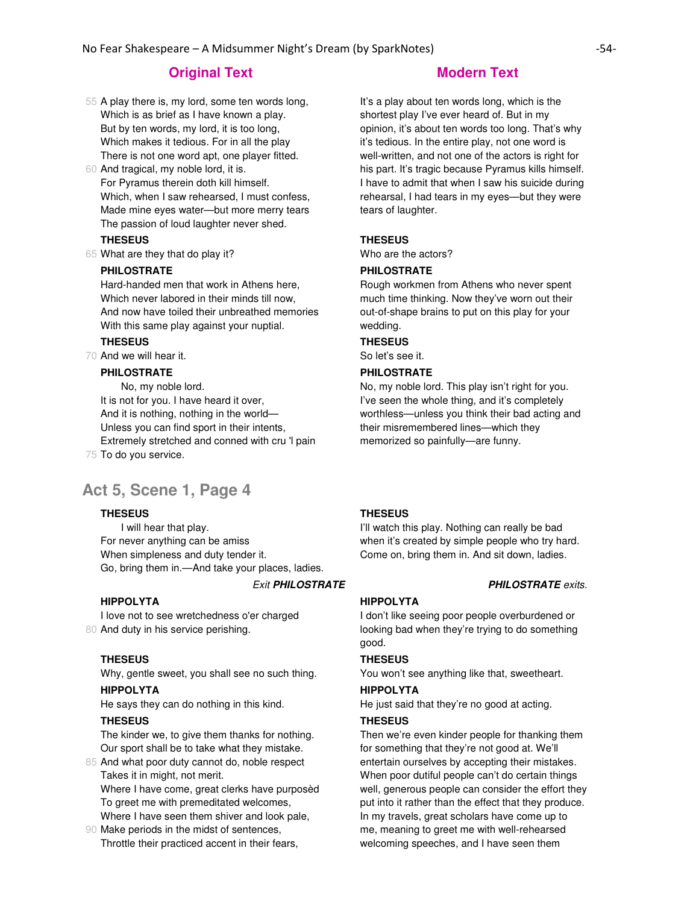- 55 A play there is, my lord, some ten words long, Which is as brief as I have known a play. But by ten words, my lord, it is too long, Which makes it tedious. For in all the play There is not one word apt, one player fitted.
- 60 And tragical, my noble lord, it is. For Pyramus therein doth kill himself. Which, when I saw rehearsed, I must confess, Made mine eyes water—but more merry tears The passion of loud laughter never shed.

#### **THESEUS**

65 What are they that do play it?

### **PHILOSTRATE**

Hard-handed men that work in Athens here, Which never labored in their minds till now, And now have toiled their unbreathed memories With this same play against your nuptial.

# **THESEUS**

70 And we will hear it.

# **PHILOSTRATE**

75 To do you service. No, my noble lord. It is not for you. I have heard it over, And it is nothing, nothing in the world— Unless you can find sport in their intents, Extremely stretched and conned with cru 'l pain

# **Act 5, Scene 1, Page 4**

## **THESEUS**

 I will hear that play. For never anything can be amiss When simpleness and duty tender it. Go, bring them in.—And take your places, ladies.

#### **Exit PHILOSTRATE PHILOSTRATE** exits.

#### **HIPPOLYTA**

80 And duty in his service perishing. I love not to see wretchedness o'er charged

#### **THESEUS**

Why, gentle sweet, you shall see no such thing.

# **HIPPOLYTA**

He says they can do nothing in this kind.

#### **THESEUS**

The kinder we, to give them thanks for nothing. Our sport shall be to take what they mistake.

85 And what poor duty cannot do, noble respect Takes it in might, not merit.

Where I have come, great clerks have purposèd To greet me with premeditated welcomes, Where I have seen them shiver and look pale,

90 Make periods in the midst of sentences, Throttle their practiced accent in their fears,

It's a play about ten words long, which is the shortest play I've ever heard of. But in my opinion, it's about ten words too long. That's why it's tedious. In the entire play, not one word is well-written, and not one of the actors is right for his part. It's tragic because Pyramus kills himself. I have to admit that when I saw his suicide during rehearsal, I had tears in my eyes—but they were tears of laughter.

### **THESEUS**

Who are the actors?

### **PHILOSTRATE**

Rough workmen from Athens who never spent much time thinking. Now they've worn out their out-of-shape brains to put on this play for your wedding.

# **THESEUS**

So let's see it.

# **PHILOSTRATE**

No, my noble lord. This play isn't right for you. I've seen the whole thing, and it's completely worthless—unless you think their bad acting and their misremembered lines—which they memorized so painfully—are funny.

#### **THESEUS**

I'll watch this play. Nothing can really be bad when it's created by simple people who try hard. Come on, bring them in. And sit down, ladies.

# **HIPPOLYTA**

I don't like seeing poor people overburdened or looking bad when they're trying to do something good.

#### **THESEUS**

You won't see anything like that, sweetheart.

## **HIPPOLYTA**

He just said that they're no good at acting.

#### **THESEUS**

Then we're even kinder people for thanking them for something that they're not good at. We'll entertain ourselves by accepting their mistakes. When poor dutiful people can't do certain things well, generous people can consider the effort they put into it rather than the effect that they produce. In my travels, great scholars have come up to me, meaning to greet me with well-rehearsed welcoming speeches, and I have seen them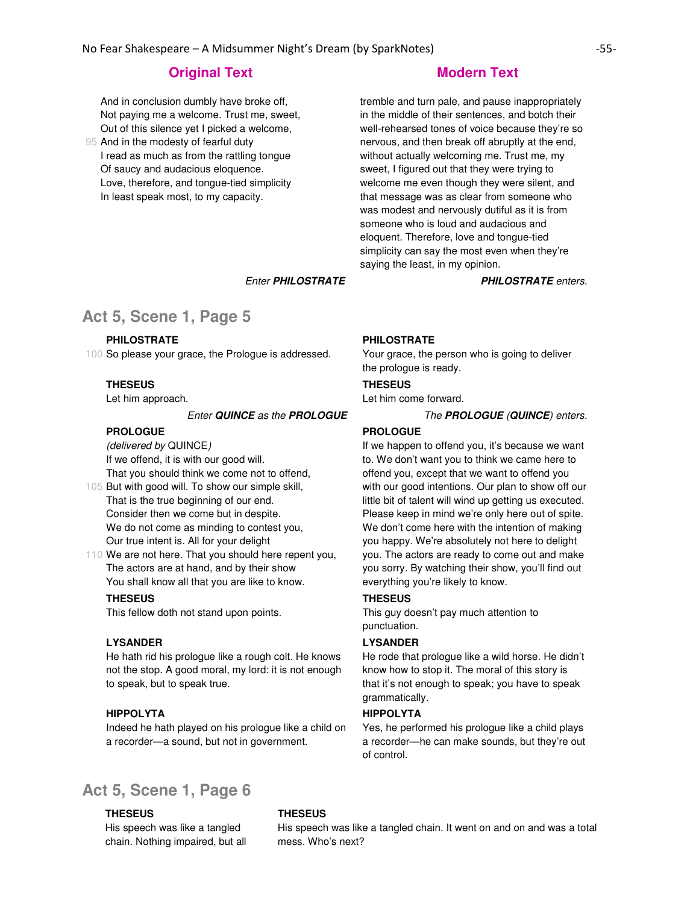And in conclusion dumbly have broke off, Not paying me a welcome. Trust me, sweet, Out of this silence yet I picked a welcome,

95 And in the modesty of fearful duty I read as much as from the rattling tongue Of saucy and audacious eloquence. Love, therefore, and tongue-tied simplicity In least speak most, to my capacity.

tremble and turn pale, and pause inappropriately in the middle of their sentences, and botch their well-rehearsed tones of voice because they're so nervous, and then break off abruptly at the end, without actually welcoming me. Trust me, my sweet, I figured out that they were trying to welcome me even though they were silent, and that message was as clear from someone who was modest and nervously dutiful as it is from someone who is loud and audacious and eloquent. Therefore, love and tongue-tied simplicity can say the most even when they're saying the least, in my opinion.

Enter **PHILOSTRATE PHILOSTRATE** enters.

# **Act 5, Scene 1, Page 5**

#### **PHILOSTRATE**

100 So please your grace, the Prologue is addressed.

# **THESEUS**

Let him approach.

### Enter **QUINCE** as the **PROLOGUE** The **PROLOGUE** (**QUINCE**) enters.

# **PROLOGUE**

(delivered by QUINCE) If we offend, it is with our good will. That you should think we come not to offend,

105 But with good will. To show our simple skill, That is the true beginning of our end. Consider then we come but in despite. We do not come as minding to contest you, Our true intent is. All for your delight

110 We are not here. That you should here repent you, The actors are at hand, and by their show You shall know all that you are like to know.

#### **THESEUS**

This fellow doth not stand upon points.

#### **LYSANDER**

He hath rid his prologue like a rough colt. He knows not the stop. A good moral, my lord: it is not enough to speak, but to speak true.

#### **HIPPOLYTA**

Indeed he hath played on his prologue like a child on a recorder—a sound, but not in government.

#### **PHILOSTRATE**

Your grace, the person who is going to deliver the prologue is ready.

#### **THESEUS**

Let him come forward.

#### **PROLOGUE**

If we happen to offend you, it's because we want to. We don't want you to think we came here to offend you, except that we want to offend you with our good intentions. Our plan to show off our little bit of talent will wind up getting us executed. Please keep in mind we're only here out of spite. We don't come here with the intention of making you happy. We're absolutely not here to delight you. The actors are ready to come out and make you sorry. By watching their show, you'll find out everything you're likely to know.

# **THESEUS**

This guy doesn't pay much attention to punctuation.

#### **LYSANDER**

He rode that prologue like a wild horse. He didn't know how to stop it. The moral of this story is that it's not enough to speak; you have to speak grammatically.

### **HIPPOLYTA**

Yes, he performed his prologue like a child plays a recorder—he can make sounds, but they're out of control.

# **Act 5, Scene 1, Page 6**

#### **THESEUS**

His speech was like a tangled chain. Nothing impaired, but all

### **THESEUS**

His speech was like a tangled chain. It went on and on and was a total mess. Who's next?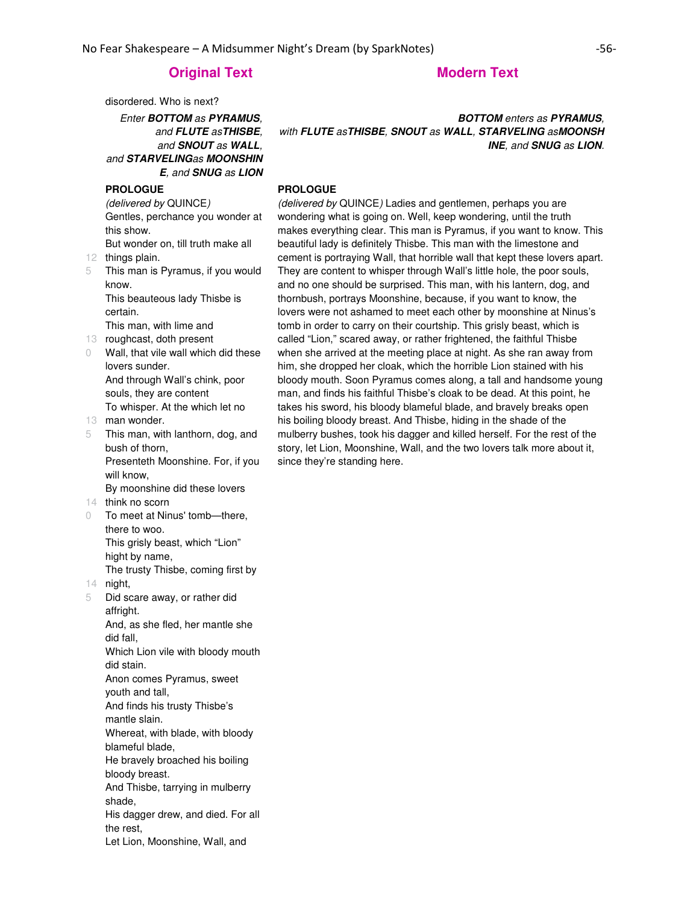disordered. Who is next?

Enter **BOTTOM** as **PYRAMUS**, and **FLUTE** as**THISBE**, and **SNOUT** as **WALL**, and **STARVELING**as **MOONSHIN E**, and **SNUG** as **LION**

# **PROLOGUE**

(delivered by QUINCE) Gentles, perchance you wonder at this show.

12 things plain. But wonder on, till truth make all

5 This man is Pyramus, if you would know.

This beauteous lady Thisbe is certain.

This man, with lime and

- 13 roughcast, doth present
- 0 Wall, that vile wall which did these lovers sunder. And through Wall's chink, poor souls, they are content To whisper. At the which let no
- 13 man wonder.
- 5 This man, with lanthorn, dog, and bush of thorn, Presenteth Moonshine. For, if you will know, By moonshine did these lovers
- 14 think no scorn
- 0 To meet at Ninus' tomb—there, there to woo. This grisly beast, which "Lion" hight by name,

The trusty Thisbe, coming first by

- 14 night, 5 Did scare away, or rather did affright. And, as she fled, her mantle she did fall, Which Lion vile with bloody mouth did stain. Anon comes Pyramus, sweet youth and tall, And finds his trusty Thisbe's mantle slain. Whereat, with blade, with bloody blameful blade, He bravely broached his boiling bloody breast. And Thisbe, tarrying in mulberry shade, His dagger drew, and died. For all
	- the rest,
	- Let Lion, Moonshine, Wall, and

# **BOTTOM** enters as **PYRAMUS**, with **FLUTE** as**THISBE**, **SNOUT** as **WALL**, **STARVELING** as**MOONSH INE**, and **SNUG** as **LION**.

#### **PROLOGUE**

(delivered by QUINCE) Ladies and gentlemen, perhaps you are wondering what is going on. Well, keep wondering, until the truth makes everything clear. This man is Pyramus, if you want to know. This beautiful lady is definitely Thisbe. This man with the limestone and cement is portraying Wall, that horrible wall that kept these lovers apart. They are content to whisper through Wall's little hole, the poor souls, and no one should be surprised. This man, with his lantern, dog, and thornbush, portrays Moonshine, because, if you want to know, the lovers were not ashamed to meet each other by moonshine at Ninus's tomb in order to carry on their courtship. This grisly beast, which is called "Lion," scared away, or rather frightened, the faithful Thisbe when she arrived at the meeting place at night. As she ran away from him, she dropped her cloak, which the horrible Lion stained with his bloody mouth. Soon Pyramus comes along, a tall and handsome young man, and finds his faithful Thisbe's cloak to be dead. At this point, he takes his sword, his bloody blameful blade, and bravely breaks open his boiling bloody breast. And Thisbe, hiding in the shade of the mulberry bushes, took his dagger and killed herself. For the rest of the story, let Lion, Moonshine, Wall, and the two lovers talk more about it, since they're standing here.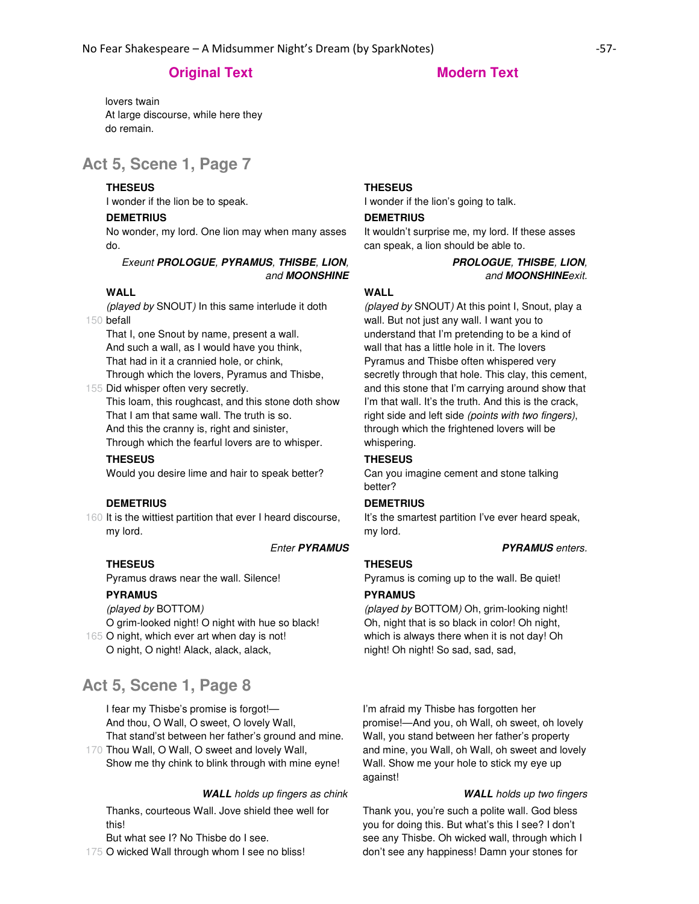lovers twain At large discourse, while here they do remain.

# **Act 5, Scene 1, Page 7**

## **THESEUS**

I wonder if the lion be to speak.

## **DEMETRIUS**

No wonder, my lord. One lion may when many asses do.

# Exeunt **PROLOGUE**, **PYRAMUS**, **THISBE**, **LION**, and **MOONSHINE**

### **WALL**

150 befall (played by SNOUT) In this same interlude it doth

That I, one Snout by name, present a wall. And such a wall, as I would have you think, That had in it a crannied hole, or chink,

155 Did whisper often very secretly. Through which the lovers, Pyramus and Thisbe,

This loam, this roughcast, and this stone doth show That I am that same wall. The truth is so. And this the cranny is, right and sinister,

Through which the fearful lovers are to whisper.

## **THESEUS**

Would you desire lime and hair to speak better?

### **DEMETRIUS**

160 It is the wittiest partition that ever I heard discourse, my lord.

# Enter **PYRAMUS PYRAMUS** enters.

Pyramus draws near the wall. Silence!

### **PYRAMUS**

**THESEUS**

(played by BOTTOM)

O grim-looked night! O night with hue so black!

165 O night, which ever art when day is not! O night, O night! Alack, alack, alack,

# **Act 5, Scene 1, Page 8**

I fear my Thisbe's promise is forgot!— And thou, O Wall, O sweet, O lovely Wall, That stand'st between her father's ground and mine.

170 Thou Wall, O Wall, O sweet and lovely Wall, Show me thy chink to blink through with mine eyne!

#### **WALL** holds up fingers as chink **WALL** holds up two fingers

Thanks, courteous Wall. Jove shield thee well for this!

But what see I? No Thisbe do I see.

175 O wicked Wall through whom I see no bliss!

# **THESEUS**

I wonder if the lion's going to talk.

## **DEMETRIUS**

It wouldn't surprise me, my lord. If these asses can speak, a lion should be able to.

# **PROLOGUE**, **THISBE**, **LION**, and **MOONSHINE**exit.

## **WALL**

(played by SNOUT) At this point I, Snout, play a wall. But not just any wall. I want you to understand that I'm pretending to be a kind of wall that has a little hole in it. The lovers Pyramus and Thisbe often whispered very secretly through that hole. This clay, this cement, and this stone that I'm carrying around show that I'm that wall. It's the truth. And this is the crack, right side and left side (points with two fingers), through which the frightened lovers will be whispering.

## **THESEUS**

Can you imagine cement and stone talking better?

### **DEMETRIUS**

It's the smartest partition I've ever heard speak, my lord.

# **THESEUS**

Pyramus is coming up to the wall. Be quiet!

### **PYRAMUS**

(played by BOTTOM) Oh, grim-looking night! Oh, night that is so black in color! Oh night, which is always there when it is not day! Oh night! Oh night! So sad, sad, sad,

I'm afraid my Thisbe has forgotten her promise!—And you, oh Wall, oh sweet, oh lovely Wall, you stand between her father's property and mine, you Wall, oh Wall, oh sweet and lovely Wall. Show me your hole to stick my eye up against!

Thank you, you're such a polite wall. God bless you for doing this. But what's this I see? I don't see any Thisbe. Oh wicked wall, through which I don't see any happiness! Damn your stones for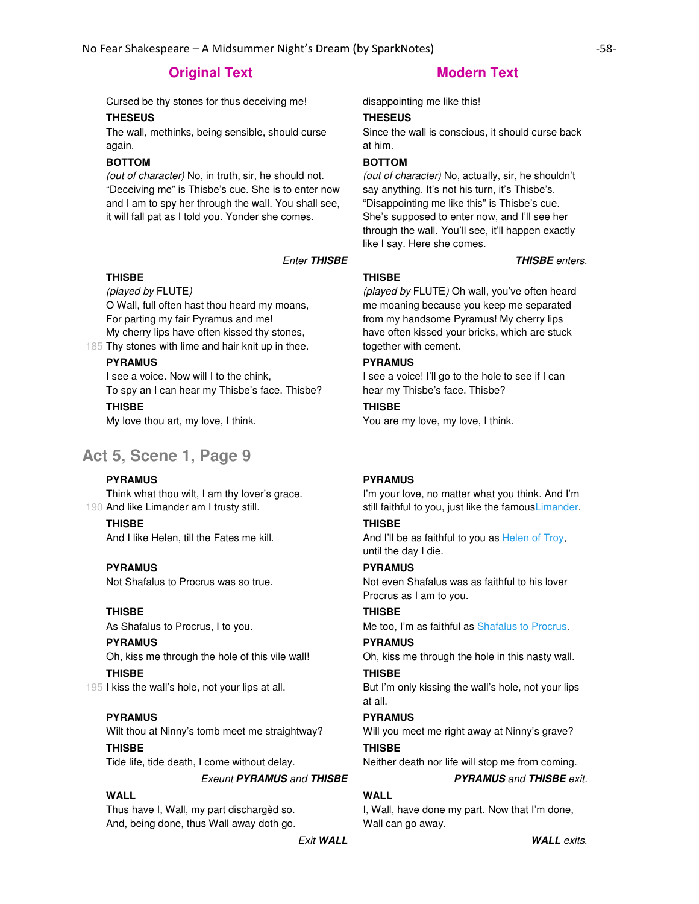Cursed be thy stones for thus deceiving me! disappointing me like this!

### **THESEUS**

The wall, methinks, being sensible, should curse again.

# **BOTTOM**

(out of character) No, in truth, sir, he should not. "Deceiving me" is Thisbe's cue. She is to enter now and I am to spy her through the wall. You shall see, it will fall pat as I told you. Yonder she comes.

# **THISBE**

(played by FLUTE)

O Wall, full often hast thou heard my moans, For parting my fair Pyramus and me! My cherry lips have often kissed thy stones,

185 Thy stones with lime and hair knit up in thee.

# **PYRAMUS**

I see a voice. Now will I to the chink, To spy an I can hear my Thisbe's face. Thisbe?

# **THISBE**

My love thou art, my love, I think.

# **Act 5, Scene 1, Page 9**

### **PYRAMUS**

190 And like Limander am I trusty still. Think what thou wilt, I am thy lover's grace.

**THISBE**

And I like Helen, till the Fates me kill.

# **PYRAMUS**

Not Shafalus to Procrus was so true.

### **THISBE**

As Shafalus to Procrus, I to you.

# **PYRAMUS**

Oh, kiss me through the hole of this vile wall! **THISBE**

195 I kiss the wall's hole, not your lips at all.

# **PYRAMUS**

Wilt thou at Ninny's tomb meet me straightway? **THISBE**

Tide life, tide death, I come without delay.

### Exeunt **PYRAMUS** and **THISBE PYRAMUS** and **THISBE** exit.

# **WALL**

Thus have I, Wall, my part dischargèd so. And, being done, thus Wall away doth go.

# **THESEUS**

Since the wall is conscious, it should curse back at him.

# **BOTTOM**

(out of character) No, actually, sir, he shouldn't say anything. It's not his turn, it's Thisbe's. "Disappointing me like this" is Thisbe's cue. She's supposed to enter now, and I'll see her through the wall. You'll see, it'll happen exactly like I say. Here she comes.

Enter **THISBE THISBE** enters.

# **THISBE**

(played by FLUTE) Oh wall, you've often heard me moaning because you keep me separated from my handsome Pyramus! My cherry lips have often kissed your bricks, which are stuck together with cement.

## **PYRAMUS**

I see a voice! I'll go to the hole to see if I can hear my Thisbe's face. Thisbe?

# **THISBE**

You are my love, my love, I think.

### **PYRAMUS**

I'm your love, no matter what you think. And I'm still faithful to you, just like the famousLimander.

# **THISBE**

And I'll be as faithful to you as Helen of Troy, until the day I die.

# **PYRAMUS**

Not even Shafalus was as faithful to his lover Procrus as I am to you.

# **THISBE**

Me too, I'm as faithful as Shafalus to Procrus.

# **PYRAMUS**

Oh, kiss me through the hole in this nasty wall.

# **THISBE**

But I'm only kissing the wall's hole, not your lips at all.

# **PYRAMUS**

Will you meet me right away at Ninny's grave? **THISBE**

Neither death nor life will stop me from coming.

# **WALL**

I, Wall, have done my part. Now that I'm done, Wall can go away.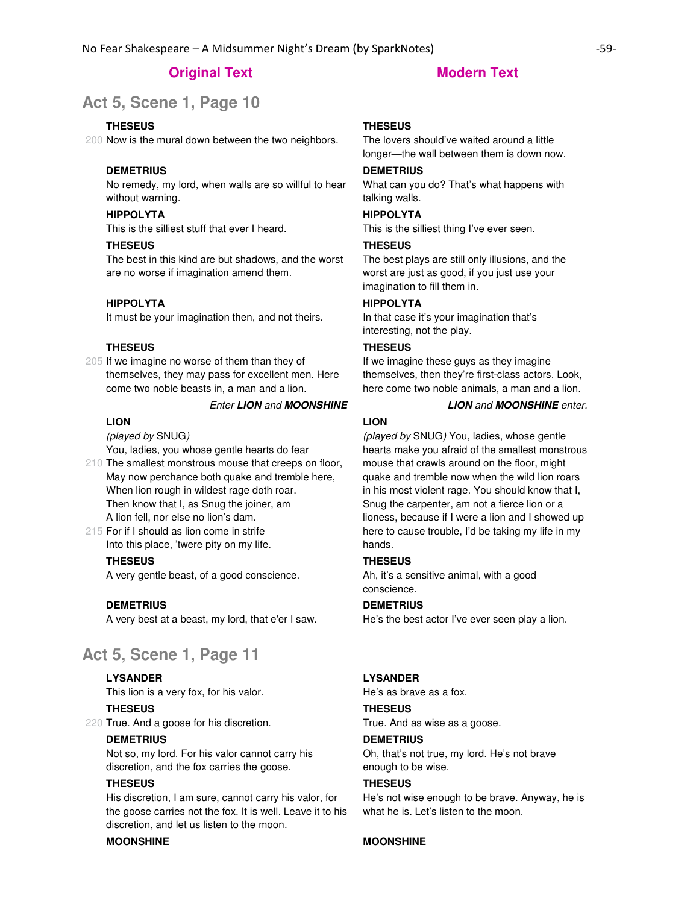# **Act 5, Scene 1, Page 10**

#### **THESEUS**

200 Now is the mural down between the two neighbors.

#### **DEMETRIUS**

No remedy, my lord, when walls are so willful to hear without warning.

# **HIPPOLYTA**

This is the silliest stuff that ever I heard.

### **THESEUS**

The best in this kind are but shadows, and the worst are no worse if imagination amend them.

## **HIPPOLYTA**

It must be your imagination then, and not theirs.

#### **THESEUS**

205 If we imagine no worse of them than they of themselves, they may pass for excellent men. Here come two noble beasts in, a man and a lion.

#### Enter **LION** and **MOONSHINE LION** and **MOONSHINE** enter.

# **LION**

(played by SNUG)

You, ladies, you whose gentle hearts do fear

- 210 The smallest monstrous mouse that creeps on floor, May now perchance both quake and tremble here, When lion rough in wildest rage doth roar. Then know that I, as Snug the joiner, am A lion fell, nor else no lion's dam.
- 215 For if I should as lion come in strife Into this place, 'twere pity on my life.

#### **THESEUS**

A very gentle beast, of a good conscience.

#### **DEMETRIUS**

A very best at a beast, my lord, that e'er I saw.

# **Act 5, Scene 1, Page 11**

# **LYSANDER**

This lion is a very fox, for his valor.

**THESEUS**

220 True. And a goose for his discretion.

## **DEMETRIUS**

Not so, my lord. For his valor cannot carry his discretion, and the fox carries the goose.

## **THESEUS**

His discretion, I am sure, cannot carry his valor, for the goose carries not the fox. It is well. Leave it to his discretion, and let us listen to the moon.

### **MOONSHINE MOONSHINE**

#### **THESEUS**

The lovers should've waited around a little longer—the wall between them is down now.

#### **DEMETRIUS**

What can you do? That's what happens with talking walls.

#### **HIPPOLYTA**

This is the silliest thing I've ever seen.

## **THESEUS**

The best plays are still only illusions, and the worst are just as good, if you just use your imagination to fill them in.

# **HIPPOLYTA**

In that case it's your imagination that's interesting, not the play.

#### **THESEUS**

If we imagine these guys as they imagine themselves, then they're first-class actors. Look, here come two noble animals, a man and a lion.

#### **LION**

(played by SNUG) You, ladies, whose gentle hearts make you afraid of the smallest monstrous mouse that crawls around on the floor, might quake and tremble now when the wild lion roars in his most violent rage. You should know that I, Snug the carpenter, am not a fierce lion or a lioness, because if I were a lion and I showed up here to cause trouble, I'd be taking my life in my hands.

# **THESEUS**

Ah, it's a sensitive animal, with a good conscience.

#### **DEMETRIUS**

He's the best actor I've ever seen play a lion.

#### **LYSANDER**

He's as brave as a fox.

# **THESEUS**

True. And as wise as a goose.

# **DEMETRIUS**

Oh, that's not true, my lord. He's not brave enough to be wise.

## **THESEUS**

He's not wise enough to be brave. Anyway, he is what he is. Let's listen to the moon.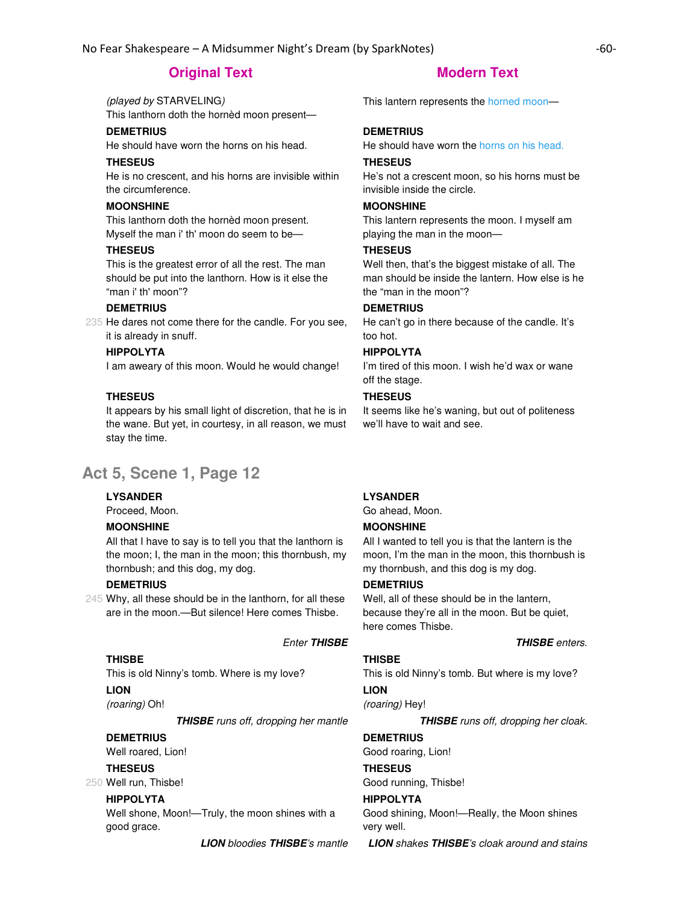(played by STARVELING) This lanthorn doth the hornèd moon present—

# **DEMETRIUS**

He should have worn the horns on his head.

## **THESEUS**

He is no crescent, and his horns are invisible within the circumference.

# **MOONSHINE**

This lanthorn doth the hornèd moon present. Myself the man i' th' moon do seem to be—

### **THESEUS**

This is the greatest error of all the rest. The man should be put into the lanthorn. How is it else the "man i' th' moon"?

# **DEMETRIUS**

235 He dares not come there for the candle. For you see, it is already in snuff.

## **HIPPOLYTA**

I am aweary of this moon. Would he would change!

# **THESEUS**

It appears by his small light of discretion, that he is in the wane. But yet, in courtesy, in all reason, we must stay the time.

# **Act 5, Scene 1, Page 12**

# **LYSANDER**

Proceed, Moon.

### **MOONSHINE**

All that I have to say is to tell you that the lanthorn is the moon; I, the man in the moon; this thornbush, my thornbush; and this dog, my dog.

### **DEMETRIUS**

245 Why, all these should be in the lanthorn, for all these are in the moon.—But silence! Here comes Thisbe.

This is old Ninny's tomb. Where is my love?

### **LION**

**THISBE**

(roaring) Oh!

**THISBE** runs off, dropping her mantle **THISBE** runs off, dropping her cloak.

## **DEMETRIUS**

Well roared, Lion!

#### **THESEUS**

250 Well run, Thisbe!

# **HIPPOLYTA**

Well shone, Moon!—Truly, the moon shines with a good grace.

This lantern represents the horned moon—

## **DEMETRIUS**

He should have worn the horns on his head.

#### **THESEUS**

He's not a crescent moon, so his horns must be invisible inside the circle.

### **MOONSHINE**

This lantern represents the moon. I myself am playing the man in the moon—

## **THESEUS**

Well then, that's the biggest mistake of all. The man should be inside the lantern. How else is he the "man in the moon"?

#### **DEMETRIUS**

He can't go in there because of the candle. It's too hot.

## **HIPPOLYTA**

I'm tired of this moon. I wish he'd wax or wane off the stage.

#### **THESEUS**

It seems like he's waning, but out of politeness we'll have to wait and see.

# **LYSANDER**

Go ahead, Moon.

# **MOONSHINE**

All I wanted to tell you is that the lantern is the moon, I'm the man in the moon, this thornbush is my thornbush, and this dog is my dog.

## **DEMETRIUS**

Well, all of these should be in the lantern, because they're all in the moon. But be quiet, here comes Thisbe.

# **THISBE**

### Enter **THISBE THISBE** enters.

This is old Ninny's tomb. But where is my love?

# **LION**

(roaring) Hey!

# **DEMETRIUS**

Good roaring, Lion! **THESEUS** Good running, Thisbe!

#### **HIPPOLYTA**

Good shining, Moon!—Really, the Moon shines very well.

**LION** bloodies **THISBE**'s mantle **LION** shakes **THISBE**'s cloak around and stains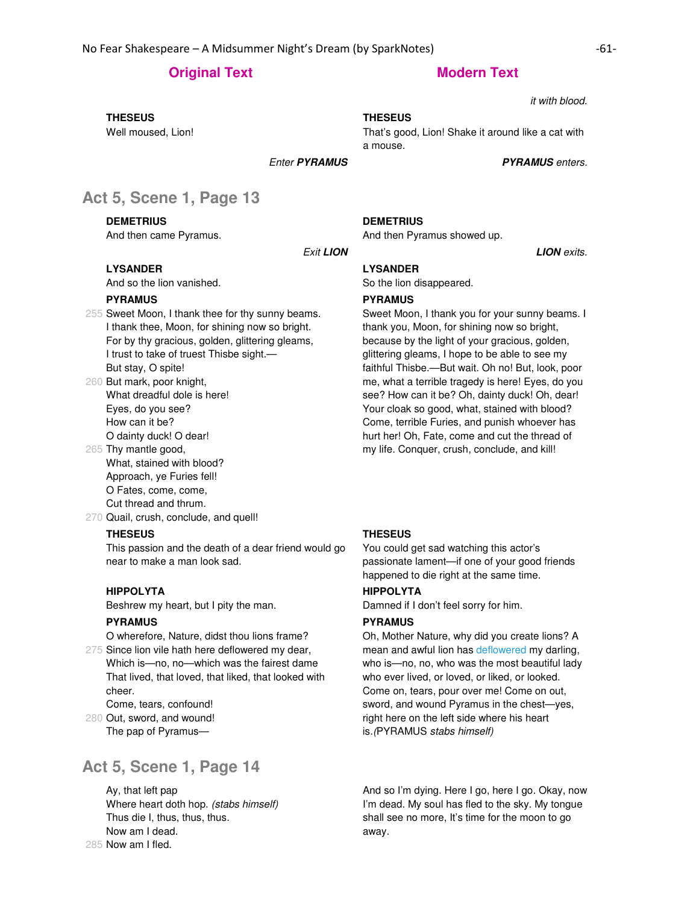it with blood.

#### **THESEUS**

That's good, Lion! Shake it around like a cat with a mouse.

Enter **PYRAMUS PYRAMUS** enters.

# **Act 5, Scene 1, Page 13**

# **DEMETRIUS**

**THESEUS**

Well moused, Lion!

And then came Pyramus.

## **LYSANDER**

And so the lion vanished.

### **PYRAMUS**

- 255 Sweet Moon, I thank thee for thy sunny beams. I thank thee, Moon, for shining now so bright. For by thy gracious, golden, glittering gleams, I trust to take of truest Thisbe sight.— But stay, O spite!
- 260 But mark, poor knight, What dreadful dole is here! Eyes, do you see? How can it be? O dainty duck! O dear!
- 265 Thy mantle good, What, stained with blood? Approach, ye Furies fell! O Fates, come, come,
	- Cut thread and thrum.
- 270 Quail, crush, conclude, and quell!

#### **THESEUS**

This passion and the death of a dear friend would go near to make a man look sad.

# **HIPPOLYTA**

Beshrew my heart, but I pity the man.

# **PYRAMUS**

275 Since lion vile hath here deflowered my dear, O wherefore, Nature, didst thou lions frame? Which is—no, no—which was the fairest dame That lived, that loved, that liked, that looked with cheer.

Come, tears, confound!

280 Out, sword, and wound! The pap of Pyramus—

# **Act 5, Scene 1, Page 14**

285 Now am I fled. Ay, that left pap Where heart doth hop. (stabs himself) Thus die I, thus, thus, thus. Now am I dead.

#### **DEMETRIUS**

And then Pyramus showed up.

Exit **LION LION** exits.

# **LYSANDER**

So the lion disappeared.

### **PYRAMUS**

Sweet Moon, I thank you for your sunny beams. I thank you, Moon, for shining now so bright, because by the light of your gracious, golden, glittering gleams, I hope to be able to see my faithful Thisbe.—But wait. Oh no! But, look, poor me, what a terrible tragedy is here! Eyes, do you see? How can it be? Oh, dainty duck! Oh, dear! Your cloak so good, what, stained with blood? Come, terrible Furies, and punish whoever has hurt her! Oh, Fate, come and cut the thread of my life. Conquer, crush, conclude, and kill!

# **THESEUS**

You could get sad watching this actor's passionate lament—if one of your good friends happened to die right at the same time.

# **HIPPOLYTA**

Damned if I don't feel sorry for him.

#### **PYRAMUS**

Oh, Mother Nature, why did you create lions? A mean and awful lion has deflowered my darling, who is—no, no, who was the most beautiful lady who ever lived, or loved, or liked, or looked. Come on, tears, pour over me! Come on out, sword, and wound Pyramus in the chest—yes, right here on the left side where his heart is.(PYRAMUS stabs himself)

And so I'm dying. Here I go, here I go. Okay, now I'm dead. My soul has fled to the sky. My tongue shall see no more, It's time for the moon to go away.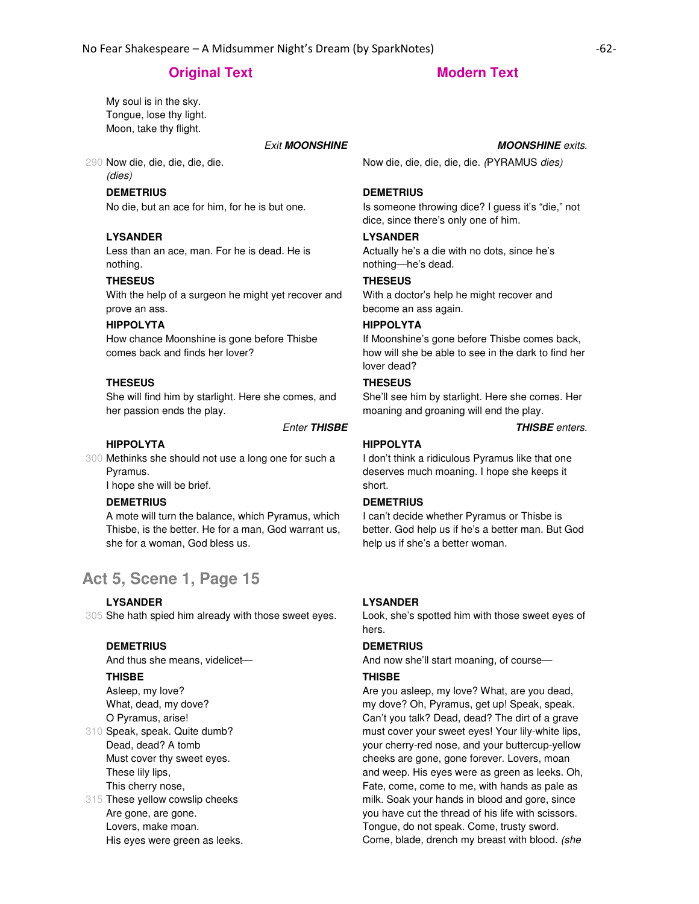My soul is in the sky. Tongue, lose thy light. Moon, take thy flight.

# **Exit MOONSHINE MOONSHINE** exits.

# 290 Now die, die, die, die, die.

(dies)

# **DEMETRIUS**

No die, but an ace for him, for he is but one.

#### **LYSANDER**

Less than an ace, man. For he is dead. He is nothing.

### **THESEUS**

With the help of a surgeon he might yet recover and prove an ass.

#### **HIPPOLYTA**

How chance Moonshine is gone before Thisbe comes back and finds her lover?

#### **THESEUS**

She will find him by starlight. Here she comes, and her passion ends the play.

#### Enter **THISBE THISBE** enters.

#### **HIPPOLYTA**

300 Methinks she should not use a long one for such a Pyramus.

I hope she will be brief.

# **DEMETRIUS**

A mote will turn the balance, which Pyramus, which Thisbe, is the better. He for a man, God warrant us, she for a woman, God bless us.

# **Act 5, Scene 1, Page 15**

#### **LYSANDER**

305 She hath spied him already with those sweet eyes.

### **DEMETRIUS**

And thus she means, videlicet—

#### **THISBE**

310 Speak, speak. Quite dumb? Asleep, my love? What, dead, my dove? O Pyramus, arise! Dead, dead? A tomb Must cover thy sweet eyes. These lily lips, This cherry nose,

315 These yellow cowslip cheeks Are gone, are gone. Lovers, make moan. His eyes were green as leeks.

Now die, die, die, die, die. (PYRAMUS dies)

#### **DEMETRIUS**

Is someone throwing dice? I guess it's "die," not dice, since there's only one of him.

### **LYSANDER**

Actually he's a die with no dots, since he's nothing—he's dead.

### **THESEUS**

With a doctor's help he might recover and become an ass again.

#### **HIPPOLYTA**

If Moonshine's gone before Thisbe comes back, how will she be able to see in the dark to find her lover dead?

# **THESEUS**

She'll see him by starlight. Here she comes. Her moaning and groaning will end the play.

#### **HIPPOLYTA**

I don't think a ridiculous Pyramus like that one deserves much moaning. I hope she keeps it short.

#### **DEMETRIUS**

I can't decide whether Pyramus or Thisbe is better. God help us if he's a better man. But God help us if she's a better woman.

#### **LYSANDER**

Look, she's spotted him with those sweet eyes of hers.

# **DEMETRIUS**

And now she'll start moaning, of course—

#### **THISBE**

Are you asleep, my love? What, are you dead, my dove? Oh, Pyramus, get up! Speak, speak. Can't you talk? Dead, dead? The dirt of a grave must cover your sweet eyes! Your lily-white lips, your cherry-red nose, and your buttercup-yellow cheeks are gone, gone forever. Lovers, moan and weep. His eyes were as green as leeks. Oh, Fate, come, come to me, with hands as pale as milk. Soak your hands in blood and gore, since you have cut the thread of his life with scissors. Tongue, do not speak. Come, trusty sword. Come, blade, drench my breast with blood. (she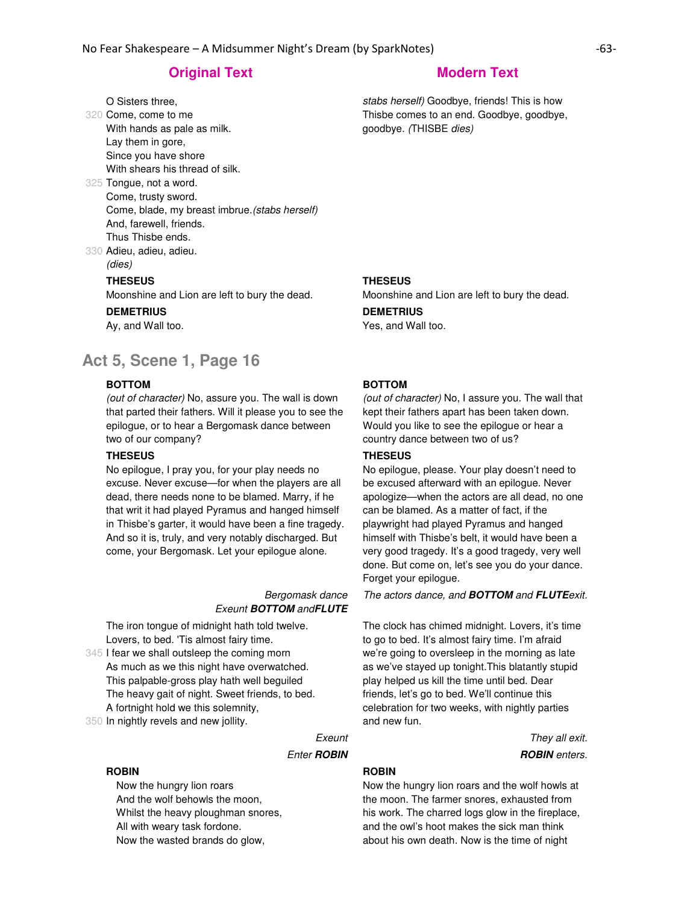O Sisters three,

- 320 Come, come to me With hands as pale as milk. Lay them in gore, Since you have shore With shears his thread of silk.
- 325 Tongue, not a word. Come, trusty sword. Come, blade, my breast imbrue.(stabs herself) And, farewell, friends. Thus Thisbe ends.
- 330 Adieu, adieu, adieu. (dies)

#### **THESEUS**

Moonshine and Lion are left to bury the dead.

# **DEMETRIUS**

Ay, and Wall too.

# **Act 5, Scene 1, Page 16**

### **BOTTOM**

(out of character) No, assure you. The wall is down that parted their fathers. Will it please you to see the epilogue, or to hear a Bergomask dance between two of our company?

#### **THESEUS**

No epilogue, I pray you, for your play needs no excuse. Never excuse—for when the players are all dead, there needs none to be blamed. Marry, if he that writ it had played Pyramus and hanged himself in Thisbe's garter, it would have been a fine tragedy. And so it is, truly, and very notably discharged. But come, your Bergomask. Let your epilogue alone.

#### Bergomask dance Exeunt **BOTTOM** and**FLUTE**

The iron tongue of midnight hath told twelve. Lovers, to bed. 'Tis almost fairy time.

345 I fear we shall outsleep the coming morn As much as we this night have overwatched. This palpable-gross play hath well beguiled The heavy gait of night. Sweet friends, to bed. A fortnight hold we this solemnity,

350 In nightly revels and new jollity.

#### **ROBIN**

 Now the hungry lion roars And the wolf behowls the moon, Whilst the heavy ploughman snores, All with weary task fordone. Now the wasted brands do glow,

stabs herself) Goodbye, friends! This is how Thisbe comes to an end. Goodbye, goodbye, goodbye. (THISBE dies)

#### **THESEUS**

Moonshine and Lion are left to bury the dead.

#### **DEMETRIUS** Yes, and Wall too.

#### **BOTTOM**

(out of character) No, I assure you. The wall that kept their fathers apart has been taken down. Would you like to see the epilogue or hear a country dance between two of us?

### **THESEUS**

No epilogue, please. Your play doesn't need to be excused afterward with an epilogue. Never apologize—when the actors are all dead, no one can be blamed. As a matter of fact, if the playwright had played Pyramus and hanged himself with Thisbe's belt, it would have been a very good tragedy. It's a good tragedy, very well done. But come on, let's see you do your dance. Forget your epilogue.

The actors dance, and **BOTTOM** and **FLUTE**exit.

The clock has chimed midnight. Lovers, it's time to go to bed. It's almost fairy time. I'm afraid we're going to oversleep in the morning as late as we've stayed up tonight.This blatantly stupid play helped us kill the time until bed. Dear friends, let's go to bed. We'll continue this celebration for two weeks, with nightly parties and new fun.

Exeunt They all exit. **Enter ROBIN ROBIN ROBIN** enters.

## **ROBIN**

Now the hungry lion roars and the wolf howls at the moon. The farmer snores, exhausted from his work. The charred logs glow in the fireplace, and the owl's hoot makes the sick man think about his own death. Now is the time of night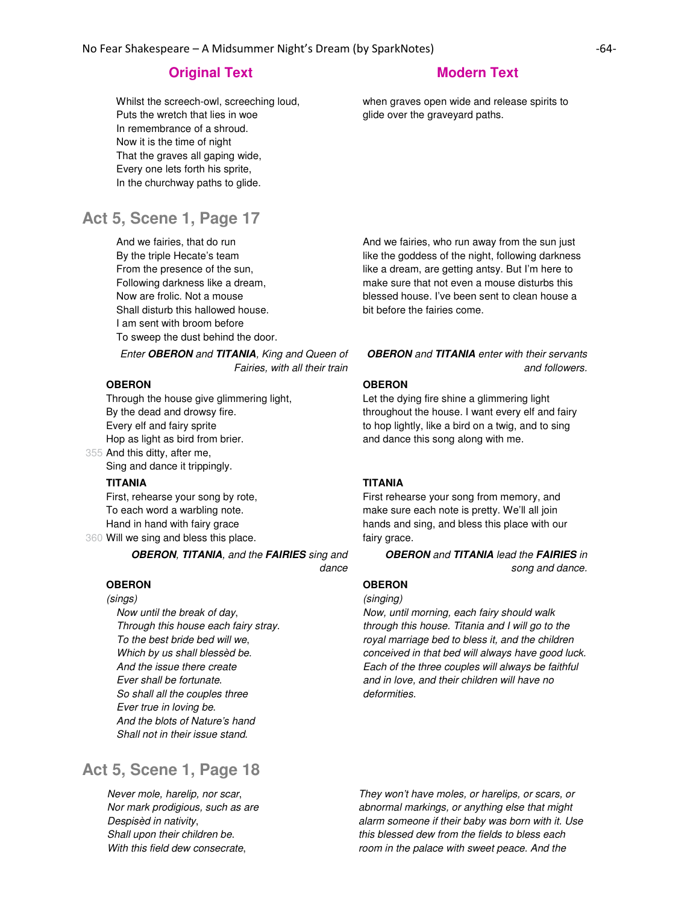Whilst the screech-owl, screeching loud, Puts the wretch that lies in woe In remembrance of a shroud. Now it is the time of night That the graves all gaping wide, Every one lets forth his sprite, In the churchway paths to glide.

# **Act 5, Scene 1, Page 17**

 And we fairies, that do run By the triple Hecate's team From the presence of the sun, Following darkness like a dream, Now are frolic. Not a mouse Shall disturb this hallowed house. I am sent with broom before To sweep the dust behind the door.

Enter **OBERON** and **TITANIA**, King and Queen of Fairies, with all their train

# **OBERON**

Through the house give glimmering light, By the dead and drowsy fire. Every elf and fairy sprite Hop as light as bird from brier.

355 And this ditty, after me, Sing and dance it trippingly.

**TITANIA**

360 Will we sing and bless this place. First, rehearse your song by rote, To each word a warbling note. Hand in hand with fairy grace

> **OBERON**, **TITANIA**, and the **FAIRIES** sing and dance

# **OBERON**

(sings)

Now until the break of day, Through this house each fairy stray. To the best bride bed will we, Which by us shall blessèd be. And the issue there create Ever shall be fortunate. So shall all the couples three Ever true in loving be. And the blots of Nature's hand Shall not in their issue stand.

**Act 5, Scene 1, Page 18** 

Never mole, harelip, nor scar, Nor mark prodigious, such as are Despisèd in nativity, Shall upon their children be. With this field dew consecrate,

when graves open wide and release spirits to glide over the graveyard paths.

And we fairies, who run away from the sun just like the goddess of the night, following darkness like a dream, are getting antsy. But I'm here to make sure that not even a mouse disturbs this blessed house. I've been sent to clean house a bit before the fairies come.

**OBERON** and **TITANIA** enter with their servants and followers.

# **OBERON**

Let the dying fire shine a glimmering light throughout the house. I want every elf and fairy to hop lightly, like a bird on a twig, and to sing and dance this song along with me.

# **TITANIA**

First rehearse your song from memory, and make sure each note is pretty. We'll all join hands and sing, and bless this place with our fairy grace.

> **OBERON** and **TITANIA** lead the **FAIRIES** in song and dance.

# **OBERON**

(singing)

Now, until morning, each fairy should walk through this house. Titania and I will go to the royal marriage bed to bless it, and the children conceived in that bed will always have good luck. Each of the three couples will always be faithful and in love, and their children will have no deformities.

They won't have moles, or harelips, or scars, or abnormal markings, or anything else that might alarm someone if their baby was born with it. Use this blessed dew from the fields to bless each room in the palace with sweet peace. And the